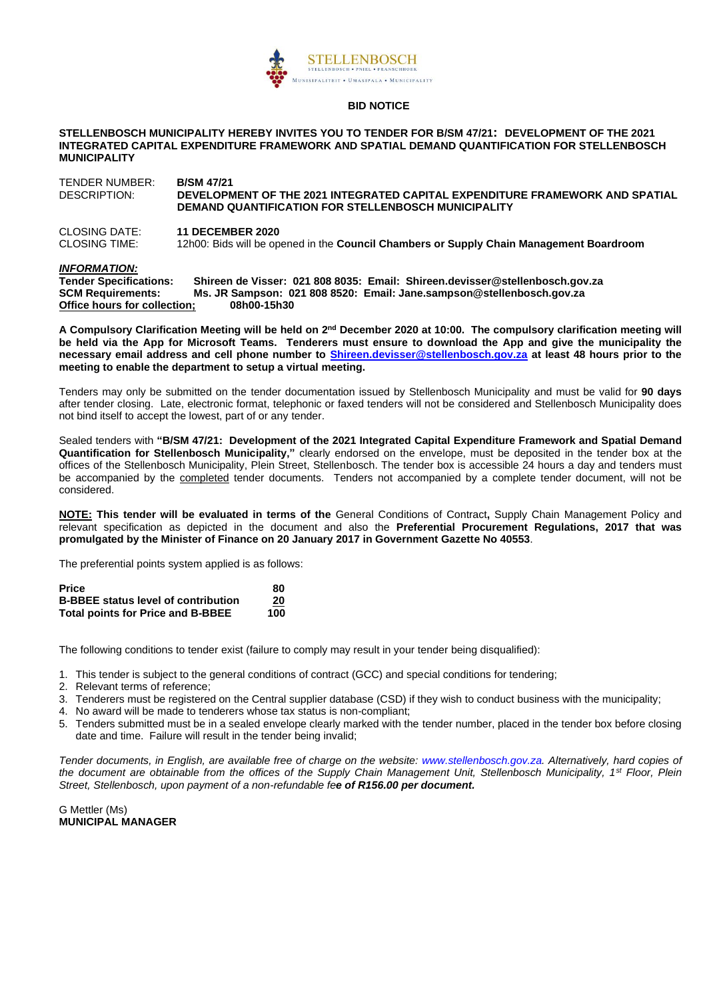

#### **BID NOTICE**

#### **STELLENBOSCH MUNICIPALITY HEREBY INVITES YOU TO TENDER FOR B/SM 47/21: DEVELOPMENT OF THE 2021 INTEGRATED CAPITAL EXPENDITURE FRAMEWORK AND SPATIAL DEMAND QUANTIFICATION FOR STELLENBOSCH MUNICIPALITY**

TENDER NUMBER: **B/SM 47/21** DESCRIPTION: **DEVELOPMENT OF THE 2021 INTEGRATED CAPITAL EXPENDITURE FRAMEWORK AND SPATIAL DEMAND QUANTIFICATION FOR STELLENBOSCH MUNICIPALITY**  CLOSING DATE: **11 DECEMBER 2020**

12h00: Bids will be opened in the **Council Chambers or Supply Chain Management Boardroom** 

*INFORMATION:*  **Tender Specifications: Shireen de Visser: 021 808 8035: Email: Shireen.devisser@stellenbosch.gov.za SCM Requirements: Ms. JR Sampson: 021 808 8520: Email: Jane.sampson@stellenbosch.gov.za Office hours for collection;** 

A Compulsory Clarification Meeting will be held on 2<sup>nd</sup> December 2020 at 10:00. The compulsory clarification meeting will **be held via the App for Microsoft Teams. Tenderers must ensure to download the App and give the municipality the necessary email address and cell phone number to [Shireen.devisser@stellenbosch.gov.za](mailto:Shireen.devisser@stellenbosch.gov.za) at least 48 hours prior to the meeting to enable the department to setup a virtual meeting.** 

Tenders may only be submitted on the tender documentation issued by Stellenbosch Municipality and must be valid for **90 days**  after tender closing. Late, electronic format, telephonic or faxed tenders will not be considered and Stellenbosch Municipality does not bind itself to accept the lowest, part of or any tender.

Sealed tenders with **"B/SM 47/21: Development of the 2021 Integrated Capital Expenditure Framework and Spatial Demand Quantification for Stellenbosch Municipality,"** clearly endorsed on the envelope, must be deposited in the tender box at the offices of the Stellenbosch Municipality, Plein Street, Stellenbosch. The tender box is accessible 24 hours a day and tenders must be accompanied by the completed tender documents. Tenders not accompanied by a complete tender document, will not be considered.

**NOTE: This tender will be evaluated in terms of the** General Conditions of Contract**,** Supply Chain Management Policy and relevant specification as depicted in the document and also the **Preferential Procurement Regulations, 2017 that was promulgated by the Minister of Finance on 20 January 2017 in Government Gazette No 40553**.

The preferential points system applied is as follows:

| <b>Price</b>                               | 80  |
|--------------------------------------------|-----|
| <b>B-BBEE status level of contribution</b> | 20  |
| <b>Total points for Price and B-BBEE</b>   | 100 |

The following conditions to tender exist (failure to comply may result in your tender being disqualified):

1. This tender is subject to the general conditions of contract (GCC) and special conditions for tendering;

- 2. Relevant terms of reference;
- 3. Tenderers must be registered on the Central supplier database (CSD) if they wish to conduct business with the municipality;
- 4. No award will be made to tenderers whose tax status is non-compliant;
- 5. Tenders submitted must be in a sealed envelope clearly marked with the tender number, placed in the tender box before closing date and time. Failure will result in the tender being invalid;

*Tender documents, in English, are available free of charge on the website: [www.stellenbosch.gov.za.](http://www.stellenbosch.gov.za/) Alternatively, hard copies of the document are obtainable from the offices of the Supply Chain Management Unit, Stellenbosch Municipality, 1st Floor, Plein Street, Stellenbosch, upon payment of a non-refundable fee of R156.00 per document.*

G Mettler (Ms) **MUNICIPAL MANAGER**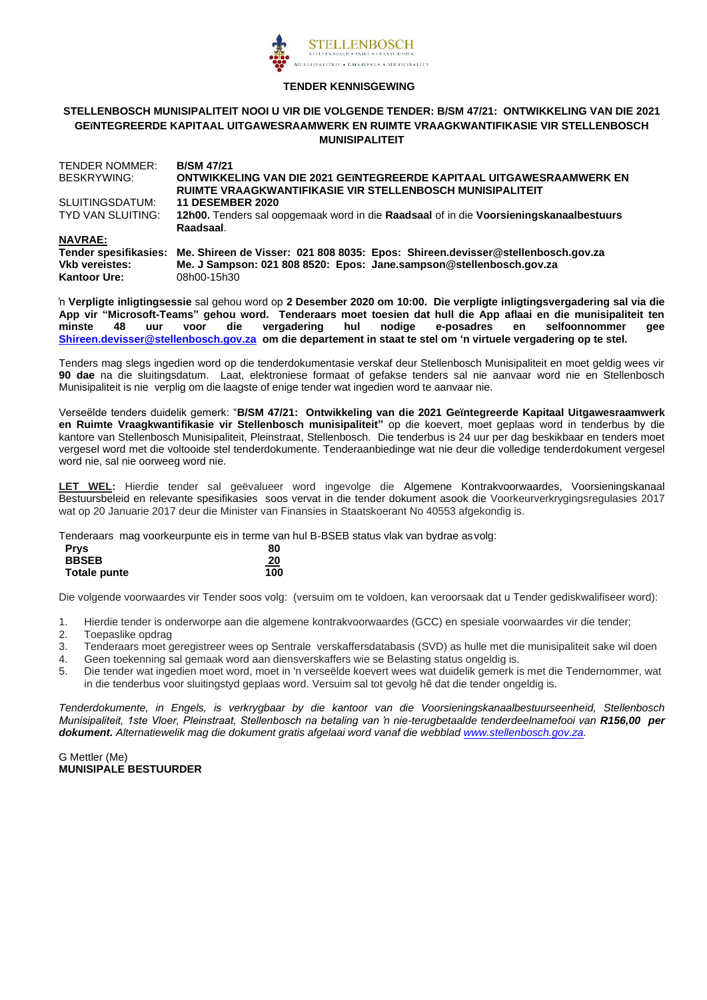

#### **TENDER KENNISGEWING**

#### **STELLENBOSCH MUNISIPALITEIT NOOI U VIR DIE VOLGENDE TENDER: B/SM 47/21: ONTWIKKELING VAN DIE 2021 GEïNTEGREERDE KAPITAAL UITGAWESRAAMWERK EN RUIMTE VRAAGKWANTIFIKASIE VIR STELLENBOSCH MUNISIPALITEIT**

| TENDER NOMMER:        | <b>B/SM 47/21</b>                                                                      |
|-----------------------|----------------------------------------------------------------------------------------|
| BESKRYWING:           | ONTWIKKELING VAN DIE 2021 GEïNTEGREERDE KAPITAAL UITGAWESRAAMWERK EN                   |
|                       | RUIMTE VRAAGKWANTIFIKASIE VIR STELLENBOSCH MUNISIPALITEIT                              |
| SLUITINGSDATUM:       | <b>11 DESEMBER 2020</b>                                                                |
| TYD VAN SLUITING:     | 12h00. Tenders sal oopgemaak word in die Raadsaal of in die Voorsieningskanaalbestuurs |
|                       | Raadsaal.                                                                              |
| <b>NAVRAE:</b>        |                                                                                        |
| Tender spesifikasies: | Me. Shireen de Visser: 021 808 8035: Epos: Shireen.devisser@stellenbosch.gov.za        |
| <b>Vkb vereistes:</b> | Me. J Sampson: 021 808 8520: Epos: Jane.sampson@stellenbosch.gov.za                    |
| <b>Kantoor Ure:</b>   | 08h00-15h30                                                                            |

'n **Verpligte inligtingsessie** sal gehou word op **2 Desember 2020 om 10:00. Die verpligte inligtingsvergadering sal via die App vir "Microsoft-Teams" gehou word. Tenderaars moet toesien dat hull die App aflaai en die munisipaliteit ten minste 48 uur voor die vergadering hul nodige e-posadres en selfoonnommer gee [Shireen.devisser@stellenbosch.gov.za](mailto:Shireen.devisser@stellenbosch.gov.za) om die departement in staat te stel om 'n virtuele vergadering op te stel.**

Tenders mag slegs ingedien word op die tenderdokumentasie verskaf deur Stellenbosch Munisipaliteit en moet geldig wees vir **90 dae** na die sluitingsdatum. Laat, elektroniese formaat of gefakse tenders sal nie aanvaar word nie en Stellenbosch Munisipaliteit is nie verplig om die laagste of enige tender wat ingedien word te aanvaar nie.

Verseëlde tenders duidelik gemerk: "**B/SM 47/21: Ontwikkeling van die 2021 Geïntegreerde Kapitaal Uitgawesraamwerk en Ruimte Vraagkwantifikasie vir Stellenbosch munisipaliteit"** op die koevert, moet geplaas word in tenderbus by die kantore van Stellenbosch Munisipaliteit, Pleinstraat, Stellenbosch. Die tenderbus is 24 uur per dag beskikbaar en tenders moet vergesel word met die voltooide stel tenderdokumente. Tenderaanbiedinge wat nie deur die volledige tenderdokument vergesel word nie, sal nie oorweeg word nie.

**LET WEL:** Hierdie tender sal geëvalueer word ingevolge die Algemene Kontrakvoorwaardes, Voorsieningskanaal Bestuursbeleid en relevante spesifikasies soos vervat in die tender dokument asook die Voorkeurverkrygingsregulasies 2017 wat op 20 Januarie 2017 deur die Minister van Finansies in Staatskoerant No 40553 afgekondig is.

Tenderaars mag voorkeurpunte eis in terme van hul B-BSEB status vlak van bydrae as volg:

| <b>Prys</b>  | 80  |
|--------------|-----|
| <b>BBSEB</b> | 20  |
| Totale punte | 100 |

Die volgende voorwaardes vir Tender soos volg: (versuim om te voldoen, kan veroorsaak dat u Tender gediskwalifiseer word):

- 1. Hierdie tender is onderworpe aan die algemene kontrakvoorwaardes (GCC) en spesiale voorwaardes vir die tender;
- 2. Toepaslike opdrag
- 3. Tenderaars moet geregistreer wees op Sentrale verskaffersdatabasis (SVD) as hulle met die munisipaliteit sake wil doen
- 4. Geen toekenning sal gemaak word aan diensverskaffers wie se Belasting status ongeldig is.
- 5. Die tender wat ingedien moet word, moet in 'n verseëlde koevert wees wat duidelik gemerk is met die Tendernommer, wat in die tenderbus voor sluitingstyd geplaas word. Versuim sal tot gevolg hê dat die tender ongeldig is.

*Tenderdokumente, in Engels, is verkrygbaar by die kantoor van die Voorsieningskanaalbestuurseenheid, Stellenbosch Munisipaliteit, 1ste Vloer, Pleinstraat, Stellenbosch na betaling van 'n nie-terugbetaalde tenderdeelnamefooi van R156,00 per dokument. Alternatiewelik mag die dokument gratis afgelaai word vanaf die webblad [www.stellenbosch.gov.za.](http://www.stellenbosch.gov.za/)* 

G Mettler (Me) **MUNISIPALE BESTUURDER**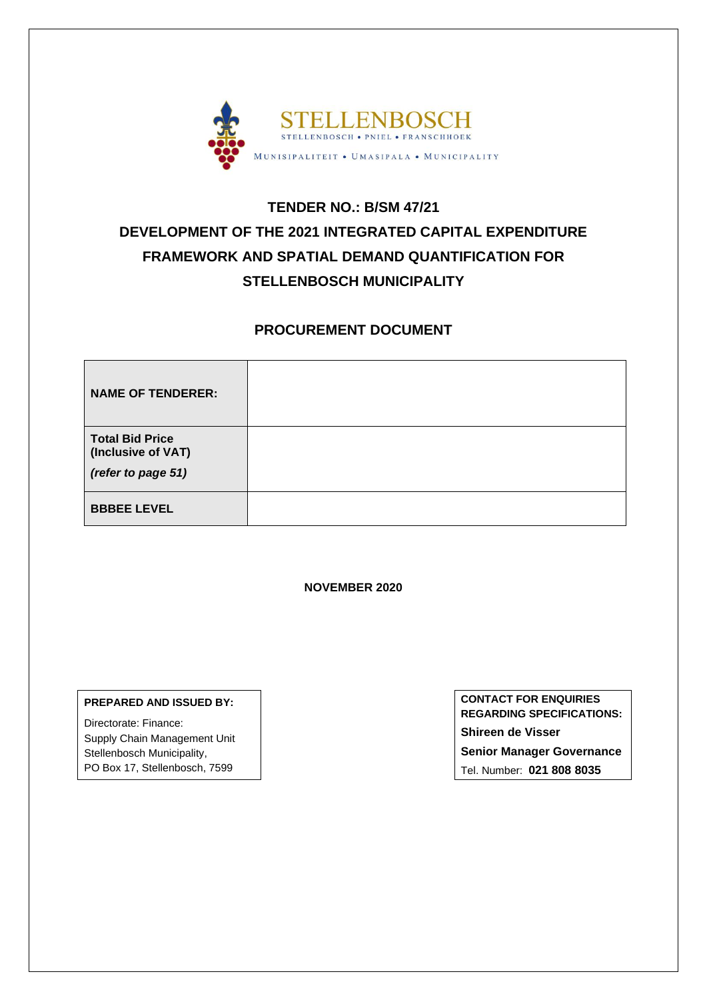

# **TENDER NO.: B/SM 47/21 DEVELOPMENT OF THE 2021 INTEGRATED CAPITAL EXPENDITURE FRAMEWORK AND SPATIAL DEMAND QUANTIFICATION FOR STELLENBOSCH MUNICIPALITY**

# **PROCUREMENT DOCUMENT**

| <b>NAME OF TENDERER:</b>                                           |  |
|--------------------------------------------------------------------|--|
| <b>Total Bid Price</b><br>(Inclusive of VAT)<br>(refer to page 51) |  |
| <b>BBBEE LEVEL</b>                                                 |  |

**NOVEMBER 2020**

#### **PREPARED AND ISSUED BY:**

Directorate: Finance: Supply Chain Management Unit Stellenbosch Municipality, PO Box 17, Stellenbosch, 7599

**CONTACT FOR ENQUIRIES REGARDING SPECIFICATIONS: Shireen de Visser Senior Manager Governance** Tel. Number: **021 808 8035**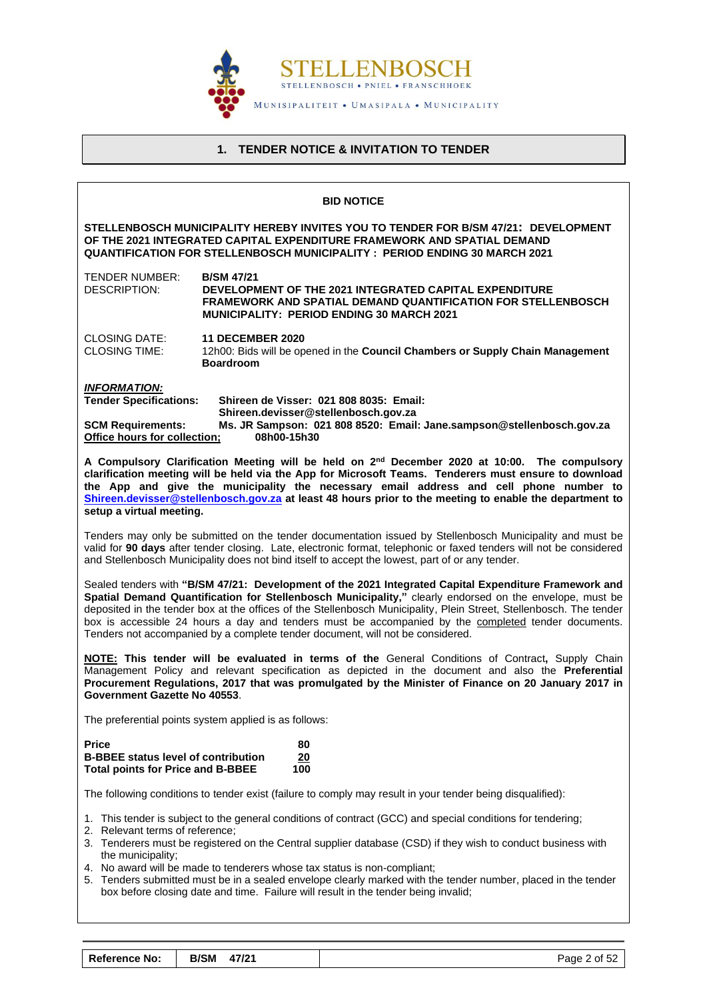

# **1. TENDER NOTICE & INVITATION TO TENDER**

<span id="page-3-0"></span>

|                                                                                                                                                                                                                                                                                                                                                                                                                                                                                                                                                                        | <b>BID NOTICE</b>                                                                                                                                                                                                                                                                                                                                                                                                                                   |  |  |  |  |
|------------------------------------------------------------------------------------------------------------------------------------------------------------------------------------------------------------------------------------------------------------------------------------------------------------------------------------------------------------------------------------------------------------------------------------------------------------------------------------------------------------------------------------------------------------------------|-----------------------------------------------------------------------------------------------------------------------------------------------------------------------------------------------------------------------------------------------------------------------------------------------------------------------------------------------------------------------------------------------------------------------------------------------------|--|--|--|--|
| STELLENBOSCH MUNICIPALITY HEREBY INVITES YOU TO TENDER FOR B/SM 47/21: DEVELOPMENT<br>OF THE 2021 INTEGRATED CAPITAL EXPENDITURE FRAMEWORK AND SPATIAL DEMAND<br><b>QUANTIFICATION FOR STELLENBOSCH MUNICIPALITY: PERIOD ENDING 30 MARCH 2021</b>                                                                                                                                                                                                                                                                                                                      |                                                                                                                                                                                                                                                                                                                                                                                                                                                     |  |  |  |  |
| TENDER NUMBER:<br><b>B/SM 47/21</b><br><b>DESCRIPTION:</b><br>DEVELOPMENT OF THE 2021 INTEGRATED CAPITAL EXPENDITURE<br><b>FRAMEWORK AND SPATIAL DEMAND QUANTIFICATION FOR STELLENBOSCH</b><br><b>MUNICIPALITY: PERIOD ENDING 30 MARCH 2021</b>                                                                                                                                                                                                                                                                                                                        |                                                                                                                                                                                                                                                                                                                                                                                                                                                     |  |  |  |  |
| <b>CLOSING DATE:</b><br><b>11 DECEMBER 2020</b><br><b>CLOSING TIME:</b><br>12h00: Bids will be opened in the Council Chambers or Supply Chain Management<br><b>Boardroom</b>                                                                                                                                                                                                                                                                                                                                                                                           |                                                                                                                                                                                                                                                                                                                                                                                                                                                     |  |  |  |  |
| <b>INFORMATION:</b>                                                                                                                                                                                                                                                                                                                                                                                                                                                                                                                                                    |                                                                                                                                                                                                                                                                                                                                                                                                                                                     |  |  |  |  |
| <b>Tender Specifications:</b>                                                                                                                                                                                                                                                                                                                                                                                                                                                                                                                                          | Shireen de Visser: 021 808 8035: Email:<br>Shireen.devisser@stellenbosch.gov.za                                                                                                                                                                                                                                                                                                                                                                     |  |  |  |  |
| <b>SCM Requirements:</b><br>Office hours for collection;                                                                                                                                                                                                                                                                                                                                                                                                                                                                                                               | Ms. JR Sampson: 021 808 8520: Email: Jane.sampson@stellenbosch.gov.za<br>08h00-15h30                                                                                                                                                                                                                                                                                                                                                                |  |  |  |  |
|                                                                                                                                                                                                                                                                                                                                                                                                                                                                                                                                                                        | A Compulsory Clarification Meeting will be held on 2 <sup>nd</sup> December 2020 at 10:00. The compulsory<br>clarification meeting will be held via the App for Microsoft Teams. Tenderers must ensure to download<br>the App and give the municipality the necessary email address and cell phone number to<br>Shireen.devisser@stellenbosch.gov.za at least 48 hours prior to the meeting to enable the department to<br>setup a virtual meeting. |  |  |  |  |
| Tenders may only be submitted on the tender documentation issued by Stellenbosch Municipality and must be<br>valid for 90 days after tender closing. Late, electronic format, telephonic or faxed tenders will not be considered<br>and Stellenbosch Municipality does not bind itself to accept the lowest, part of or any tender.                                                                                                                                                                                                                                    |                                                                                                                                                                                                                                                                                                                                                                                                                                                     |  |  |  |  |
| Sealed tenders with "B/SM 47/21: Development of the 2021 Integrated Capital Expenditure Framework and<br>Spatial Demand Quantification for Stellenbosch Municipality," clearly endorsed on the envelope, must be<br>deposited in the tender box at the offices of the Stellenbosch Municipality, Plein Street, Stellenbosch. The tender<br>box is accessible 24 hours a day and tenders must be accompanied by the completed tender documents.<br>Tenders not accompanied by a complete tender document, will not be considered.                                       |                                                                                                                                                                                                                                                                                                                                                                                                                                                     |  |  |  |  |
| <b>NOTE:</b> This tender will be evaluated in terms of the General Conditions of Contract, Supply Chain<br>Management Policy and relevant specification as depicted in the document and also the Preferential<br>Procurement Regulations, 2017 that was promulgated by the Minister of Finance on 20 January 2017 in<br>Government Gazette No 40553.                                                                                                                                                                                                                   |                                                                                                                                                                                                                                                                                                                                                                                                                                                     |  |  |  |  |
|                                                                                                                                                                                                                                                                                                                                                                                                                                                                                                                                                                        | The preferential points system applied is as follows:                                                                                                                                                                                                                                                                                                                                                                                               |  |  |  |  |
| <b>Price</b><br><b>B-BBEE status level of contribution</b><br><b>Total points for Price and B-BBEE</b>                                                                                                                                                                                                                                                                                                                                                                                                                                                                 | 80<br>20<br>100                                                                                                                                                                                                                                                                                                                                                                                                                                     |  |  |  |  |
|                                                                                                                                                                                                                                                                                                                                                                                                                                                                                                                                                                        | The following conditions to tender exist (failure to comply may result in your tender being disqualified):                                                                                                                                                                                                                                                                                                                                          |  |  |  |  |
| 1. This tender is subject to the general conditions of contract (GCC) and special conditions for tendering;<br>2. Relevant terms of reference;<br>3. Tenderers must be registered on the Central supplier database (CSD) if they wish to conduct business with<br>the municipality;<br>4. No award will be made to tenderers whose tax status is non-compliant;<br>5. Tenders submitted must be in a sealed envelope clearly marked with the tender number, placed in the tender<br>box before closing date and time. Failure will result in the tender being invalid; |                                                                                                                                                                                                                                                                                                                                                                                                                                                     |  |  |  |  |
|                                                                                                                                                                                                                                                                                                                                                                                                                                                                                                                                                                        |                                                                                                                                                                                                                                                                                                                                                                                                                                                     |  |  |  |  |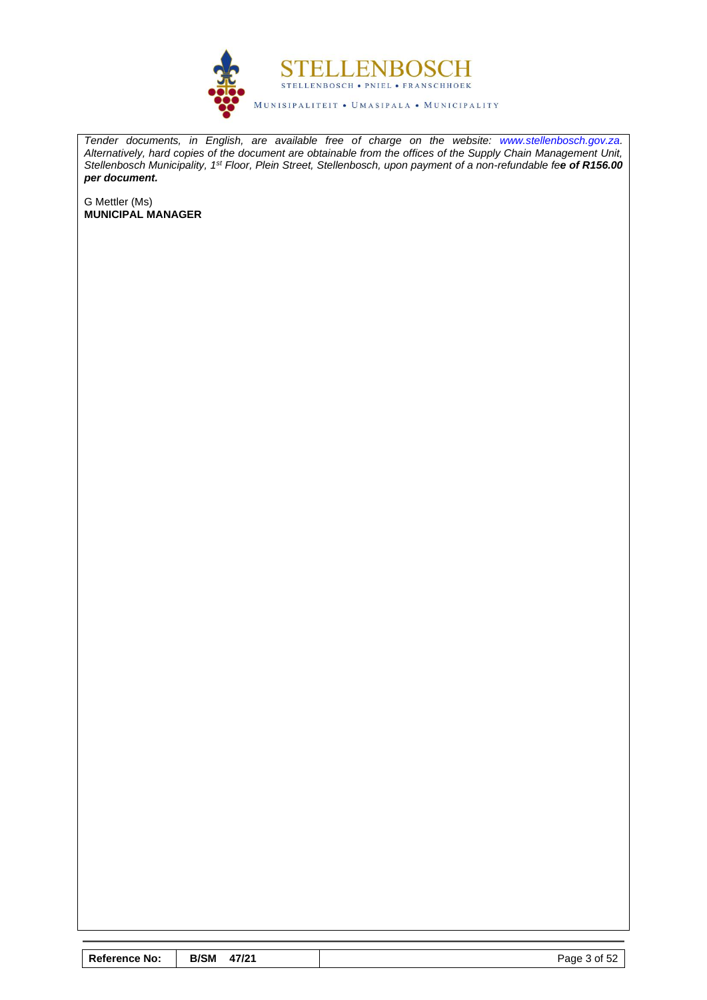

*Tender documents, in English, are available free of charge on the website: [www.stellenbosch.gov.za.](http://www.stellenbosch.gov.za/) Alternatively, hard copies of the document are obtainable from the offices of the Supply Chain Management Unit, Stellenbosch Municipality, 1st Floor, Plein Street, Stellenbosch, upon payment of a non-refundable fee of R156.00 per document.*

G Mettler (Ms) **MUNICIPAL MANAGER**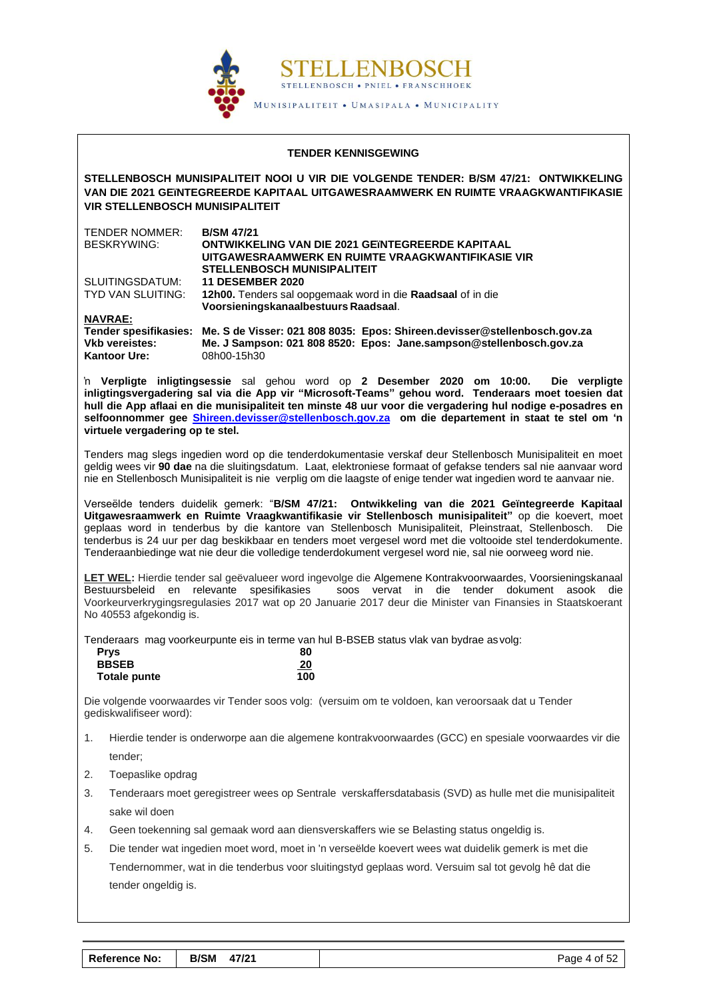

#### **TENDER KENNISGEWING**

**STELLENBOSCH MUNISIPALITEIT NOOI U VIR DIE VOLGENDE TENDER: B/SM 47/21: ONTWIKKELING VAN DIE 2021 GEïNTEGREERDE KAPITAAL UITGAWESRAAMWERK EN RUIMTE VRAAGKWANTIFIKASIE VIR STELLENBOSCH MUNISIPALITEIT**

| TENDER NOMMER:    | <b>B/SM 47/21</b>                                           |
|-------------------|-------------------------------------------------------------|
| BESKRYWING:       | <b>ONTWIKKELING VAN DIE 2021 GEïNTEGREERDE KAPITAAL</b>     |
|                   | UITGAWESRAAMWERK EN RUIMTE VRAAGKWANTIFIKASIE VIR           |
|                   | <b>STELLENBOSCH MUNISIPALITEIT</b>                          |
| SLUITINGSDATUM:   | <b>11 DESEMBER 2020</b>                                     |
| TYD VAN SLUITING: | 12h00. Tenders sal oopgemaak word in die Raadsaal of in die |
|                   | Voorsieningskanaalbestuurs Raadsaal.                        |
| $\mathbf{r}$      |                                                             |

**NAVRAE:**

**Tender spesifikasies: Me. S de Visser: 021 808 8035: Epos: Shireen.devisser@stellenbosch.gov.za Vkb vereistes: Me. J Sampson: 021 808 8520: Epos: Jane.sampson@stellenbosch.gov.za Kantoor Ure:** 08h00-15h30

'n **Verpligte inligtingsessie** sal gehou word op **2 Desember 2020 om 10:00. Die verpligte inligtingsvergadering sal via die App vir "Microsoft-Teams" gehou word. Tenderaars moet toesien dat hull die App aflaai en die munisipaliteit ten minste 48 uur voor die vergadering hul nodige e-posadres en selfoonnommer gee [Shireen.devisser@stellenbosch.gov.za](mailto:Shireen.devisser@stellenbosch.gov.za) om die departement in staat te stel om 'n virtuele vergadering op te stel.**

Tenders mag slegs ingedien word op die tenderdokumentasie verskaf deur Stellenbosch Munisipaliteit en moet geldig wees vir **90 dae** na die sluitingsdatum. Laat, elektroniese formaat of gefakse tenders sal nie aanvaar word nie en Stellenbosch Munisipaliteit is nie verplig om die laagste of enige tender wat ingedien word te aanvaar nie.

Verseëlde tenders duidelik gemerk: "**B/SM 47/21: Ontwikkeling van die 2021 Geïntegreerde Kapitaal Uitgawesraamwerk en Ruimte Vraagkwantifikasie vir Stellenbosch munisipaliteit"** op die koevert, moet geplaas word in tenderbus by die kantore van Stellenbosch Munisipaliteit, Pleinstraat, Stellenbosch. Die tenderbus is 24 uur per dag beskikbaar en tenders moet vergesel word met die voltooide stel tenderdokumente. Tenderaanbiedinge wat nie deur die volledige tenderdokument vergesel word nie, sal nie oorweeg word nie.

**LET WEL:** Hierdie tender sal geëvalueer word ingevolge die Algemene Kontrakvoorwaardes, Voorsieningskanaal Bestuursbeleid en relevante spesifikasies soos vervat in die tender dokument asook die Voorkeurverkrygingsregulasies 2017 wat op 20 Januarie 2017 deur die Minister van Finansies in Staatskoerant No 40553 afgekondig is.

Tenderaars mag voorkeurpunte eis in terme van hul B-BSEB status vlak van bydrae asvolg:

| <b>Prys</b>         | 80       |
|---------------------|----------|
| <b>BBSEB</b>        | 20<br>-- |
| <b>Totale punte</b> | 100      |

Die volgende voorwaardes vir Tender soos volg: (versuim om te voldoen, kan veroorsaak dat u Tender gediskwalifiseer word):

- 1. Hierdie tender is onderworpe aan die algemene kontrakvoorwaardes (GCC) en spesiale voorwaardes vir die tender;
- 2. Toepaslike opdrag
- 3. Tenderaars moet geregistreer wees op Sentrale verskaffersdatabasis (SVD) as hulle met die munisipaliteit sake wil doen
- 4. Geen toekenning sal gemaak word aan diensverskaffers wie se Belasting status ongeldig is.
- 5. Die tender wat ingedien moet word, moet in 'n verseëlde koevert wees wat duidelik gemerk is met die Tendernommer, wat in die tenderbus voor sluitingstyd geplaas word. Versuim sal tot gevolg hê dat die tender ongeldig is.

| <b>Reference No:</b> | <b>B/SM 47/21</b> |  |  |  |
|----------------------|-------------------|--|--|--|
|----------------------|-------------------|--|--|--|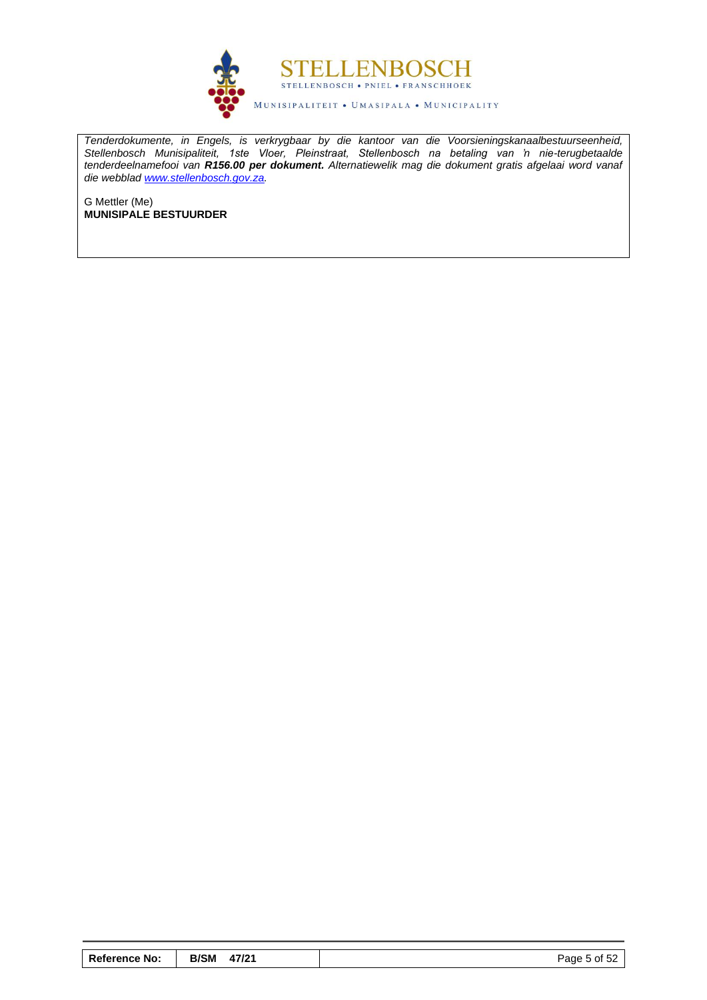

*Tenderdokumente, in Engels, is verkrygbaar by die kantoor van die Voorsieningskanaalbestuurseenheid, Stellenbosch Munisipaliteit, 1ste Vloer, Pleinstraat, Stellenbosch na betaling van 'n nie-terugbetaalde tenderdeelnamefooi van R156.00 per dokument. Alternatiewelik mag die dokument gratis afgelaai word vanaf die webblad [www.stellenbosch.gov.za.](http://www.stellenbosch.gov.za/)* 

G Mettler (Me) **MUNISIPALE BESTUURDER**

| <b>Reference No:</b> | <b>B/SM</b> | 47/21 | Page 5 of 52 |
|----------------------|-------------|-------|--------------|
|----------------------|-------------|-------|--------------|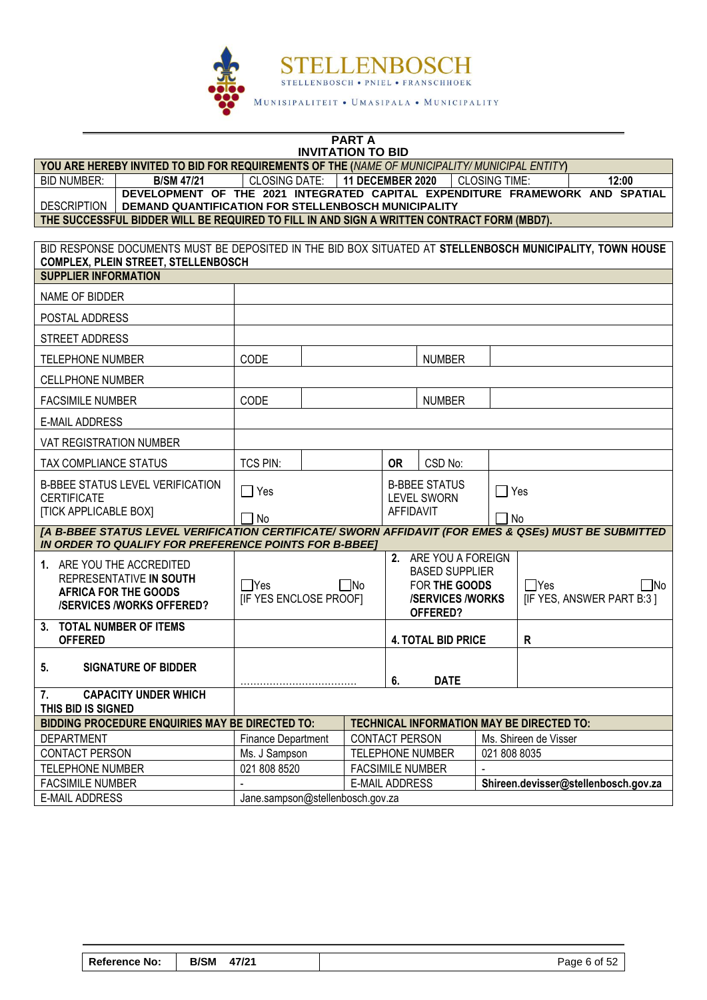

#### **PART A INVITATION TO BID**

**YOU ARE HEREBY INVITED TO BID FOR REQUIREMENTS OF THE (***NAME OF MUNICIPALITY/ MUNICIPAL ENTITY***)**

| BID NUMBER:        | <b>B/SM 47/21</b>                                                                                                                   | CLOSING DATE: | <b>11 DECEMBER 2020</b> | CLOSING TIME: | 12:00 |
|--------------------|-------------------------------------------------------------------------------------------------------------------------------------|---------------|-------------------------|---------------|-------|
| <b>DESCRIPTION</b> | DEVELOPMENT OF THE 2021 INTEGRATED CAPITAL EXPENDITURE FRAMEWORK AND SPATIAL<br>DEMAND QUANTIFICATION FOR STELLENBOSCH MUNICIPALITY |               |                         |               |       |
|                    | THE AHAAFAAFHI DIDDED WILL DE DEAHIDED TA FILL IN AND AIAN A WOITTEN AANTDAAT FADM (MDD3).                                          |               |                         |               |       |

| THE SUCCESSFUL BIDDER WILL BE REQUIRED TO FILL IN AND SIGN A WRITTEN CONTRACT FORM (MBD7). |  |
|--------------------------------------------------------------------------------------------|--|
|--------------------------------------------------------------------------------------------|--|

| BID RESPONSE DOCUMENTS MUST BE DEPOSITED IN THE BID BOX SITUATED AT STELLENBOSCH MUNICIPALITY, TOWN HOUSE<br><b>COMPLEX, PLEIN STREET, STELLENBOSCH</b>       |                                                                             |  |                                                                                                      |           |                           |                                                        |                                                  |
|---------------------------------------------------------------------------------------------------------------------------------------------------------------|-----------------------------------------------------------------------------|--|------------------------------------------------------------------------------------------------------|-----------|---------------------------|--------------------------------------------------------|--------------------------------------------------|
| <b>SUPPLIER INFORMATION</b>                                                                                                                                   |                                                                             |  |                                                                                                      |           |                           |                                                        |                                                  |
| NAME OF BIDDER                                                                                                                                                |                                                                             |  |                                                                                                      |           |                           |                                                        |                                                  |
| POSTAL ADDRESS                                                                                                                                                |                                                                             |  |                                                                                                      |           |                           |                                                        |                                                  |
| <b>STREET ADDRESS</b>                                                                                                                                         |                                                                             |  |                                                                                                      |           |                           |                                                        |                                                  |
| <b>TELEPHONE NUMBER</b>                                                                                                                                       | CODE                                                                        |  |                                                                                                      |           | <b>NUMBER</b>             |                                                        |                                                  |
| <b>CELLPHONE NUMBER</b>                                                                                                                                       |                                                                             |  |                                                                                                      |           |                           |                                                        |                                                  |
| <b>FACSIMILE NUMBER</b>                                                                                                                                       | CODE                                                                        |  |                                                                                                      |           | <b>NUMBER</b>             |                                                        |                                                  |
| <b>E-MAIL ADDRESS</b>                                                                                                                                         |                                                                             |  |                                                                                                      |           |                           |                                                        |                                                  |
| VAT REGISTRATION NUMBER                                                                                                                                       |                                                                             |  |                                                                                                      |           |                           |                                                        |                                                  |
| <b>TAX COMPLIANCE STATUS</b>                                                                                                                                  | <b>TCS PIN:</b>                                                             |  |                                                                                                      | <b>OR</b> | CSD No:                   |                                                        |                                                  |
| B-BBEE STATUS LEVEL VERIFICATION<br><b>CERTIFICATE</b>                                                                                                        | $\Box$ Yes                                                                  |  | <b>B-BBEE STATUS</b><br><b>LEVEL SWORN</b>                                                           |           | $\sqsupset$ Yes           |                                                        |                                                  |
| <b>[TICK APPLICABLE BOX]</b>                                                                                                                                  | No                                                                          |  | AFFIDAVIT                                                                                            |           |                           | No                                                     |                                                  |
| [A B-BBEE STATUS LEVEL VERIFICATION CERTIFICATE/ SWORN AFFIDAVIT (FOR EMES & QSEs) MUST BE SUBMITTED<br>IN ORDER TO QUALIFY FOR PREFERENCE POINTS FOR B-BBEET |                                                                             |  |                                                                                                      |           |                           |                                                        |                                                  |
| 1. ARE YOU THE ACCREDITED<br>REPRESENTATIVE IN SOUTH<br><b>AFRICA FOR THE GOODS</b><br><b>/SERVICES/WORKS OFFERED?</b>                                        | $\Box$ Yes<br>$\square$ No<br>[IF YES ENCLOSE PROOF]                        |  | 2. ARE YOU A FOREIGN<br><b>BASED SUPPLIER</b><br>FOR THE GOODS<br><b>/SERVICES/WORKS</b><br>OFFERED? |           |                           | $\Box$ Yes<br>$\sqcap$ No<br>[IF YES, ANSWER PART B:3] |                                                  |
| 3. TOTAL NUMBER OF ITEMS<br><b>OFFERED</b>                                                                                                                    |                                                                             |  |                                                                                                      |           | <b>4. TOTAL BID PRICE</b> |                                                        | R                                                |
| 5 <sub>1</sub><br><b>SIGNATURE OF BIDDER</b>                                                                                                                  |                                                                             |  |                                                                                                      | 6.        | <b>DATE</b>               |                                                        |                                                  |
| <b>CAPACITY UNDER WHICH</b><br>7.<br>THIS BID IS SIGNED                                                                                                       |                                                                             |  |                                                                                                      |           |                           |                                                        |                                                  |
| <b>BIDDING PROCEDURE ENQUIRIES MAY BE DIRECTED TO:</b>                                                                                                        |                                                                             |  |                                                                                                      |           |                           |                                                        | <b>TECHNICAL INFORMATION MAY BE DIRECTED TO:</b> |
| <b>DEPARTMENT</b>                                                                                                                                             | <b>CONTACT PERSON</b><br><b>Finance Department</b><br>Ms. Shireen de Visser |  |                                                                                                      |           |                           |                                                        |                                                  |

| CONTACT PERSON   | Ms. J Sampson                    | <b>TELEPHONE NUMBER</b> | 021 808 8035                         |
|------------------|----------------------------------|-------------------------|--------------------------------------|
| TELEPHONE NUMBER | 021 808 8520                     | <b>FACSIMILE NUMBER</b> |                                      |
| FACSIMILE NUMBER |                                  | E-MAIL ADDRESS          | Shireen.devisser@stellenbosch.gov.za |
| E-MAIL ADDRESS   | Jane.sampson@stellenbosch.gov.za |                         |                                      |
|                  |                                  |                         |                                      |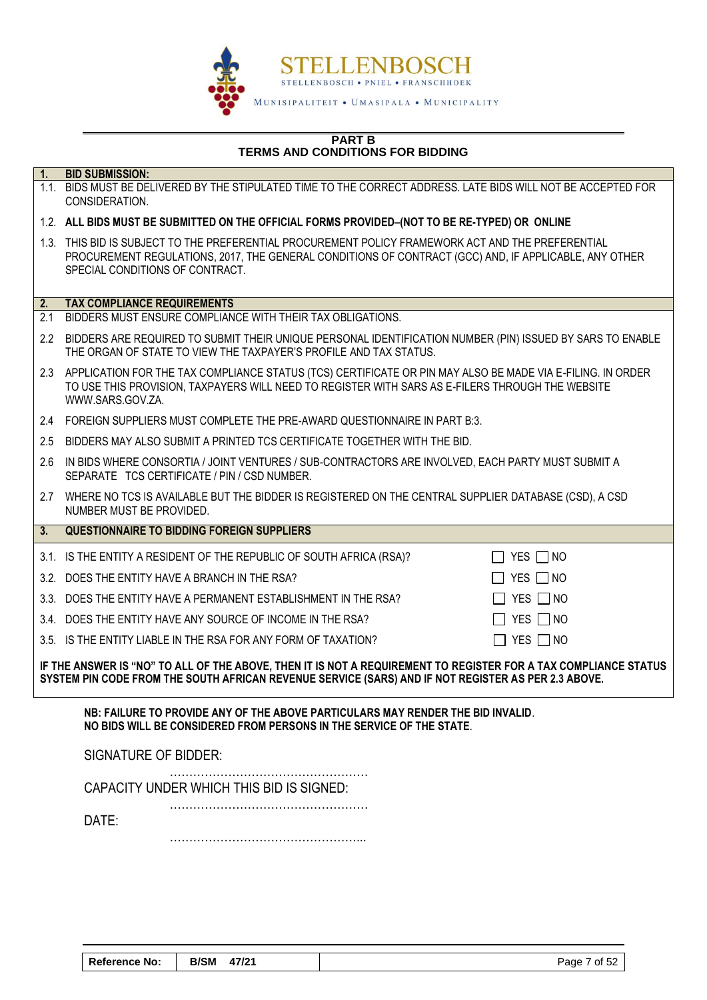

#### **PART B TERMS AND CONDITIONS FOR BIDDING**

| 1.               | <b>BID SUBMISSION:</b>                                                                                                                                                                                                                         |                               |  |  |  |
|------------------|------------------------------------------------------------------------------------------------------------------------------------------------------------------------------------------------------------------------------------------------|-------------------------------|--|--|--|
|                  | 1.1. BIDS MUST BE DELIVERED BY THE STIPULATED TIME TO THE CORRECT ADDRESS. LATE BIDS WILL NOT BE ACCEPTED FOR<br>CONSIDERATION.                                                                                                                |                               |  |  |  |
|                  | 1.2. ALL BIDS MUST BE SUBMITTED ON THE OFFICIAL FORMS PROVIDED-(NOT TO BE RE-TYPED) OR ONLINE                                                                                                                                                  |                               |  |  |  |
|                  | 1.3. THIS BID IS SUBJECT TO THE PREFERENTIAL PROCUREMENT POLICY FRAMEWORK ACT AND THE PREFERENTIAL<br>PROCUREMENT REGULATIONS, 2017, THE GENERAL CONDITIONS OF CONTRACT (GCC) AND, IF APPLICABLE, ANY OTHER<br>SPECIAL CONDITIONS OF CONTRACT. |                               |  |  |  |
| 2.               | <b>TAX COMPLIANCE REQUIREMENTS</b>                                                                                                                                                                                                             |                               |  |  |  |
| 2.1              | BIDDERS MUST ENSURE COMPLIANCE WITH THEIR TAX OBLIGATIONS.                                                                                                                                                                                     |                               |  |  |  |
| $2.2\phantom{0}$ | BIDDERS ARE REQUIRED TO SUBMIT THEIR UNIQUE PERSONAL IDENTIFICATION NUMBER (PIN) ISSUED BY SARS TO ENABLE<br>THE ORGAN OF STATE TO VIEW THE TAXPAYER'S PROFILE AND TAX STATUS.                                                                 |                               |  |  |  |
| 2.3              | APPLICATION FOR THE TAX COMPLIANCE STATUS (TCS) CERTIFICATE OR PIN MAY ALSO BE MADE VIA E-FILING. IN ORDER<br>TO USE THIS PROVISION, TAXPAYERS WILL NEED TO REGISTER WITH SARS AS E-FILERS THROUGH THE WEBSITE<br>WWW.SARS.GOV.ZA.             |                               |  |  |  |
| $2.4^{\circ}$    | FOREIGN SUPPLIERS MUST COMPLETE THE PRE-AWARD QUESTIONNAIRE IN PART B:3.                                                                                                                                                                       |                               |  |  |  |
| 2.5              | BIDDERS MAY ALSO SUBMIT A PRINTED TCS CERTIFICATE TOGETHER WITH THE BID.                                                                                                                                                                       |                               |  |  |  |
| 2.6              | IN BIDS WHERE CONSORTIA / JOINT VENTURES / SUB-CONTRACTORS ARE INVOLVED, EACH PARTY MUST SUBMIT A<br>SEPARATE TCS CERTIFICATE / PIN / CSD NUMBER.                                                                                              |                               |  |  |  |
| 2.7              | WHERE NO TCS IS AVAILABLE BUT THE BIDDER IS REGISTERED ON THE CENTRAL SUPPLIER DATABASE (CSD), A CSD<br>NUMBER MUST BE PROVIDED.                                                                                                               |                               |  |  |  |
| 3.               | <b>QUESTIONNAIRE TO BIDDING FOREIGN SUPPLIERS</b>                                                                                                                                                                                              |                               |  |  |  |
|                  | 3.1. IS THE ENTITY A RESIDENT OF THE REPUBLIC OF SOUTH AFRICA (RSA)?                                                                                                                                                                           | $\Box$ YES $\Box$ NO          |  |  |  |
|                  | 3.2. DOES THE ENTITY HAVE A BRANCH IN THE RSA?                                                                                                                                                                                                 | YES $\Box$ NO                 |  |  |  |
|                  | 3.3. DOES THE ENTITY HAVE A PERMANENT ESTABLISHMENT IN THE RSA?                                                                                                                                                                                | $\Box$ YES $\Box$ NO          |  |  |  |
|                  | 3.4. DOES THE ENTITY HAVE ANY SOURCE OF INCOME IN THE RSA?                                                                                                                                                                                     | YES $\Box$ NO                 |  |  |  |
|                  | 3.5. IS THE ENTITY LIABLE IN THE RSA FOR ANY FORM OF TAXATION?                                                                                                                                                                                 | YES $\Box$ NO<br>$\mathbf{L}$ |  |  |  |
|                  | IF THE ANSWER IS "NO" TO ALL OF THE ABOVE, THEN IT IS NOT A REQUIREMENT TO REGISTER FOR A TAX COMPLIANCE STATUS<br>SYSTEM PIN CODE FROM THE SOUTH AFRICAN REVENUE SERVICE (SARS) AND IF NOT REGISTER AS PER 2.3 ABOVE.                         |                               |  |  |  |
|                  | NB: FAILURE TO PROVIDE ANY OF THE ABOVE PARTICULARS MAY RENDER THE BID INVALID.<br>NO BIDS WILL BE CONSIDERED FROM PERSONS IN THE SERVICE OF THE STATE.                                                                                        |                               |  |  |  |
|                  | <b>SIGNATURE OF BIDDER:</b>                                                                                                                                                                                                                    |                               |  |  |  |
|                  | CAPACITY UNDER WHICH THIS BID IS SIGNED:                                                                                                                                                                                                       |                               |  |  |  |
|                  | DATE:                                                                                                                                                                                                                                          |                               |  |  |  |

…………………………………………...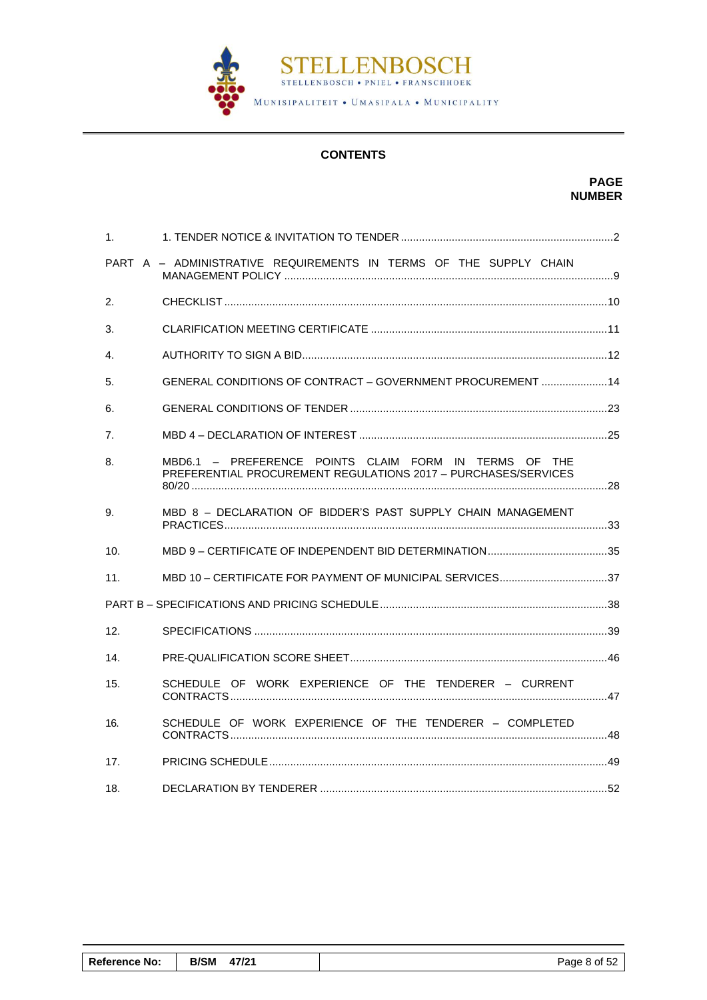

# **CONTENTS**

# **PAGE NUMBER**

| 1 <sub>1</sub>  |                                                                                                                         |  |
|-----------------|-------------------------------------------------------------------------------------------------------------------------|--|
|                 | PART A - ADMINISTRATIVE REQUIREMENTS IN TERMS OF THE SUPPLY CHAIN                                                       |  |
| 2.              |                                                                                                                         |  |
| 3.              |                                                                                                                         |  |
| 4.              |                                                                                                                         |  |
| 5.              | GENERAL CONDITIONS OF CONTRACT - GOVERNMENT PROCUREMENT  14                                                             |  |
| 6.              |                                                                                                                         |  |
| 7.              |                                                                                                                         |  |
| 8.              | MBD6.1 - PREFERENCE POINTS CLAIM FORM IN TERMS OF THE<br>PREFERENTIAL PROCUREMENT REGULATIONS 2017 - PURCHASES/SERVICES |  |
| 9.              | MBD 8 - DECLARATION OF BIDDER'S PAST SUPPLY CHAIN MANAGEMENT                                                            |  |
| 10.             |                                                                                                                         |  |
| 11.             | MBD 10 - CERTIFICATE FOR PAYMENT OF MUNICIPAL SERVICES37                                                                |  |
|                 |                                                                                                                         |  |
| 12.             |                                                                                                                         |  |
| 14.             |                                                                                                                         |  |
| 15.             | SCHEDULE OF WORK EXPERIENCE OF THE TENDERER - CURRENT                                                                   |  |
| 16.             | SCHEDULE OF WORK EXPERIENCE OF THE TENDERER - COMPLETED                                                                 |  |
| 17 <sub>1</sub> |                                                                                                                         |  |
| 18.             |                                                                                                                         |  |

| <b>Reference No:</b> | <b>B/SM</b><br>47/21 | Page 8 of 52 |
|----------------------|----------------------|--------------|
|                      |                      |              |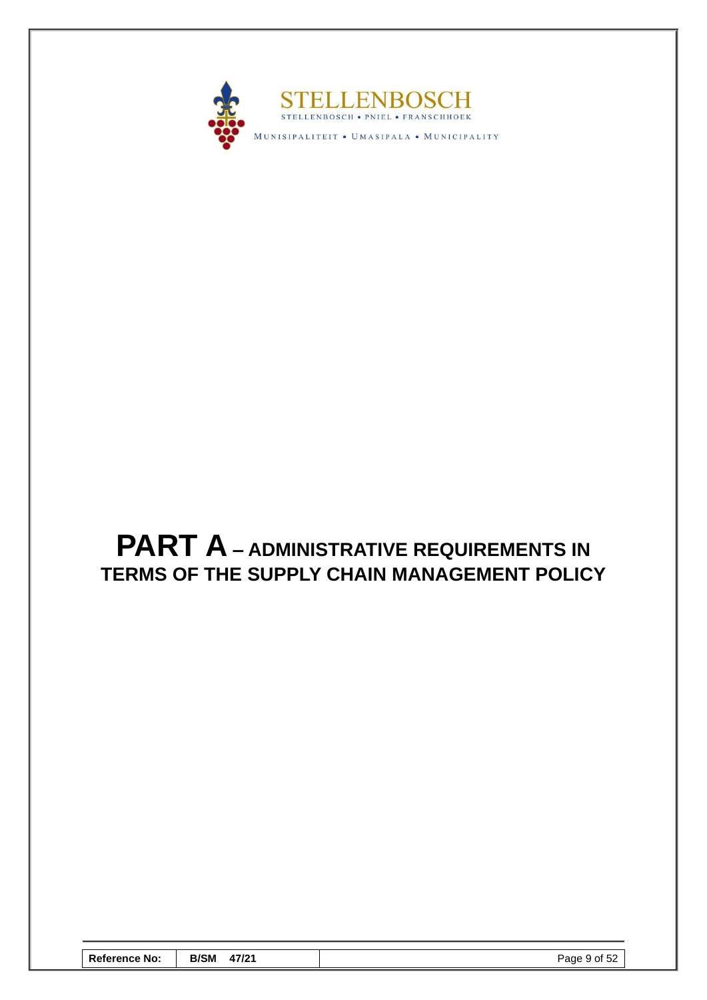

# <span id="page-10-0"></span>**PART A – ADMINISTRATIVE REQUIREMENTS IN TERMS OF THE SUPPLY CHAIN MANAGEMENT POLICY**

| <b>Reference No:</b> | <b>B/SM</b><br>47/21 | Page 9 of 52 |
|----------------------|----------------------|--------------|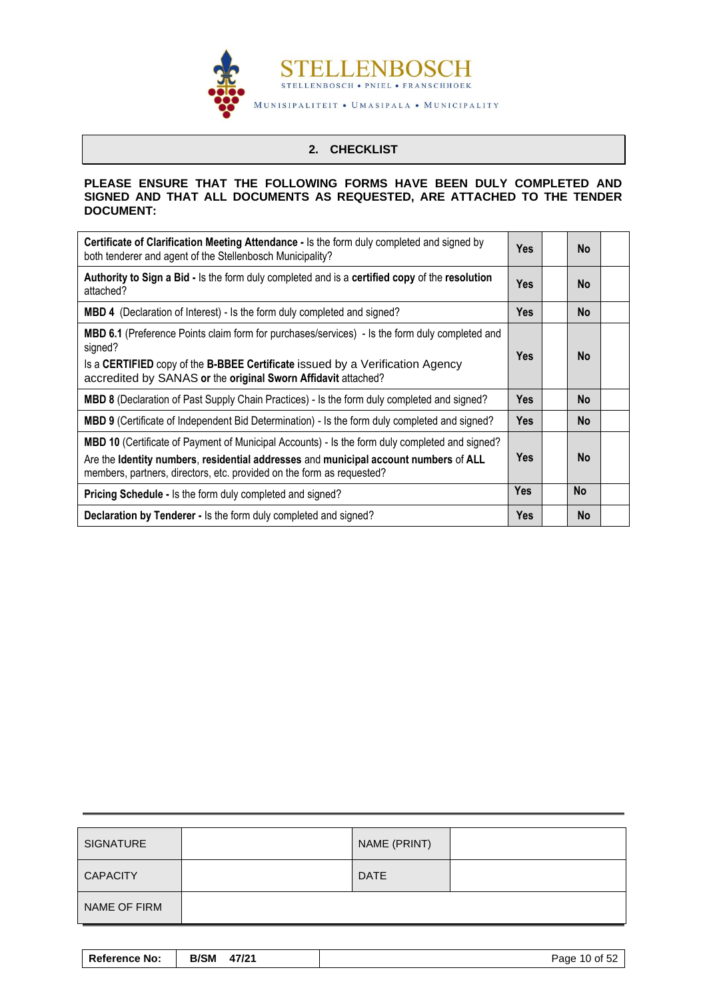

# **2. CHECKLIST**

#### <span id="page-11-0"></span>**PLEASE ENSURE THAT THE FOLLOWING FORMS HAVE BEEN DULY COMPLETED AND SIGNED AND THAT ALL DOCUMENTS AS REQUESTED, ARE ATTACHED TO THE TENDER DOCUMENT:**

| <b>Certificate of Clarification Meeting Attendance - Is the form duly completed and signed by</b><br>both tenderer and agent of the Stellenbosch Municipality?                                                                                                     | <b>Yes</b> | <b>No</b> |  |
|--------------------------------------------------------------------------------------------------------------------------------------------------------------------------------------------------------------------------------------------------------------------|------------|-----------|--|
| Authority to Sign a Bid - Is the form duly completed and is a certified copy of the resolution<br>attached?                                                                                                                                                        | <b>Yes</b> | <b>No</b> |  |
| <b>MBD 4</b> (Declaration of Interest) - Is the form duly completed and signed?                                                                                                                                                                                    | Yes        | <b>No</b> |  |
| <b>MBD 6.1</b> (Preference Points claim form for purchases/services) - Is the form duly completed and<br>signed?<br>Is a CERTIFIED copy of the B-BBEE Certificate issued by a Verification Agency<br>accredited by SANAS or the original Sworn Affidavit attached? | <b>Yes</b> | <b>No</b> |  |
| MBD 8 (Declaration of Past Supply Chain Practices) - Is the form duly completed and signed?                                                                                                                                                                        | <b>Yes</b> | <b>No</b> |  |
| MBD 9 (Certificate of Independent Bid Determination) - Is the form duly completed and signed?                                                                                                                                                                      | <b>Yes</b> | <b>No</b> |  |
| MBD 10 (Certificate of Payment of Municipal Accounts) - Is the form duly completed and signed?<br>Are the Identity numbers, residential addresses and municipal account numbers of ALL<br>members, partners, directors, etc. provided on the form as requested?    | <b>Yes</b> | <b>No</b> |  |
| <b>Pricing Schedule - Is the form duly completed and signed?</b>                                                                                                                                                                                                   | <b>Yes</b> | <b>No</b> |  |
| Declaration by Tenderer - Is the form duly completed and signed?                                                                                                                                                                                                   | <b>Yes</b> | <b>No</b> |  |

| <b>SIGNATURE</b> | NAME (PRINT) |  |
|------------------|--------------|--|
| <b>CAPACITY</b>  | <b>DATE</b>  |  |
| NAME OF FIRM     |              |  |

| <b>Reference No:</b> | <b>B/SM</b><br>47/21 | Page 10 of 52 |
|----------------------|----------------------|---------------|
|----------------------|----------------------|---------------|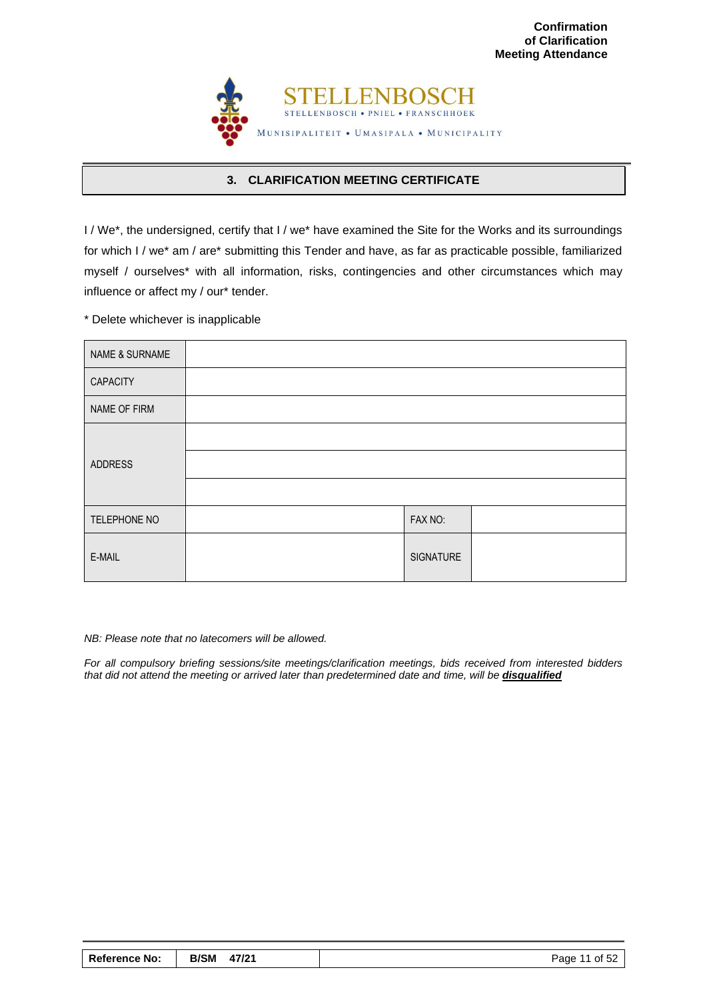

# **3. CLARIFICATION MEETING CERTIFICATE**

<span id="page-12-0"></span>I / We\*, the undersigned, certify that I / we\* have examined the Site for the Works and its surroundings for which I / we\* am / are\* submitting this Tender and have, as far as practicable possible, familiarized myself / ourselves\* with all information, risks, contingencies and other circumstances which may influence or affect my / our\* tender.

\* Delete whichever is inapplicable

| <b>NAME &amp; SURNAME</b> |           |  |
|---------------------------|-----------|--|
| <b>CAPACITY</b>           |           |  |
| NAME OF FIRM              |           |  |
|                           |           |  |
| <b>ADDRESS</b>            |           |  |
|                           |           |  |
| TELEPHONE NO              | FAX NO:   |  |
| E-MAIL                    | SIGNATURE |  |

#### *NB: Please note that no latecomers will be allowed.*

*For all compulsory briefing sessions/site meetings/clarification meetings, bids received from interested bidders that did not attend the meeting or arrived later than predetermined date and time, will be disqualified*

| <b>Reference No:</b> | <b>B/SM</b><br>47/21 | Page 11 of 52 |
|----------------------|----------------------|---------------|
|----------------------|----------------------|---------------|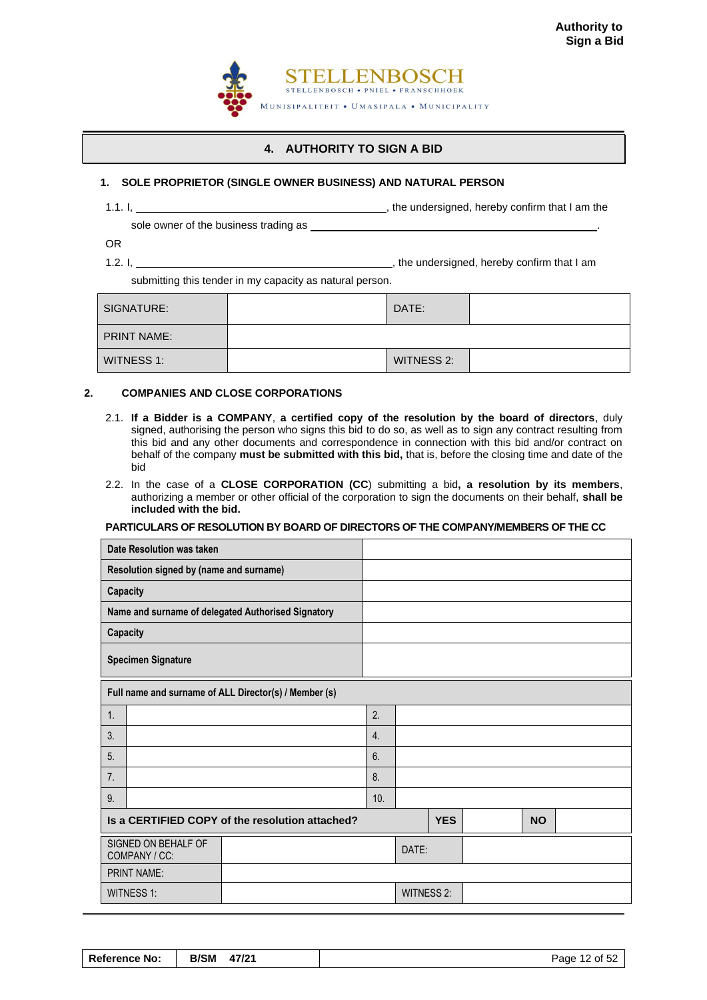

# **4. AUTHORITY TO SIGN A BID**

#### <span id="page-13-0"></span>**1. SOLE PROPRIETOR (SINGLE OWNER BUSINESS) AND NATURAL PERSON**

1.1. I,  $\frac{1}{1}$  am the undersigned, hereby confirm that I am the

sole owner of the business trading as \_\_\_\_\_\_

OR

1.2. I,  $\frac{1}{12}$  is the undersigned, hereby confirm that I am

submitting this tender in my capacity as natural person.

| SIGNATURE:         | DATE:      |  |
|--------------------|------------|--|
| <b>PRINT NAME:</b> |            |  |
| WITNESS 1:         | WITNESS 2: |  |

#### **2. COMPANIES AND CLOSE CORPORATIONS**

- 2.1. **If a Bidder is a COMPANY**, **a certified copy of the resolution by the board of directors**, duly signed, authorising the person who signs this bid to do so, as well as to sign any contract resulting from this bid and any other documents and correspondence in connection with this bid and/or contract on behalf of the company **must be submitted with this bid,** that is, before the closing time and date of the bid
- 2.2. In the case of a **CLOSE CORPORATION (CC**) submitting a bid**, a resolution by its members**, authorizing a member or other official of the corporation to sign the documents on their behalf, **shall be included with the bid.**

#### **PARTICULARS OF RESOLUTION BY BOARD OF DIRECTORS OF THE COMPANY/MEMBERS OF THE CC**

|                                      | Date Resolution was taken                             |                  |                   |            |  |           |  |
|--------------------------------------|-------------------------------------------------------|------------------|-------------------|------------|--|-----------|--|
|                                      | Resolution signed by (name and surname)               |                  |                   |            |  |           |  |
| Capacity                             |                                                       |                  |                   |            |  |           |  |
|                                      | Name and surname of delegated Authorised Signatory    |                  |                   |            |  |           |  |
| <b>Capacity</b>                      |                                                       |                  |                   |            |  |           |  |
|                                      | <b>Specimen Signature</b>                             |                  |                   |            |  |           |  |
|                                      | Full name and surname of ALL Director(s) / Member (s) |                  |                   |            |  |           |  |
| 1.                                   |                                                       | 2.               |                   |            |  |           |  |
| 3.                                   |                                                       | $\overline{4}$ . |                   |            |  |           |  |
| 5.                                   |                                                       | 6.               |                   |            |  |           |  |
| 7.                                   |                                                       | 8.               |                   |            |  |           |  |
| 9.                                   |                                                       | 10.              |                   |            |  |           |  |
|                                      | Is a CERTIFIED COPY of the resolution attached?       |                  |                   | <b>YES</b> |  | <b>NO</b> |  |
| SIGNED ON BEHALF OF<br>COMPANY / CC: |                                                       |                  | DATE:             |            |  |           |  |
|                                      | <b>PRINT NAME:</b>                                    |                  |                   |            |  |           |  |
|                                      | <b>WITNESS 1:</b>                                     |                  | <b>WITNESS 2:</b> |            |  |           |  |

| <b>Reference No:</b> | B/SM 47/21 | Page 12 of 52 |
|----------------------|------------|---------------|
|----------------------|------------|---------------|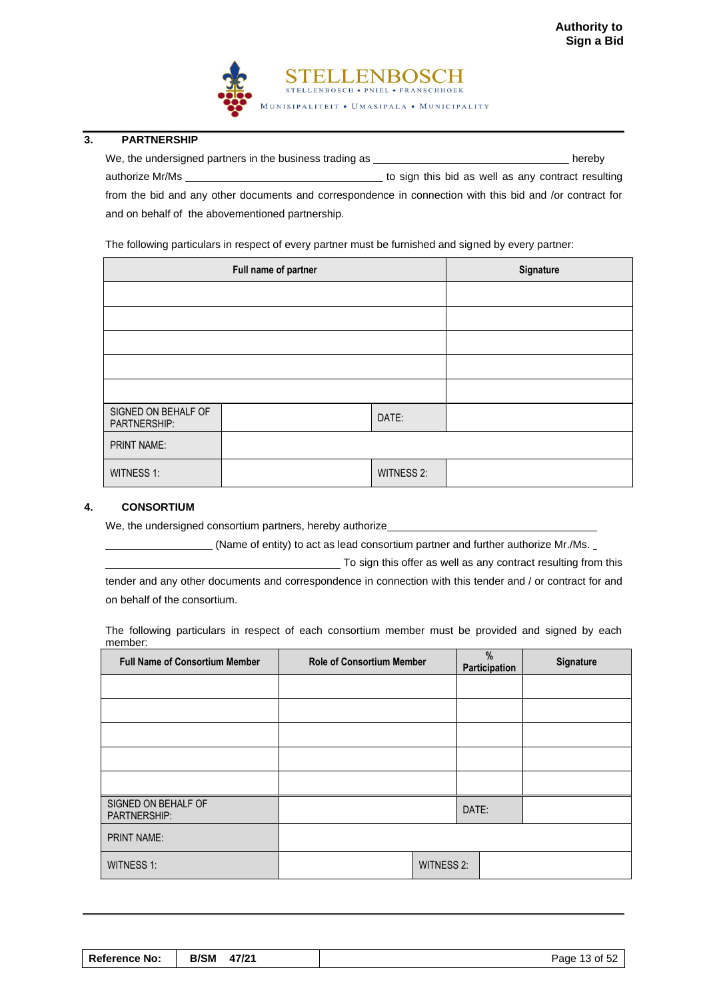

#### **3. PARTNERSHIP**

We, the undersigned partners in the business trading as **hereby** hereby authorize Mr/Ms **the Mr/Ms** to sign this bid as well as any contract resulting from the bid and any other documents and correspondence in connection with this bid and /or contract for

and on behalf of the abovementioned partnership.

The following particulars in respect of every partner must be furnished and signed by every partner:

| Full name of partner                |  |                   | Signature |
|-------------------------------------|--|-------------------|-----------|
|                                     |  |                   |           |
|                                     |  |                   |           |
|                                     |  |                   |           |
|                                     |  |                   |           |
|                                     |  |                   |           |
| SIGNED ON BEHALF OF<br>PARTNERSHIP: |  | DATE:             |           |
| PRINT NAME:                         |  |                   |           |
| <b>WITNESS 1:</b>                   |  | <b>WITNESS 2:</b> |           |

### **4. CONSORTIUM**

We, the undersigned consortium partners, hereby authorize

(Name of entity) to act as lead consortium partner and further authorize Mr./Ms.

To sign this offer as well as any contract resulting from this

tender and any other documents and correspondence in connection with this tender and / or contract for and on behalf of the consortium.

The following particulars in respect of each consortium member must be provided and signed by each member:

| <b>Full Name of Consortium Member</b> | <b>Role of Consortium Member</b> |                   | %<br>Participation | Signature |
|---------------------------------------|----------------------------------|-------------------|--------------------|-----------|
|                                       |                                  |                   |                    |           |
|                                       |                                  |                   |                    |           |
|                                       |                                  |                   |                    |           |
|                                       |                                  |                   |                    |           |
|                                       |                                  |                   |                    |           |
| SIGNED ON BEHALF OF<br>PARTNERSHIP:   |                                  | DATE:             |                    |           |
| <b>PRINT NAME:</b>                    |                                  |                   |                    |           |
| <b>WITNESS 1:</b>                     |                                  | <b>WITNESS 2:</b> |                    |           |

| <b>Reference No:</b> | B/SM 47/21 | Page 13 of 52 |
|----------------------|------------|---------------|
|----------------------|------------|---------------|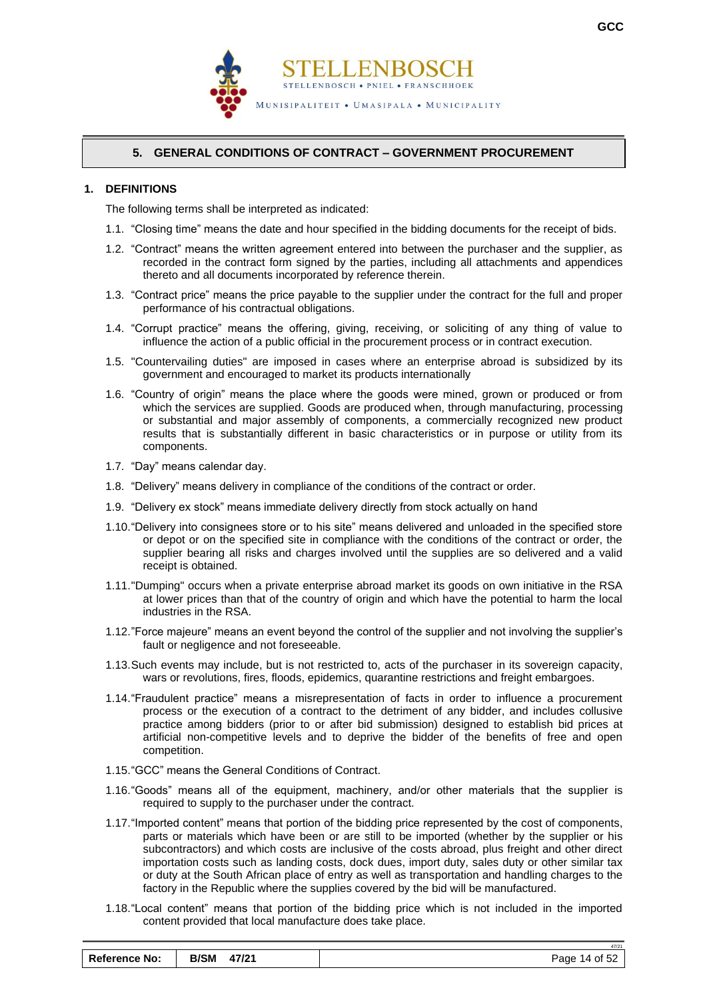



# **5. GENERAL CONDITIONS OF CONTRACT – GOVERNMENT PROCUREMENT**

#### <span id="page-15-0"></span>**1. DEFINITIONS**

The following terms shall be interpreted as indicated:

- 1.1. "Closing time" means the date and hour specified in the bidding documents for the receipt of bids.
- 1.2. "Contract" means the written agreement entered into between the purchaser and the supplier, as recorded in the contract form signed by the parties, including all attachments and appendices thereto and all documents incorporated by reference therein.
- 1.3. "Contract price" means the price payable to the supplier under the contract for the full and proper performance of his contractual obligations.
- 1.4. "Corrupt practice" means the offering, giving, receiving, or soliciting of any thing of value to influence the action of a public official in the procurement process or in contract execution.
- 1.5. "Countervailing duties" are imposed in cases where an enterprise abroad is subsidized by its government and encouraged to market its products internationally
- 1.6. "Country of origin" means the place where the goods were mined, grown or produced or from which the services are supplied. Goods are produced when, through manufacturing, processing or substantial and major assembly of components, a commercially recognized new product results that is substantially different in basic characteristics or in purpose or utility from its components.
- 1.7. "Day" means calendar day.
- 1.8. "Delivery" means delivery in compliance of the conditions of the contract or order.
- 1.9. "Delivery ex stock" means immediate delivery directly from stock actually on hand
- 1.10."Delivery into consignees store or to his site" means delivered and unloaded in the specified store or depot or on the specified site in compliance with the conditions of the contract or order, the supplier bearing all risks and charges involved until the supplies are so delivered and a valid receipt is obtained.
- 1.11."Dumping" occurs when a private enterprise abroad market its goods on own initiative in the RSA at lower prices than that of the country of origin and which have the potential to harm the local industries in the RSA.
- 1.12."Force majeure" means an event beyond the control of the supplier and not involving the supplier's fault or negligence and not foreseeable.
- 1.13.Such events may include, but is not restricted to, acts of the purchaser in its sovereign capacity, wars or revolutions, fires, floods, epidemics, quarantine restrictions and freight embargoes.
- 1.14."Fraudulent practice" means a misrepresentation of facts in order to influence a procurement process or the execution of a contract to the detriment of any bidder, and includes collusive practice among bidders (prior to or after bid submission) designed to establish bid prices at artificial non-competitive levels and to deprive the bidder of the benefits of free and open competition.
- 1.15."GCC" means the General Conditions of Contract.
- 1.16."Goods" means all of the equipment, machinery, and/or other materials that the supplier is required to supply to the purchaser under the contract.
- 1.17."Imported content" means that portion of the bidding price represented by the cost of components, parts or materials which have been or are still to be imported (whether by the supplier or his subcontractors) and which costs are inclusive of the costs abroad, plus freight and other direct importation costs such as landing costs, dock dues, import duty, sales duty or other similar tax or duty at the South African place of entry as well as transportation and handling charges to the factory in the Republic where the supplies covered by the bid will be manufactured.
- 1.18."Local content" means that portion of the bidding price which is not included in the imported content provided that local manufacture does take place.

| <b>Reference No:</b> | <b>B/SM</b><br>47/21 | Page 14 of 52 |
|----------------------|----------------------|---------------|
|----------------------|----------------------|---------------|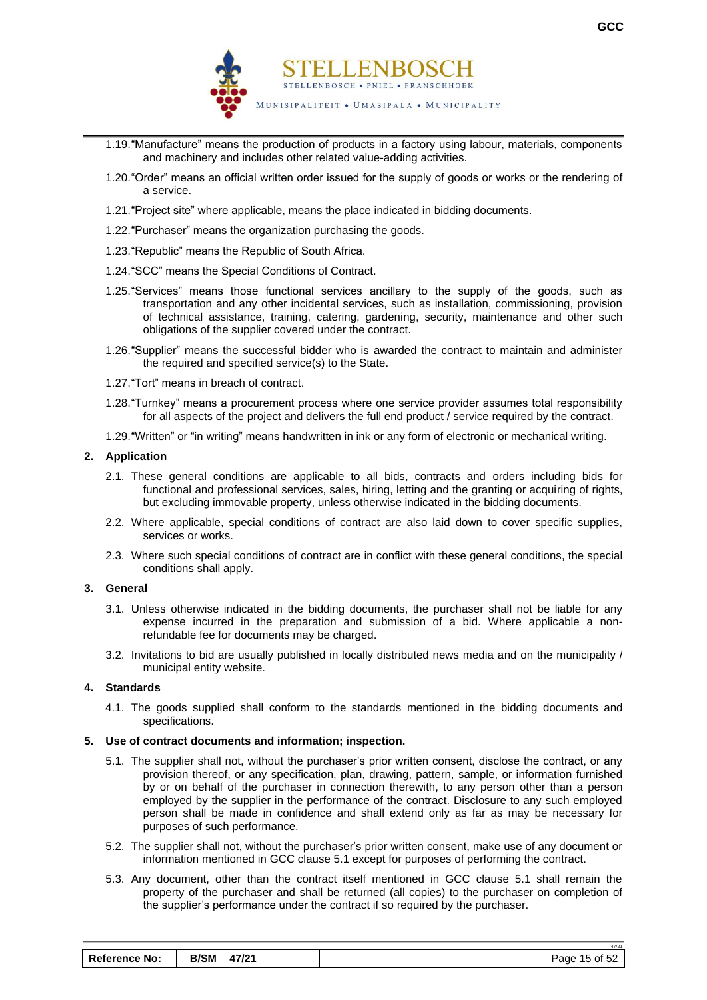

- 1.19."Manufacture" means the production of products in a factory using labour, materials, components and machinery and includes other related value-adding activities.
- 1.20."Order" means an official written order issued for the supply of goods or works or the rendering of a service.
- 1.21."Project site" where applicable, means the place indicated in bidding documents.
- 1.22."Purchaser" means the organization purchasing the goods.
- 1.23."Republic" means the Republic of South Africa.
- 1.24."SCC" means the Special Conditions of Contract.
- 1.25."Services" means those functional services ancillary to the supply of the goods, such as transportation and any other incidental services, such as installation, commissioning, provision of technical assistance, training, catering, gardening, security, maintenance and other such obligations of the supplier covered under the contract.
- 1.26."Supplier" means the successful bidder who is awarded the contract to maintain and administer the required and specified service(s) to the State.
- 1.27."Tort" means in breach of contract.
- 1.28."Turnkey" means a procurement process where one service provider assumes total responsibility for all aspects of the project and delivers the full end product / service required by the contract.
- 1.29."Written" or "in writing" means handwritten in ink or any form of electronic or mechanical writing.

#### **2. Application**

- 2.1. These general conditions are applicable to all bids, contracts and orders including bids for functional and professional services, sales, hiring, letting and the granting or acquiring of rights, but excluding immovable property, unless otherwise indicated in the bidding documents.
- 2.2. Where applicable, special conditions of contract are also laid down to cover specific supplies, services or works.
- 2.3. Where such special conditions of contract are in conflict with these general conditions, the special conditions shall apply.

#### **3. General**

- 3.1. Unless otherwise indicated in the bidding documents, the purchaser shall not be liable for any expense incurred in the preparation and submission of a bid. Where applicable a nonrefundable fee for documents may be charged.
- 3.2. Invitations to bid are usually published in locally distributed news media and on the municipality / municipal entity website.

#### **4. Standards**

4.1. The goods supplied shall conform to the standards mentioned in the bidding documents and specifications.

#### **5. Use of contract documents and information; inspection.**

- 5.1. The supplier shall not, without the purchaser's prior written consent, disclose the contract, or any provision thereof, or any specification, plan, drawing, pattern, sample, or information furnished by or on behalf of the purchaser in connection therewith, to any person other than a person employed by the supplier in the performance of the contract. Disclosure to any such employed person shall be made in confidence and shall extend only as far as may be necessary for purposes of such performance.
- 5.2. The supplier shall not, without the purchaser's prior written consent, make use of any document or information mentioned in GCC clause 5.1 except for purposes of performing the contract.
- 5.3. Any document, other than the contract itself mentioned in GCC clause 5.1 shall remain the property of the purchaser and shall be returned (all copies) to the purchaser on completion of the supplier's performance under the contract if so required by the purchaser.

| <b>Reference No:</b> | <b>B/SM</b><br>47/21 | Page 15 of 52 |
|----------------------|----------------------|---------------|
|----------------------|----------------------|---------------|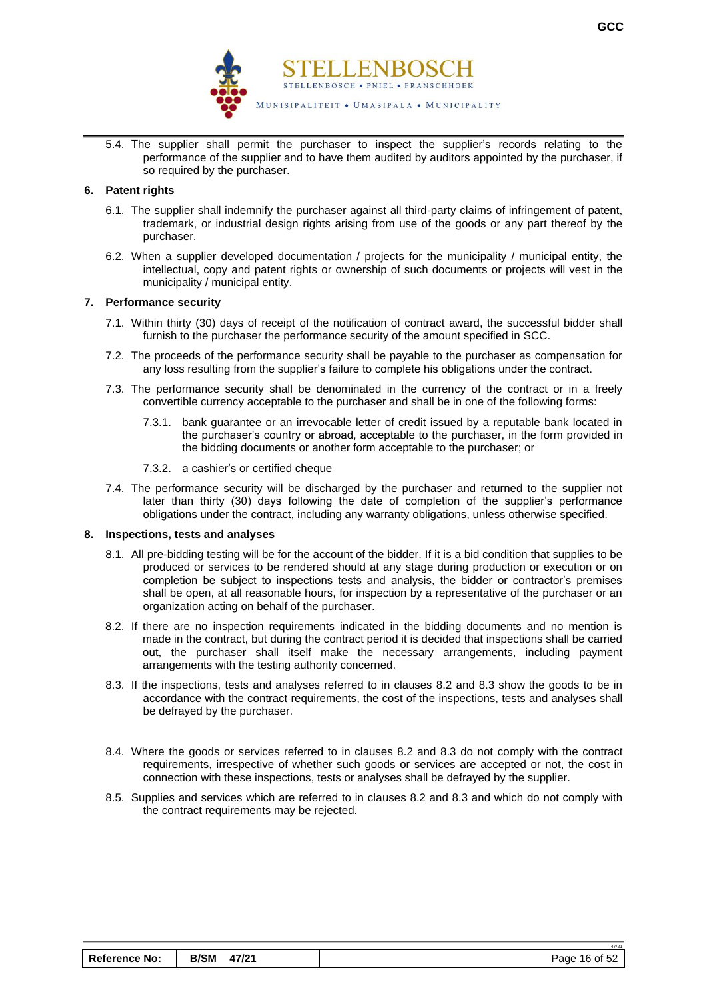

5.4. The supplier shall permit the purchaser to inspect the supplier's records relating to the performance of the supplier and to have them audited by auditors appointed by the purchaser, if so required by the purchaser.

#### **6. Patent rights**

- 6.1. The supplier shall indemnify the purchaser against all third-party claims of infringement of patent, trademark, or industrial design rights arising from use of the goods or any part thereof by the purchaser.
- 6.2. When a supplier developed documentation / projects for the municipality / municipal entity, the intellectual, copy and patent rights or ownership of such documents or projects will vest in the municipality / municipal entity.

#### **7. Performance security**

- 7.1. Within thirty (30) days of receipt of the notification of contract award, the successful bidder shall furnish to the purchaser the performance security of the amount specified in SCC.
- 7.2. The proceeds of the performance security shall be payable to the purchaser as compensation for any loss resulting from the supplier's failure to complete his obligations under the contract.
- 7.3. The performance security shall be denominated in the currency of the contract or in a freely convertible currency acceptable to the purchaser and shall be in one of the following forms:
	- 7.3.1. bank guarantee or an irrevocable letter of credit issued by a reputable bank located in the purchaser's country or abroad, acceptable to the purchaser, in the form provided in the bidding documents or another form acceptable to the purchaser; or
	- 7.3.2. a cashier's or certified cheque
- 7.4. The performance security will be discharged by the purchaser and returned to the supplier not later than thirty (30) days following the date of completion of the supplier's performance obligations under the contract, including any warranty obligations, unless otherwise specified.

#### **8. Inspections, tests and analyses**

- 8.1. All pre-bidding testing will be for the account of the bidder. If it is a bid condition that supplies to be produced or services to be rendered should at any stage during production or execution or on completion be subject to inspections tests and analysis, the bidder or contractor's premises shall be open, at all reasonable hours, for inspection by a representative of the purchaser or an organization acting on behalf of the purchaser.
- 8.2. If there are no inspection requirements indicated in the bidding documents and no mention is made in the contract, but during the contract period it is decided that inspections shall be carried out, the purchaser shall itself make the necessary arrangements, including payment arrangements with the testing authority concerned.
- 8.3. If the inspections, tests and analyses referred to in clauses 8.2 and 8.3 show the goods to be in accordance with the contract requirements, the cost of the inspections, tests and analyses shall be defrayed by the purchaser.
- 8.4. Where the goods or services referred to in clauses 8.2 and 8.3 do not comply with the contract requirements, irrespective of whether such goods or services are accepted or not, the cost in connection with these inspections, tests or analyses shall be defrayed by the supplier.
- 8.5. Supplies and services which are referred to in clauses 8.2 and 8.3 and which do not comply with the contract requirements may be rejected.

47/21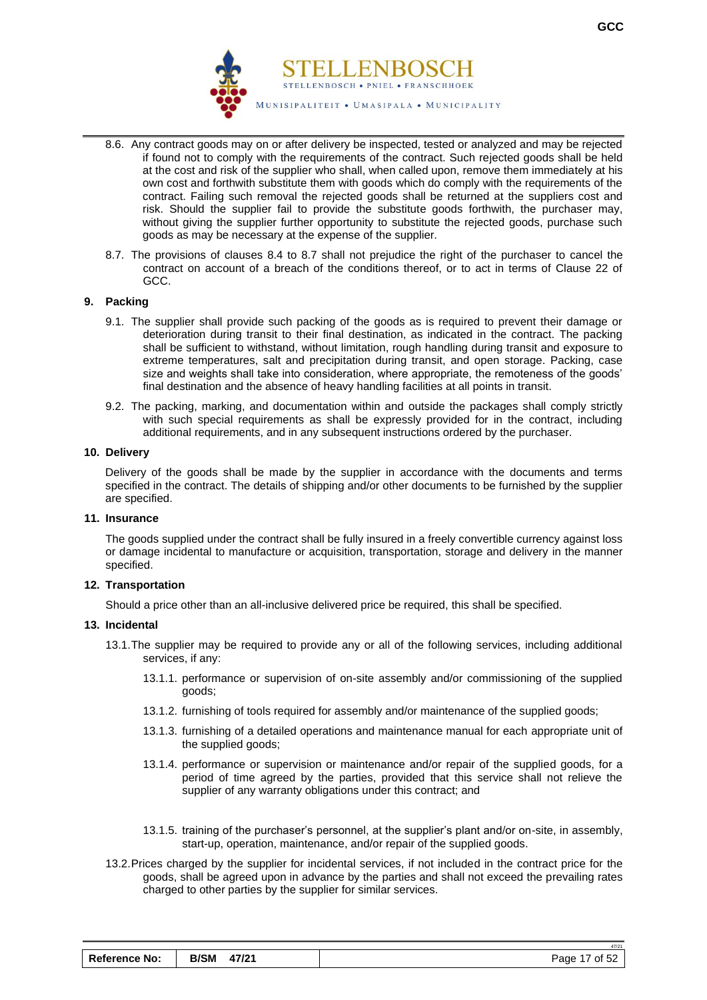

- 8.6. Any contract goods may on or after delivery be inspected, tested or analyzed and may be rejected if found not to comply with the requirements of the contract. Such rejected goods shall be held at the cost and risk of the supplier who shall, when called upon, remove them immediately at his own cost and forthwith substitute them with goods which do comply with the requirements of the contract. Failing such removal the rejected goods shall be returned at the suppliers cost and risk. Should the supplier fail to provide the substitute goods forthwith, the purchaser may, without giving the supplier further opportunity to substitute the rejected goods, purchase such goods as may be necessary at the expense of the supplier.
- 8.7. The provisions of clauses 8.4 to 8.7 shall not prejudice the right of the purchaser to cancel the contract on account of a breach of the conditions thereof, or to act in terms of Clause 22 of GCC.

#### **9. Packing**

- 9.1. The supplier shall provide such packing of the goods as is required to prevent their damage or deterioration during transit to their final destination, as indicated in the contract. The packing shall be sufficient to withstand, without limitation, rough handling during transit and exposure to extreme temperatures, salt and precipitation during transit, and open storage. Packing, case size and weights shall take into consideration, where appropriate, the remoteness of the goods' final destination and the absence of heavy handling facilities at all points in transit.
- 9.2. The packing, marking, and documentation within and outside the packages shall comply strictly with such special requirements as shall be expressly provided for in the contract, including additional requirements, and in any subsequent instructions ordered by the purchaser.

#### **10. Delivery**

Delivery of the goods shall be made by the supplier in accordance with the documents and terms specified in the contract. The details of shipping and/or other documents to be furnished by the supplier are specified.

#### **11. Insurance**

The goods supplied under the contract shall be fully insured in a freely convertible currency against loss or damage incidental to manufacture or acquisition, transportation, storage and delivery in the manner specified.

#### **12. Transportation**

Should a price other than an all-inclusive delivered price be required, this shall be specified.

#### **13. Incidental**

- 13.1.The supplier may be required to provide any or all of the following services, including additional services, if any:
	- 13.1.1. performance or supervision of on-site assembly and/or commissioning of the supplied goods;
	- 13.1.2. furnishing of tools required for assembly and/or maintenance of the supplied goods;
	- 13.1.3. furnishing of a detailed operations and maintenance manual for each appropriate unit of the supplied goods;
	- 13.1.4. performance or supervision or maintenance and/or repair of the supplied goods, for a period of time agreed by the parties, provided that this service shall not relieve the supplier of any warranty obligations under this contract; and
	- 13.1.5. training of the purchaser's personnel, at the supplier's plant and/or on-site, in assembly, start-up, operation, maintenance, and/or repair of the supplied goods.
- 13.2.Prices charged by the supplier for incidental services, if not included in the contract price for the goods, shall be agreed upon in advance by the parties and shall not exceed the prevailing rates charged to other parties by the supplier for similar services.

| <b>Reference No:</b> | <b>B/SM 47/21</b> | Page 17 of 52 |
|----------------------|-------------------|---------------|
|----------------------|-------------------|---------------|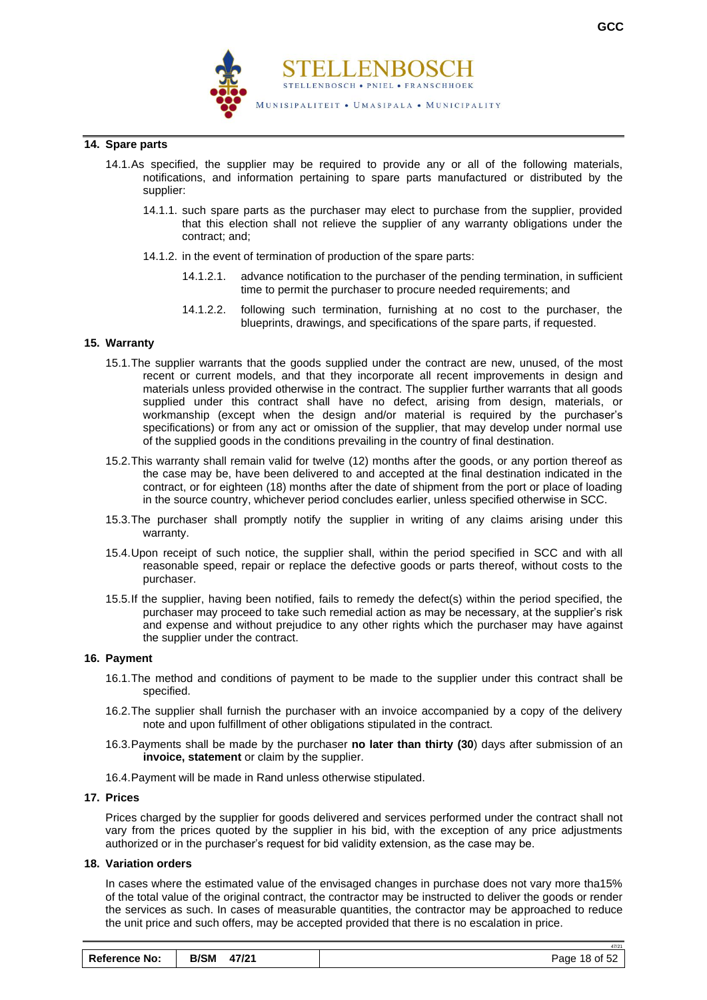

#### **14. Spare parts**

- 14.1.As specified, the supplier may be required to provide any or all of the following materials, notifications, and information pertaining to spare parts manufactured or distributed by the supplier:
	- 14.1.1. such spare parts as the purchaser may elect to purchase from the supplier, provided that this election shall not relieve the supplier of any warranty obligations under the contract; and;
	- 14.1.2. in the event of termination of production of the spare parts:
		- 14.1.2.1. advance notification to the purchaser of the pending termination, in sufficient time to permit the purchaser to procure needed requirements; and
		- 14.1.2.2. following such termination, furnishing at no cost to the purchaser, the blueprints, drawings, and specifications of the spare parts, if requested.

#### **15. Warranty**

- 15.1.The supplier warrants that the goods supplied under the contract are new, unused, of the most recent or current models, and that they incorporate all recent improvements in design and materials unless provided otherwise in the contract. The supplier further warrants that all goods supplied under this contract shall have no defect, arising from design, materials, or workmanship (except when the design and/or material is required by the purchaser's specifications) or from any act or omission of the supplier, that may develop under normal use of the supplied goods in the conditions prevailing in the country of final destination.
- 15.2.This warranty shall remain valid for twelve (12) months after the goods, or any portion thereof as the case may be, have been delivered to and accepted at the final destination indicated in the contract, or for eighteen (18) months after the date of shipment from the port or place of loading in the source country, whichever period concludes earlier, unless specified otherwise in SCC.
- 15.3.The purchaser shall promptly notify the supplier in writing of any claims arising under this warranty.
- 15.4.Upon receipt of such notice, the supplier shall, within the period specified in SCC and with all reasonable speed, repair or replace the defective goods or parts thereof, without costs to the purchaser.
- 15.5.If the supplier, having been notified, fails to remedy the defect(s) within the period specified, the purchaser may proceed to take such remedial action as may be necessary, at the supplier's risk and expense and without prejudice to any other rights which the purchaser may have against the supplier under the contract.

#### **16. Payment**

- 16.1.The method and conditions of payment to be made to the supplier under this contract shall be specified.
- 16.2.The supplier shall furnish the purchaser with an invoice accompanied by a copy of the delivery note and upon fulfillment of other obligations stipulated in the contract.
- 16.3.Payments shall be made by the purchaser **no later than thirty (30**) days after submission of an **invoice, statement** or claim by the supplier.
- 16.4.Payment will be made in Rand unless otherwise stipulated.

#### **17. Prices**

Prices charged by the supplier for goods delivered and services performed under the contract shall not vary from the prices quoted by the supplier in his bid, with the exception of any price adjustments authorized or in the purchaser's request for bid validity extension, as the case may be.

#### **18. Variation orders**

In cases where the estimated value of the envisaged changes in purchase does not vary more tha15% of the total value of the original contract, the contractor may be instructed to deliver the goods or render the services as such. In cases of measurable quantities, the contractor may be approached to reduce the unit price and such offers, may be accepted provided that there is no escalation in price.

| <b>Reference No:</b> | <b>B/SM</b><br>47/21 | Page 18 of 52 |
|----------------------|----------------------|---------------|
|----------------------|----------------------|---------------|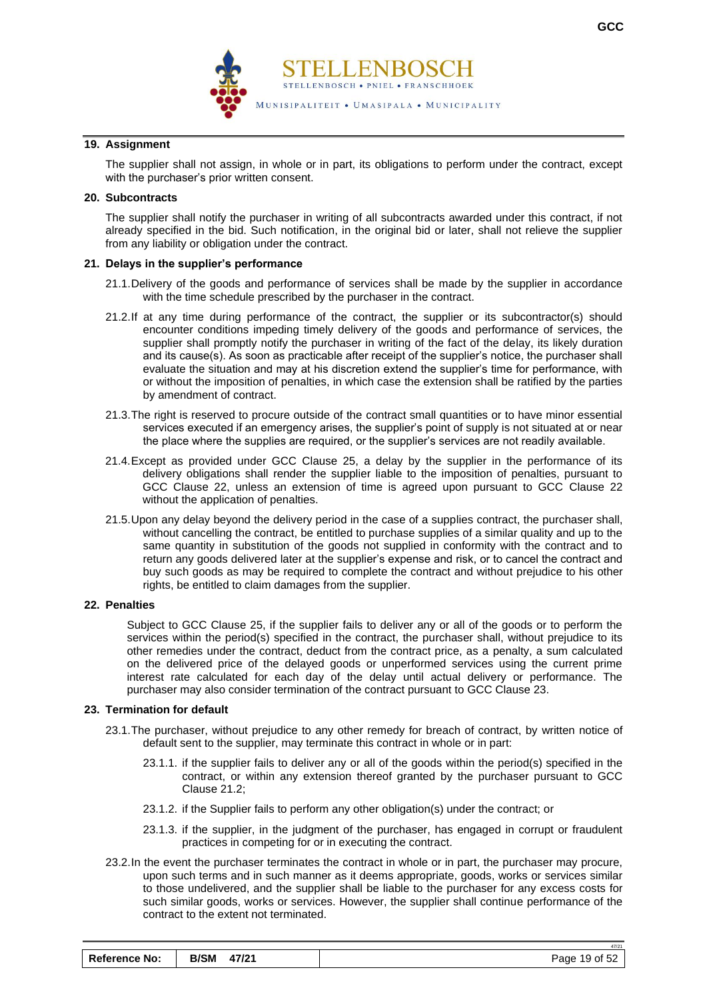

#### **19. Assignment**

The supplier shall not assign, in whole or in part, its obligations to perform under the contract, except with the purchaser's prior written consent.

#### **20. Subcontracts**

The supplier shall notify the purchaser in writing of all subcontracts awarded under this contract, if not already specified in the bid. Such notification, in the original bid or later, shall not relieve the supplier from any liability or obligation under the contract.

#### **21. Delays in the supplier's performance**

- 21.1.Delivery of the goods and performance of services shall be made by the supplier in accordance with the time schedule prescribed by the purchaser in the contract.
- 21.2.If at any time during performance of the contract, the supplier or its subcontractor(s) should encounter conditions impeding timely delivery of the goods and performance of services, the supplier shall promptly notify the purchaser in writing of the fact of the delay, its likely duration and its cause(s). As soon as practicable after receipt of the supplier's notice, the purchaser shall evaluate the situation and may at his discretion extend the supplier's time for performance, with or without the imposition of penalties, in which case the extension shall be ratified by the parties by amendment of contract.
- 21.3.The right is reserved to procure outside of the contract small quantities or to have minor essential services executed if an emergency arises, the supplier's point of supply is not situated at or near the place where the supplies are required, or the supplier's services are not readily available.
- 21.4.Except as provided under GCC Clause 25, a delay by the supplier in the performance of its delivery obligations shall render the supplier liable to the imposition of penalties, pursuant to GCC Clause 22, unless an extension of time is agreed upon pursuant to GCC Clause 22 without the application of penalties.
- 21.5.Upon any delay beyond the delivery period in the case of a supplies contract, the purchaser shall, without cancelling the contract, be entitled to purchase supplies of a similar quality and up to the same quantity in substitution of the goods not supplied in conformity with the contract and to return any goods delivered later at the supplier's expense and risk, or to cancel the contract and buy such goods as may be required to complete the contract and without prejudice to his other rights, be entitled to claim damages from the supplier.

#### **22. Penalties**

Subject to GCC Clause 25, if the supplier fails to deliver any or all of the goods or to perform the services within the period(s) specified in the contract, the purchaser shall, without prejudice to its other remedies under the contract, deduct from the contract price, as a penalty, a sum calculated on the delivered price of the delayed goods or unperformed services using the current prime interest rate calculated for each day of the delay until actual delivery or performance. The purchaser may also consider termination of the contract pursuant to GCC Clause 23.

#### **23. Termination for default**

- 23.1.The purchaser, without prejudice to any other remedy for breach of contract, by written notice of default sent to the supplier, may terminate this contract in whole or in part:
	- 23.1.1. if the supplier fails to deliver any or all of the goods within the period(s) specified in the contract, or within any extension thereof granted by the purchaser pursuant to GCC Clause 21.2;
	- 23.1.2. if the Supplier fails to perform any other obligation(s) under the contract; or
	- 23.1.3. if the supplier, in the judgment of the purchaser, has engaged in corrupt or fraudulent practices in competing for or in executing the contract.
- 23.2.In the event the purchaser terminates the contract in whole or in part, the purchaser may procure, upon such terms and in such manner as it deems appropriate, goods, works or services similar to those undelivered, and the supplier shall be liable to the purchaser for any excess costs for such similar goods, works or services. However, the supplier shall continue performance of the contract to the extent not terminated.

| <b>Reference No:</b> | <b>B/SM</b><br>47/21 | Page 19 of 52 |
|----------------------|----------------------|---------------|
|----------------------|----------------------|---------------|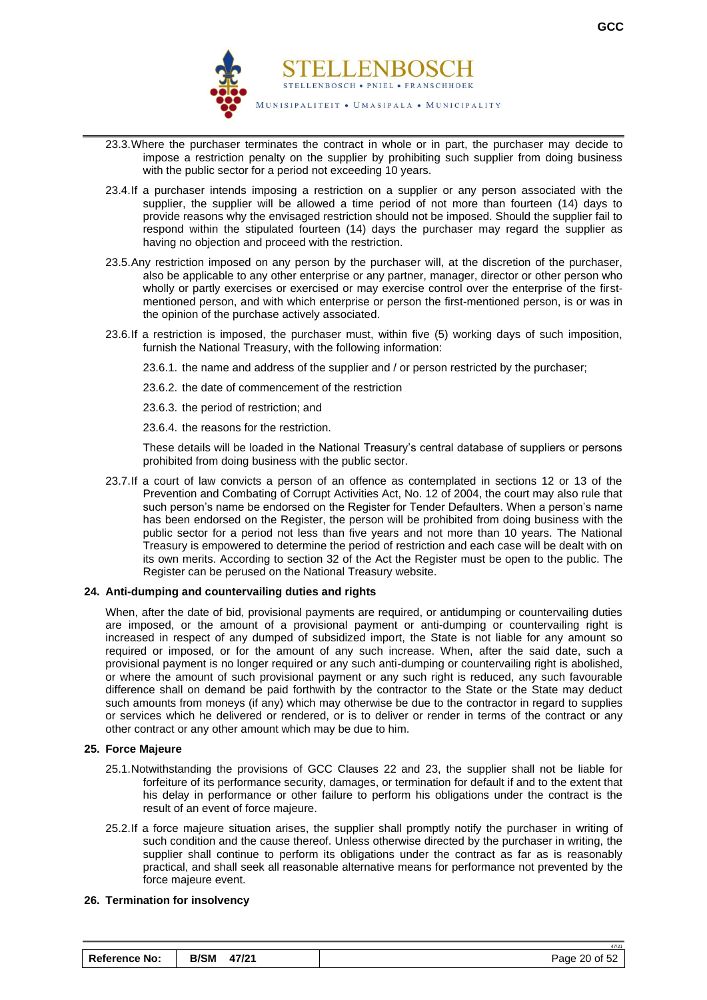

- 23.3.Where the purchaser terminates the contract in whole or in part, the purchaser may decide to impose a restriction penalty on the supplier by prohibiting such supplier from doing business with the public sector for a period not exceeding 10 years.
- 23.4.If a purchaser intends imposing a restriction on a supplier or any person associated with the supplier, the supplier will be allowed a time period of not more than fourteen (14) days to provide reasons why the envisaged restriction should not be imposed. Should the supplier fail to respond within the stipulated fourteen (14) days the purchaser may regard the supplier as having no objection and proceed with the restriction.
- 23.5.Any restriction imposed on any person by the purchaser will, at the discretion of the purchaser, also be applicable to any other enterprise or any partner, manager, director or other person who wholly or partly exercises or exercised or may exercise control over the enterprise of the firstmentioned person, and with which enterprise or person the first-mentioned person, is or was in the opinion of the purchase actively associated.
- 23.6.If a restriction is imposed, the purchaser must, within five (5) working days of such imposition, furnish the National Treasury, with the following information:
	- 23.6.1. the name and address of the supplier and / or person restricted by the purchaser;
	- 23.6.2. the date of commencement of the restriction
	- 23.6.3. the period of restriction; and
	- 23.6.4. the reasons for the restriction.

These details will be loaded in the National Treasury's central database of suppliers or persons prohibited from doing business with the public sector.

23.7.If a court of law convicts a person of an offence as contemplated in sections 12 or 13 of the Prevention and Combating of Corrupt Activities Act, No. 12 of 2004, the court may also rule that such person's name be endorsed on the Register for Tender Defaulters. When a person's name has been endorsed on the Register, the person will be prohibited from doing business with the public sector for a period not less than five years and not more than 10 years. The National Treasury is empowered to determine the period of restriction and each case will be dealt with on its own merits. According to section 32 of the Act the Register must be open to the public. The Register can be perused on the National Treasury website.

#### **24. Anti-dumping and countervailing duties and rights**

When, after the date of bid, provisional payments are required, or antidumping or countervailing duties are imposed, or the amount of a provisional payment or anti-dumping or countervailing right is increased in respect of any dumped of subsidized import, the State is not liable for any amount so required or imposed, or for the amount of any such increase. When, after the said date, such a provisional payment is no longer required or any such anti-dumping or countervailing right is abolished, or where the amount of such provisional payment or any such right is reduced, any such favourable difference shall on demand be paid forthwith by the contractor to the State or the State may deduct such amounts from moneys (if any) which may otherwise be due to the contractor in regard to supplies or services which he delivered or rendered, or is to deliver or render in terms of the contract or any other contract or any other amount which may be due to him.

#### **25. Force Majeure**

- 25.1.Notwithstanding the provisions of GCC Clauses 22 and 23, the supplier shall not be liable for forfeiture of its performance security, damages, or termination for default if and to the extent that his delay in performance or other failure to perform his obligations under the contract is the result of an event of force majeure.
- 25.2.If a force majeure situation arises, the supplier shall promptly notify the purchaser in writing of such condition and the cause thereof. Unless otherwise directed by the purchaser in writing, the supplier shall continue to perform its obligations under the contract as far as is reasonably practical, and shall seek all reasonable alternative means for performance not prevented by the force majeure event.

#### **26. Termination for insolvency**

| <b>B/SM</b><br><b>Reference No:</b><br>47/21 | Page 20 of 52 |
|----------------------------------------------|---------------|
|----------------------------------------------|---------------|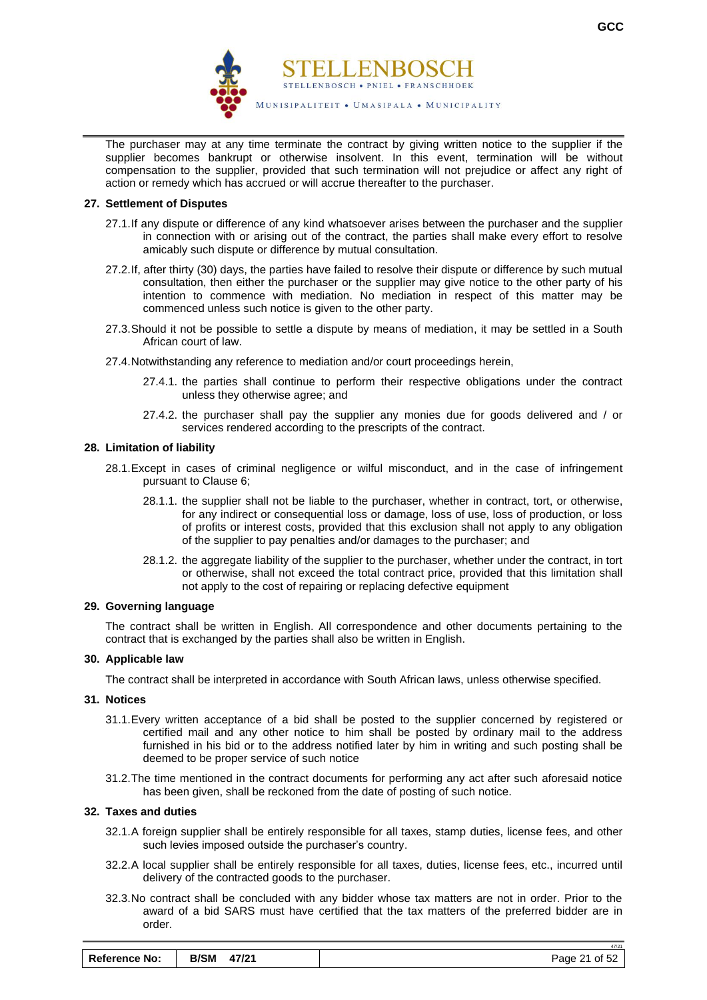

The purchaser may at any time terminate the contract by giving written notice to the supplier if the supplier becomes bankrupt or otherwise insolvent. In this event, termination will be without compensation to the supplier, provided that such termination will not prejudice or affect any right of action or remedy which has accrued or will accrue thereafter to the purchaser.

#### **27. Settlement of Disputes**

- 27.1.If any dispute or difference of any kind whatsoever arises between the purchaser and the supplier in connection with or arising out of the contract, the parties shall make every effort to resolve amicably such dispute or difference by mutual consultation.
- 27.2.If, after thirty (30) days, the parties have failed to resolve their dispute or difference by such mutual consultation, then either the purchaser or the supplier may give notice to the other party of his intention to commence with mediation. No mediation in respect of this matter may be commenced unless such notice is given to the other party.
- 27.3.Should it not be possible to settle a dispute by means of mediation, it may be settled in a South African court of law.
- 27.4.Notwithstanding any reference to mediation and/or court proceedings herein,
	- 27.4.1. the parties shall continue to perform their respective obligations under the contract unless they otherwise agree; and
	- 27.4.2. the purchaser shall pay the supplier any monies due for goods delivered and / or services rendered according to the prescripts of the contract.

#### **28. Limitation of liability**

- 28.1.Except in cases of criminal negligence or wilful misconduct, and in the case of infringement pursuant to Clause 6;
	- 28.1.1. the supplier shall not be liable to the purchaser, whether in contract, tort, or otherwise, for any indirect or consequential loss or damage, loss of use, loss of production, or loss of profits or interest costs, provided that this exclusion shall not apply to any obligation of the supplier to pay penalties and/or damages to the purchaser; and
	- 28.1.2. the aggregate liability of the supplier to the purchaser, whether under the contract, in tort or otherwise, shall not exceed the total contract price, provided that this limitation shall not apply to the cost of repairing or replacing defective equipment

#### **29. Governing language**

The contract shall be written in English. All correspondence and other documents pertaining to the contract that is exchanged by the parties shall also be written in English.

#### **30. Applicable law**

The contract shall be interpreted in accordance with South African laws, unless otherwise specified.

#### **31. Notices**

- 31.1.Every written acceptance of a bid shall be posted to the supplier concerned by registered or certified mail and any other notice to him shall be posted by ordinary mail to the address furnished in his bid or to the address notified later by him in writing and such posting shall be deemed to be proper service of such notice
- 31.2.The time mentioned in the contract documents for performing any act after such aforesaid notice has been given, shall be reckoned from the date of posting of such notice.

#### **32. Taxes and duties**

- 32.1.A foreign supplier shall be entirely responsible for all taxes, stamp duties, license fees, and other such levies imposed outside the purchaser's country.
- 32.2.A local supplier shall be entirely responsible for all taxes, duties, license fees, etc., incurred until delivery of the contracted goods to the purchaser.
- 32.3.No contract shall be concluded with any bidder whose tax matters are not in order. Prior to the award of a bid SARS must have certified that the tax matters of the preferred bidder are in order.

| <b>Reference No:</b> | <b>B/SM</b><br>47/21 | Page 21 of 52 |
|----------------------|----------------------|---------------|
|----------------------|----------------------|---------------|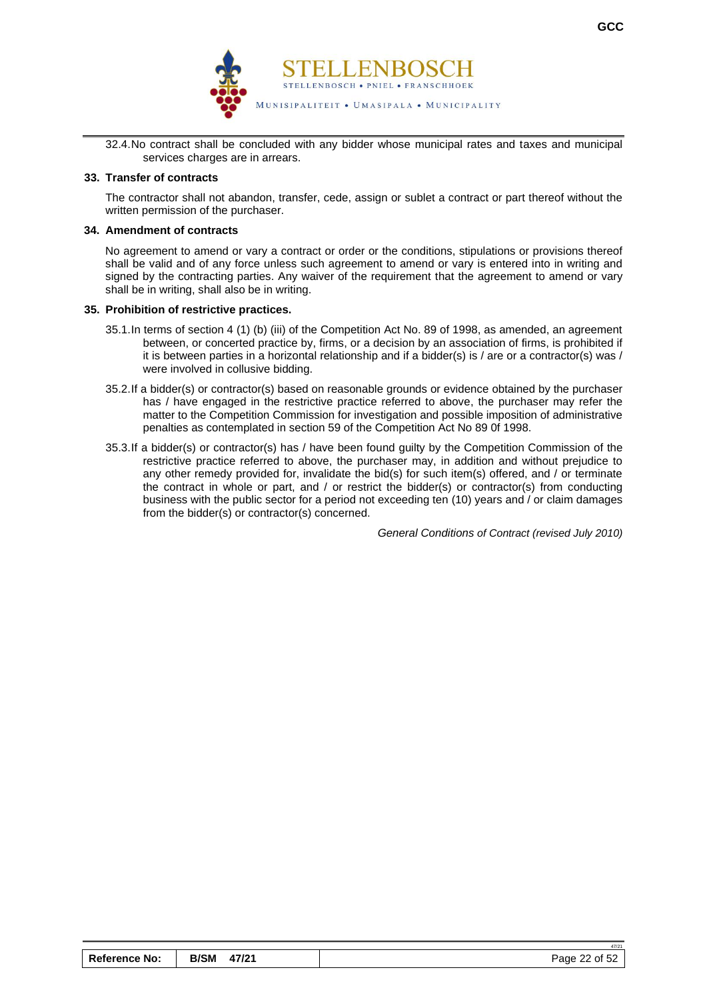

32.4.No contract shall be concluded with any bidder whose municipal rates and taxes and municipal services charges are in arrears.

#### **33. Transfer of contracts**

The contractor shall not abandon, transfer, cede, assign or sublet a contract or part thereof without the written permission of the purchaser.

#### **34. Amendment of contracts**

No agreement to amend or vary a contract or order or the conditions, stipulations or provisions thereof shall be valid and of any force unless such agreement to amend or vary is entered into in writing and signed by the contracting parties. Any waiver of the requirement that the agreement to amend or vary shall be in writing, shall also be in writing.

#### **35. Prohibition of restrictive practices.**

- 35.1.In terms of section 4 (1) (b) (iii) of the Competition Act No. 89 of 1998, as amended, an agreement between, or concerted practice by, firms, or a decision by an association of firms, is prohibited if it is between parties in a horizontal relationship and if a bidder(s) is / are or a contractor(s) was / were involved in collusive bidding.
- 35.2.If a bidder(s) or contractor(s) based on reasonable grounds or evidence obtained by the purchaser has / have engaged in the restrictive practice referred to above, the purchaser may refer the matter to the Competition Commission for investigation and possible imposition of administrative penalties as contemplated in section 59 of the Competition Act No 89 0f 1998.
- 35.3.If a bidder(s) or contractor(s) has / have been found guilty by the Competition Commission of the restrictive practice referred to above, the purchaser may, in addition and without prejudice to any other remedy provided for, invalidate the bid(s) for such item(s) offered, and / or terminate the contract in whole or part, and / or restrict the bidder(s) or contractor(s) from conducting business with the public sector for a period not exceeding ten (10) years and / or claim damages from the bidder(s) or contractor(s) concerned.

*General Conditions of Contract (revised July 2010)*

|                      |                      | 47/21         |
|----------------------|----------------------|---------------|
| <b>Reference No:</b> | <b>B/SM</b><br>47/21 | Page 22 of 52 |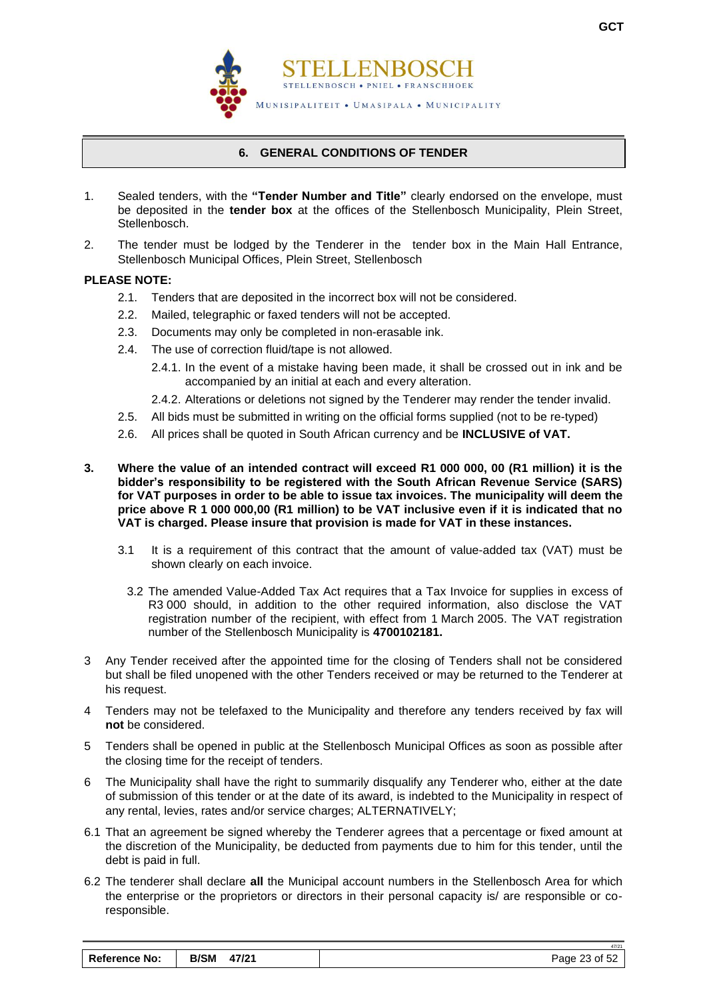

### **6. GENERAL CONDITIONS OF TENDER**

- <span id="page-24-0"></span>1. Sealed tenders, with the **"Tender Number and Title"** clearly endorsed on the envelope, must be deposited in the **tender box** at the offices of the Stellenbosch Municipality, Plein Street, Stellenbosch.
- 2. The tender must be lodged by the Tenderer in the tender box in the Main Hall Entrance, Stellenbosch Municipal Offices, Plein Street, Stellenbosch

# **PLEASE NOTE:**

- 2.1. Tenders that are deposited in the incorrect box will not be considered.
- 2.2. Mailed, telegraphic or faxed tenders will not be accepted.
- 2.3. Documents may only be completed in non-erasable ink.
- 2.4. The use of correction fluid/tape is not allowed.
	- 2.4.1. In the event of a mistake having been made, it shall be crossed out in ink and be accompanied by an initial at each and every alteration.
	- 2.4.2. Alterations or deletions not signed by the Tenderer may render the tender invalid.
- 2.5. All bids must be submitted in writing on the official forms supplied (not to be re-typed)
- 2.6. All prices shall be quoted in South African currency and be **INCLUSIVE of VAT.**
- **3. Where the value of an intended contract will exceed R1 000 000, 00 (R1 million) it is the bidder's responsibility to be registered with the South African Revenue Service (SARS) for VAT purposes in order to be able to issue tax invoices. The municipality will deem the price above R 1 000 000,00 (R1 million) to be VAT inclusive even if it is indicated that no VAT is charged. Please insure that provision is made for VAT in these instances.**
	- 3.1 It is a requirement of this contract that the amount of value-added tax (VAT) must be shown clearly on each invoice.
		- 3.2 The amended Value-Added Tax Act requires that a Tax Invoice for supplies in excess of R3 000 should, in addition to the other required information, also disclose the VAT registration number of the recipient, with effect from 1 March 2005. The VAT registration number of the Stellenbosch Municipality is **4700102181.**
- 3 Any Tender received after the appointed time for the closing of Tenders shall not be considered but shall be filed unopened with the other Tenders received or may be returned to the Tenderer at his request.
- 4 Tenders may not be telefaxed to the Municipality and therefore any tenders received by fax will **not** be considered.
- 5 Tenders shall be opened in public at the Stellenbosch Municipal Offices as soon as possible after the closing time for the receipt of tenders.
- 6 The Municipality shall have the right to summarily disqualify any Tenderer who, either at the date of submission of this tender or at the date of its award, is indebted to the Municipality in respect of any rental, levies, rates and/or service charges; ALTERNATIVELY;
- 6.1 That an agreement be signed whereby the Tenderer agrees that a percentage or fixed amount at the discretion of the Municipality, be deducted from payments due to him for this tender, until the debt is paid in full.
- 6.2 The tenderer shall declare **all** the Municipal account numbers in the Stellenbosch Area for which the enterprise or the proprietors or directors in their personal capacity is/ are responsible or coresponsible.

47/21

| <b>Reference No:</b> | <b>B/SM</b><br>47/21 | Page 23 of 52 |
|----------------------|----------------------|---------------|
|                      |                      |               |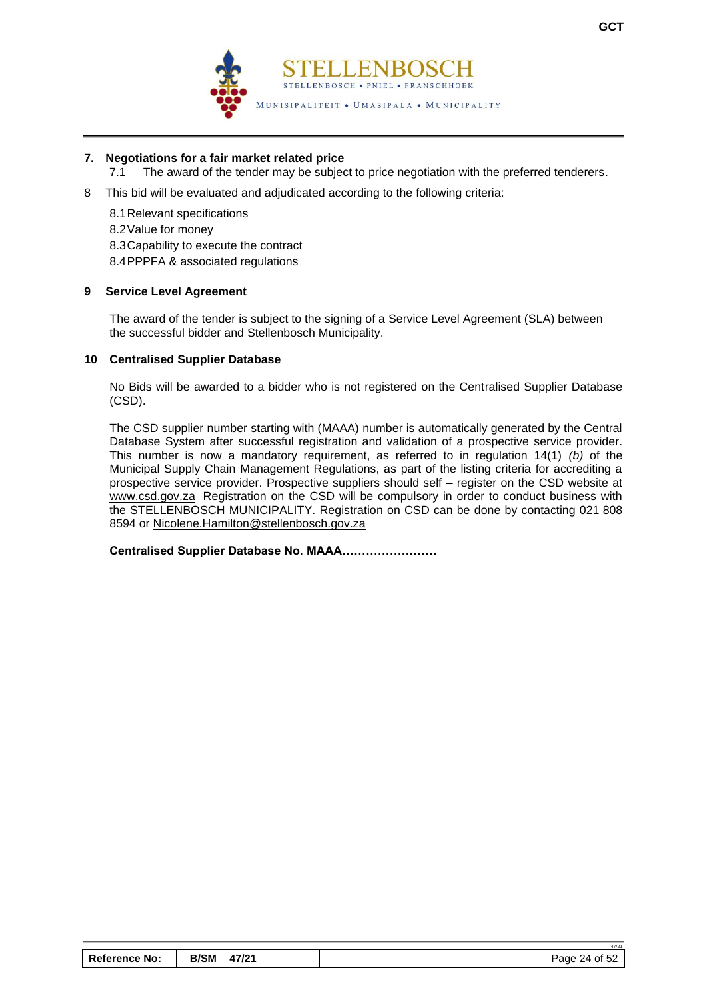

### **7. Negotiations for a fair market related price**

- 7.1 The award of the tender may be subject to price negotiation with the preferred tenderers.
- 8 This bid will be evaluated and adjudicated according to the following criteria:
	- 8.1Relevant specifications 8.2Value for money 8.3Capability to execute the contract 8.4PPPFA & associated regulations

#### **9 Service Level Agreement**

The award of the tender is subject to the signing of a Service Level Agreement (SLA) between the successful bidder and Stellenbosch Municipality.

#### **10 Centralised Supplier Database**

No Bids will be awarded to a bidder who is not registered on the Centralised Supplier Database (CSD).

The CSD supplier number starting with (MAAA) number is automatically generated by the Central Database System after successful registration and validation of a prospective service provider. This number is now a mandatory requirement, as referred to in regulation 14(1) *(b)* of the Municipal Supply Chain Management Regulations, as part of the listing criteria for accrediting a prospective service provider. Prospective suppliers should self – register on the CSD website at [www.csd.gov.za](http://www.csd.gov.za/) Registration on the CSD will be compulsory in order to conduct business with the STELLENBOSCH MUNICIPALITY. Registration on CSD can be done by contacting 021 808 8594 or [Nicolene.Hamilton@stellenbosch.gov.za](mailto:Nicolene.Hamilton@stellenbosch.gov.za)

**Centralised Supplier Database No. MAAA……………………** 

47/21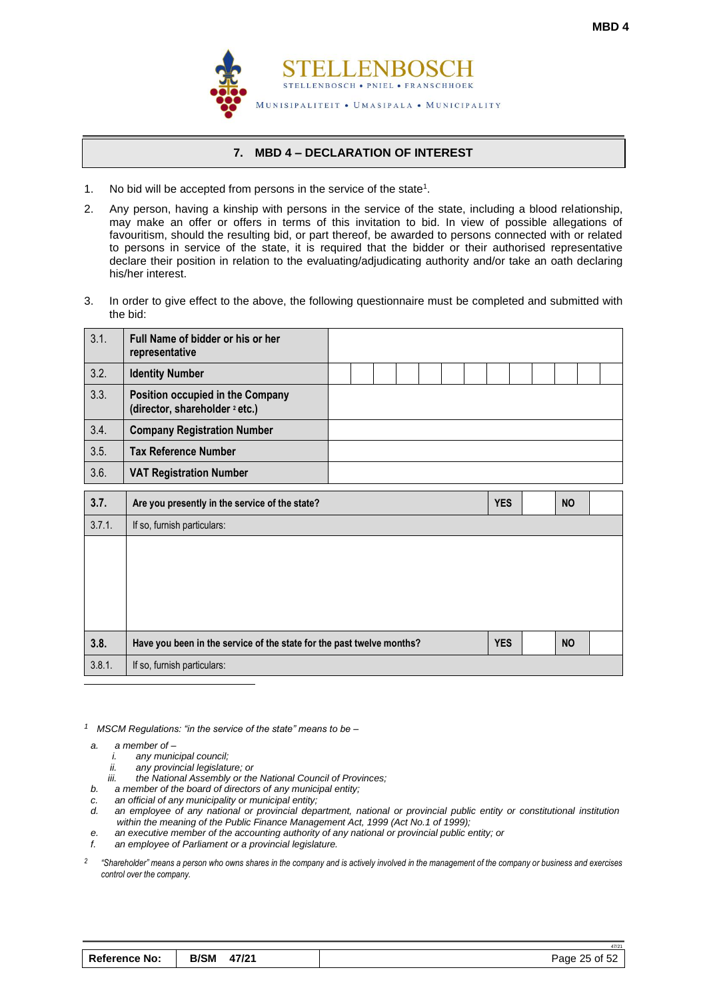

### **7. MBD 4 – DECLARATION OF INTEREST**

- <span id="page-26-0"></span>1. No bid will be accepted from persons in the service of the state<sup>1</sup>.
- 2. Any person, having a kinship with persons in the service of the state, including a blood relationship, may make an offer or offers in terms of this invitation to bid. In view of possible allegations of favouritism, should the resulting bid, or part thereof, be awarded to persons connected with or related to persons in service of the state, it is required that the bidder or their authorised representative declare their position in relation to the evaluating/adjudicating authority and/or take an oath declaring his/her interest.
- 3. In order to give effect to the above, the following questionnaire must be completed and submitted with the bid:

| 3.1.   | Full Name of bidder or his or her<br>representative                           |  |  |  |            |  |           |  |
|--------|-------------------------------------------------------------------------------|--|--|--|------------|--|-----------|--|
| 3.2.   | <b>Identity Number</b>                                                        |  |  |  |            |  |           |  |
| 3.3.   | Position occupied in the Company<br>(director, shareholder <sup>2</sup> etc.) |  |  |  |            |  |           |  |
| 3.4.   | <b>Company Registration Number</b>                                            |  |  |  |            |  |           |  |
| 3.5.   | <b>Tax Reference Number</b>                                                   |  |  |  |            |  |           |  |
| 3.6.   | <b>VAT Registration Number</b>                                                |  |  |  |            |  |           |  |
| 3.7.   | Are you presently in the service of the state?                                |  |  |  | <b>YES</b> |  | <b>NO</b> |  |
|        |                                                                               |  |  |  |            |  |           |  |
| 3.7.1. | If so, furnish particulars:                                                   |  |  |  |            |  |           |  |
|        |                                                                               |  |  |  |            |  |           |  |
| 3.8.   | Have you been in the service of the state for the past twelve months?         |  |  |  | <b>YES</b> |  | <b>NO</b> |  |

*1 MSCM Regulations: "in the service of the state" means to be –*

- *a. a member of –*
	- *i. any municipal council;*
	- *ii. any provincial legislature; or*
	- *iii. the National Assembly or the National Council of Provinces;*
- *b. a member of the board of directors of any municipal entity;*
- *c. an official of any municipality or municipal entity;*
- *d. an employee of any national or provincial department, national or provincial public entity or constitutional institution within the meaning of the Public Finance Management Act, 1999 (Act No.1 of 1999);*
- *e. an executive member of the accounting authority of any national or provincial public entity; or*
- *f. an employee of Parliament or a provincial legislature.*
- *2 "Shareholder" means a person who owns shares in the company and is actively involved in the management of the company or business and exercises control over the company.*

| Reference No: | <b>B/SM</b><br>47/21 | Page 25 of 52 |
|---------------|----------------------|---------------|
|---------------|----------------------|---------------|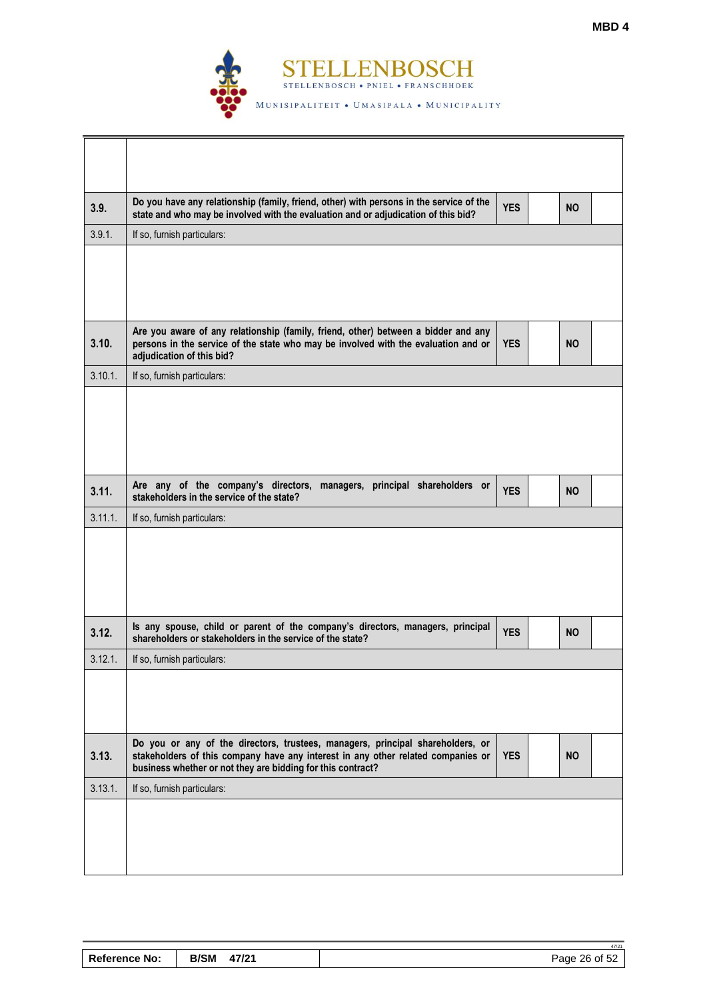

| 3.9.    | Do you have any relationship (family, friend, other) with persons in the service of the<br>state and who may be involved with the evaluation and or adjudication of this bid?                                                     | <b>YES</b> | <b>NO</b> |  |
|---------|-----------------------------------------------------------------------------------------------------------------------------------------------------------------------------------------------------------------------------------|------------|-----------|--|
| 3.9.1.  | If so, furnish particulars:                                                                                                                                                                                                       |            |           |  |
|         |                                                                                                                                                                                                                                   |            |           |  |
| 3.10.   | Are you aware of any relationship (family, friend, other) between a bidder and any<br>persons in the service of the state who may be involved with the evaluation and or<br>adjudication of this bid?                             | <b>YES</b> | <b>NO</b> |  |
| 3.10.1. | If so, furnish particulars:                                                                                                                                                                                                       |            |           |  |
|         |                                                                                                                                                                                                                                   |            |           |  |
| 3.11.   | Are any of the company's directors, managers, principal shareholders or<br>stakeholders in the service of the state?                                                                                                              | <b>YES</b> | <b>NO</b> |  |
| 3.11.1. | If so, furnish particulars:                                                                                                                                                                                                       |            |           |  |
|         |                                                                                                                                                                                                                                   |            |           |  |
| 3.12.   | Is any spouse, child or parent of the company's directors, managers, principal<br>shareholders or stakeholders in the service of the state?                                                                                       | <b>YES</b> | <b>NO</b> |  |
| 3.12.1. | If so, furnish particulars:                                                                                                                                                                                                       |            |           |  |
|         |                                                                                                                                                                                                                                   |            |           |  |
| 3.13.   | Do you or any of the directors, trustees, managers, principal shareholders, or<br>stakeholders of this company have any interest in any other related companies or<br>business whether or not they are bidding for this contract? | <b>YES</b> | <b>NO</b> |  |
| 3.13.1. | If so, furnish particulars:                                                                                                                                                                                                       |            |           |  |
|         |                                                                                                                                                                                                                                   |            |           |  |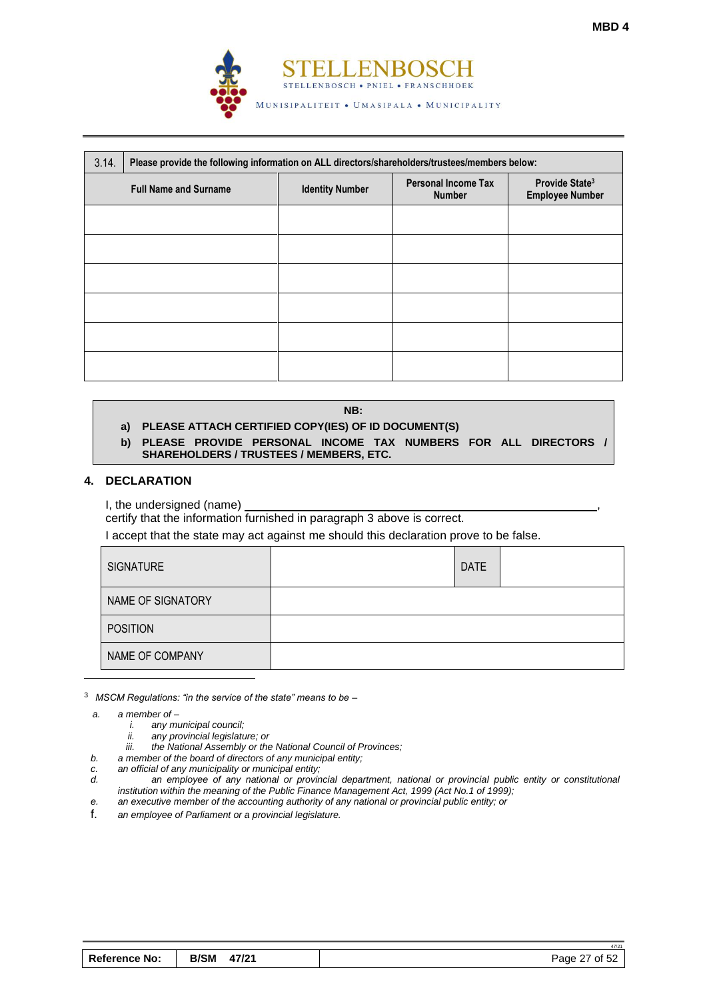

| 3.14. | Please provide the following information on ALL directors/shareholders/trustees/members below: |                        |                                             |                                                      |  |  |  |
|-------|------------------------------------------------------------------------------------------------|------------------------|---------------------------------------------|------------------------------------------------------|--|--|--|
|       | <b>Full Name and Surname</b>                                                                   | <b>Identity Number</b> | <b>Personal Income Tax</b><br><b>Number</b> | Provide State <sup>3</sup><br><b>Employee Number</b> |  |  |  |
|       |                                                                                                |                        |                                             |                                                      |  |  |  |
|       |                                                                                                |                        |                                             |                                                      |  |  |  |
|       |                                                                                                |                        |                                             |                                                      |  |  |  |
|       |                                                                                                |                        |                                             |                                                      |  |  |  |
|       |                                                                                                |                        |                                             |                                                      |  |  |  |
|       |                                                                                                |                        |                                             |                                                      |  |  |  |

#### **NB:**

# **a) PLEASE ATTACH CERTIFIED COPY(IES) OF ID DOCUMENT(S)**

**b) PLEASE PROVIDE PERSONAL INCOME TAX NUMBERS FOR ALL DIRECTORS / SHAREHOLDERS / TRUSTEES / MEMBERS, ETC.**

#### **4. DECLARATION**

I, the undersigned (name)

certify that the information furnished in paragraph 3 above is correct.

I accept that the state may act against me should this declaration prove to be false.

| <b>SIGNATURE</b>  | <b>DATE</b> |  |
|-------------------|-------------|--|
| NAME OF SIGNATORY |             |  |
| <b>POSITION</b>   |             |  |
| NAME OF COMPANY   |             |  |

<sup>3</sup> *MSCM Regulations: "in the service of the state" means to be –*

*a. a member of –*

- *i. any municipal council;*
- *ii. any provincial legislature; or*
- *iii. the National Assembly or the National Council of Provinces;*
- *b. a member of the board of directors of any municipal entity;*
- *c. an official of any municipality or municipal entity;*
- *d. an employee of any national or provincial department, national or provincial public entity or constitutional institution within the meaning of the Public Finance Management Act, 1999 (Act No.1 of 1999);*
- *e. an executive member of the accounting authority of any national or provincial public entity; or*
- f. *an employee of Parliament or a provincial legislature.*

47/21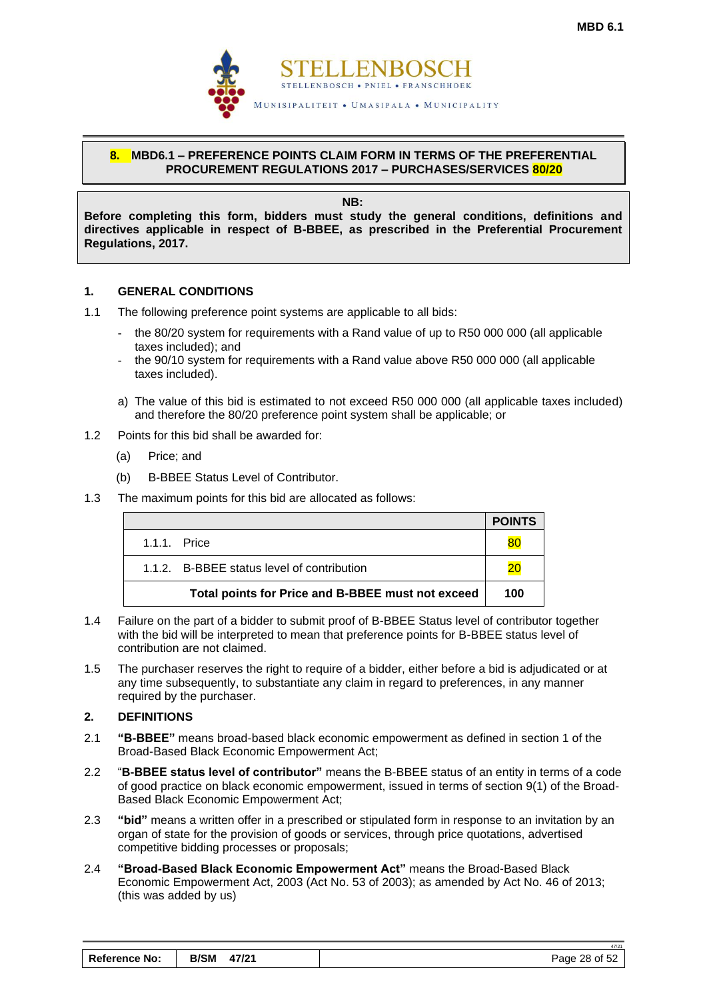

# <span id="page-29-0"></span>**8. MBD6.1 – PREFERENCE POINTS CLAIM FORM IN TERMS OF THE PREFERENTIAL PROCUREMENT REGULATIONS 2017 – PURCHASES/SERVICES 80/20**

**NB:**

**Before completing this form, bidders must study the general conditions, definitions and directives applicable in respect of B-BBEE, as prescribed in the Preferential Procurement Regulations, 2017.** 

# **1. GENERAL CONDITIONS**

- 1.1 The following preference point systems are applicable to all bids:
	- the 80/20 system for requirements with a Rand value of up to R50 000 000 (all applicable taxes included); and
	- the 90/10 system for requirements with a Rand value above R50 000 000 (all applicable taxes included).
	- a) The value of this bid is estimated to not exceed R50 000 000 (all applicable taxes included) and therefore the 80/20 preference point system shall be applicable; or
- 1.2 Points for this bid shall be awarded for:
	- (a) Price; and
	- (b) B-BBEE Status Level of Contributor.
- 1.3 The maximum points for this bid are allocated as follows:

|                                                   | <b>POINTS</b> |
|---------------------------------------------------|---------------|
| $1.1.1$ Price                                     | 80            |
| 1.1.2. B-BBEE status level of contribution        | 20            |
| Total points for Price and B-BBEE must not exceed | 100           |

- 1.4 Failure on the part of a bidder to submit proof of B-BBEE Status level of contributor together with the bid will be interpreted to mean that preference points for B-BBEE status level of contribution are not claimed.
- 1.5 The purchaser reserves the right to require of a bidder, either before a bid is adjudicated or at any time subsequently, to substantiate any claim in regard to preferences, in any manner required by the purchaser.

# **2. DEFINITIONS**

- 2.1 **"B-BBEE"** means broad-based black economic empowerment as defined in section 1 of the Broad-Based Black Economic Empowerment Act;
- 2.2 "**B-BBEE status level of contributor"** means the B-BBEE status of an entity in terms of a code of good practice on black economic empowerment, issued in terms of section 9(1) of the Broad-Based Black Economic Empowerment Act;
- 2.3 **"bid"** means a written offer in a prescribed or stipulated form in response to an invitation by an organ of state for the provision of goods or services, through price quotations, advertised competitive bidding processes or proposals;
- 2.4 **"Broad-Based Black Economic Empowerment Act"** means the Broad-Based Black Economic Empowerment Act, 2003 (Act No. 53 of 2003); as amended by Act No. 46 of 2013; (this was added by us)

| <b>Reference No:</b> | <b>B/SM</b><br>47/21 | Page 28 of 52 |
|----------------------|----------------------|---------------|
|----------------------|----------------------|---------------|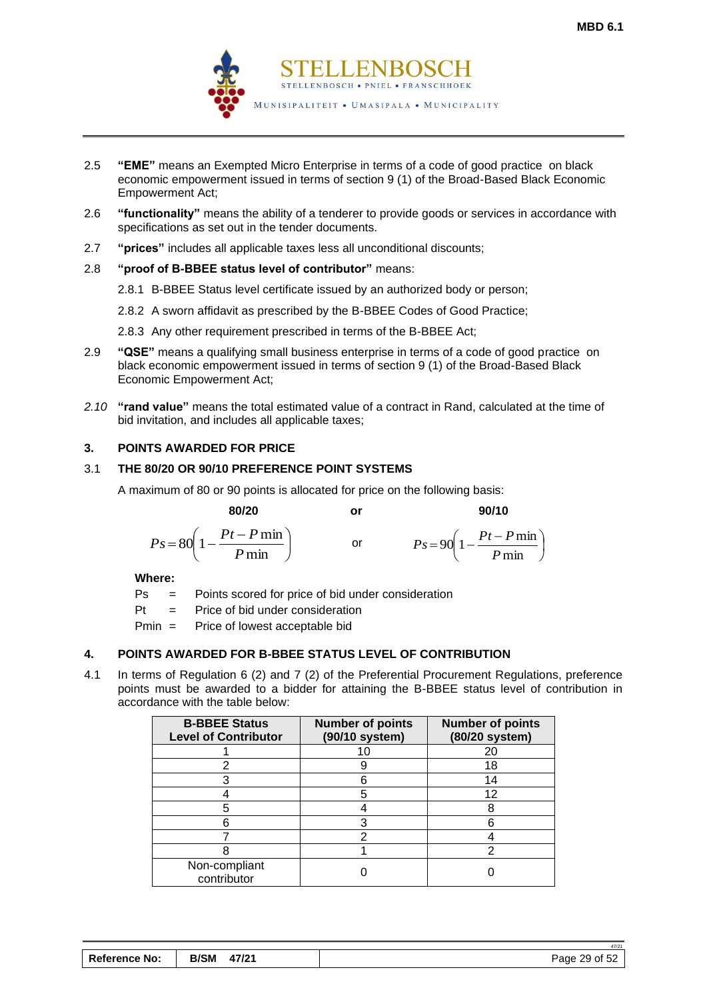

- 2.5 **"EME"** means an Exempted Micro Enterprise in terms of a code of good practice on black economic empowerment issued in terms of section 9 (1) of the Broad-Based Black Economic Empowerment Act;
- 2.6 **"functionality"** means the ability of a tenderer to provide goods or services in accordance with specifications as set out in the tender documents.
- 2.7 **"prices"** includes all applicable taxes less all unconditional discounts;

# 2.8 **"proof of B-BBEE status level of contributor"** means:

- 2.8.1 B-BBEE Status level certificate issued by an authorized body or person;
- 2.8.2 A sworn affidavit as prescribed by the B-BBEE Codes of Good Practice;
- 2.8.3 Any other requirement prescribed in terms of the B-BBEE Act;
- 2.9 **"QSE"** means a qualifying small business enterprise in terms of a code of good practice on black economic empowerment issued in terms of section 9 (1) of the Broad-Based Black Economic Empowerment Act;
- *2.10* **"rand value"** means the total estimated value of a contract in Rand, calculated at the time of bid invitation, and includes all applicable taxes;

# **3. POINTS AWARDED FOR PRICE**

# 3.1 **THE 80/20 OR 90/10 PREFERENCE POINT SYSTEMS**

A maximum of 80 or 90 points is allocated for price on the following basis:

 **80/20 or 90/10**

 $\overline{\phantom{a}}$ J  $\setminus$ 

$$
Ps = 80\left(1 - \frac{Pt - P \min P}{ \min}\right) \qquad \text{or} \qquad \qquad Ps = 90\left(1 - \frac{Pt - P \min P}{ \min P \min P}\right)
$$

**Where:**

- Ps = Points scored for price of bid under consideration
- $Pt =$  Price of bid under consideration
- Pmin = Price of lowest acceptable bid

# **4. POINTS AWARDED FOR B-BBEE STATUS LEVEL OF CONTRIBUTION**

4.1 In terms of Regulation 6 (2) and 7 (2) of the Preferential Procurement Regulations, preference points must be awarded to a bidder for attaining the B-BBEE status level of contribution in accordance with the table below:

| <b>B-BBEE Status</b><br><b>Level of Contributor</b> | <b>Number of points</b><br>(90/10 system) | <b>Number of points</b><br>(80/20 system) |
|-----------------------------------------------------|-------------------------------------------|-------------------------------------------|
|                                                     | 10                                        | 20                                        |
|                                                     |                                           | 18                                        |
|                                                     |                                           | 14                                        |
|                                                     | 5                                         | 12                                        |
|                                                     |                                           | 8                                         |
|                                                     |                                           | 6                                         |
|                                                     |                                           |                                           |
|                                                     |                                           | ◠                                         |
| Non-compliant<br>contributor                        |                                           |                                           |

|                      |             |       | 47/2 <sup>4</sup> |
|----------------------|-------------|-------|-------------------|
| <b>Reference No:</b> | <b>B/SM</b> | 47/21 | Page 29 of 52     |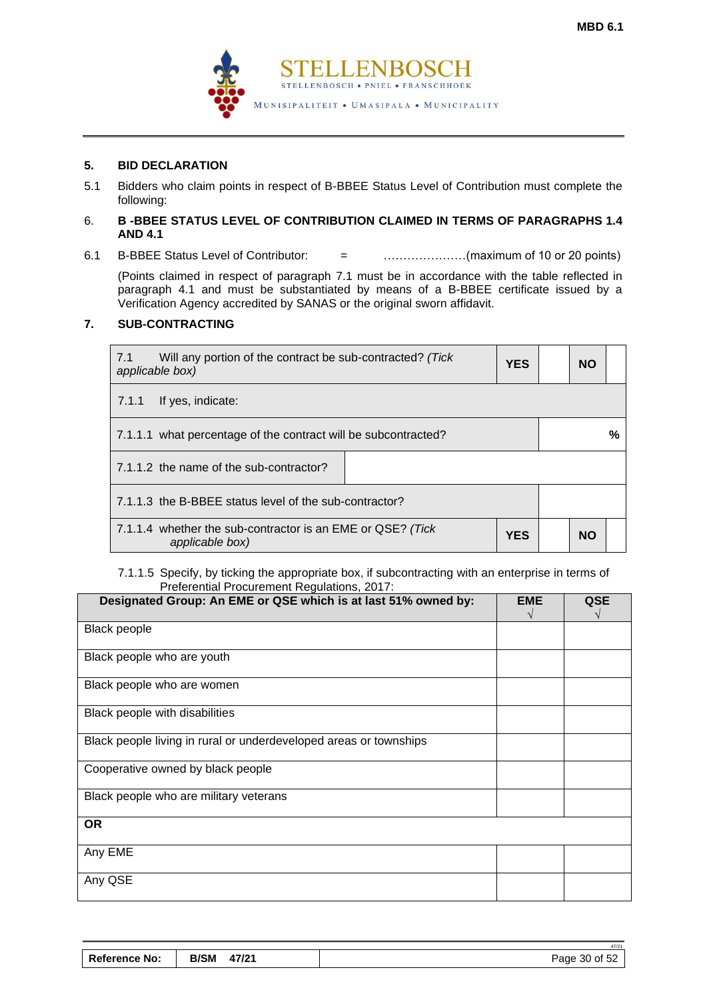

# **5. BID DECLARATION**

5.1 Bidders who claim points in respect of B-BBEE Status Level of Contribution must complete the following:

#### 6. **B -BBEE STATUS LEVEL OF CONTRIBUTION CLAIMED IN TERMS OF PARAGRAPHS 1.4 AND 4.1**

6.1 B-BBEE Status Level of Contributor: = …………………(maximum of 10 or 20 points)

(Points claimed in respect of paragraph 7.1 must be in accordance with the table reflected in paragraph 4.1 and must be substantiated by means of a B-BBEE certificate issued by a Verification Agency accredited by SANAS or the original sworn affidavit.

#### **7. SUB-CONTRACTING**

| 7.1<br>Will any portion of the contract be sub-contracted? (Tick<br><b>YES</b><br>applicable box) |  |  |           |   |
|---------------------------------------------------------------------------------------------------|--|--|-----------|---|
| 7.1.1<br>If yes, indicate:                                                                        |  |  |           |   |
| 7.1.1.1 what percentage of the contract will be subcontracted?                                    |  |  |           | % |
| 7.1.1.2 the name of the sub-contractor?                                                           |  |  |           |   |
| 7.1.1.3 the B-BBEE status level of the sub-contractor?                                            |  |  |           |   |
| 7.1.1.4 whether the sub-contractor is an EME or QSE? (Tick<br><b>YES</b><br>applicable box)       |  |  | <b>NO</b> |   |

#### 7.1.1.5 Specify, by ticking the appropriate box, if subcontracting with an enterprise in terms of Preferential Procurement Regulations, 2017:

| Designated Group: An EME or QSE which is at last 51% owned by:    | <b>EME</b> | <b>QSE</b> |
|-------------------------------------------------------------------|------------|------------|
| <b>Black people</b>                                               |            |            |
| Black people who are youth                                        |            |            |
| Black people who are women                                        |            |            |
| Black people with disabilities                                    |            |            |
| Black people living in rural or underdeveloped areas or townships |            |            |
| Cooperative owned by black people                                 |            |            |
| Black people who are military veterans                            |            |            |
| <b>OR</b>                                                         |            |            |
| Any EME                                                           |            |            |
| Any QSE                                                           |            |            |

|                      |             |       | 47/2          |
|----------------------|-------------|-------|---------------|
| <b>Reference No:</b> | <b>B/SM</b> | 47/21 | Page 30 of 52 |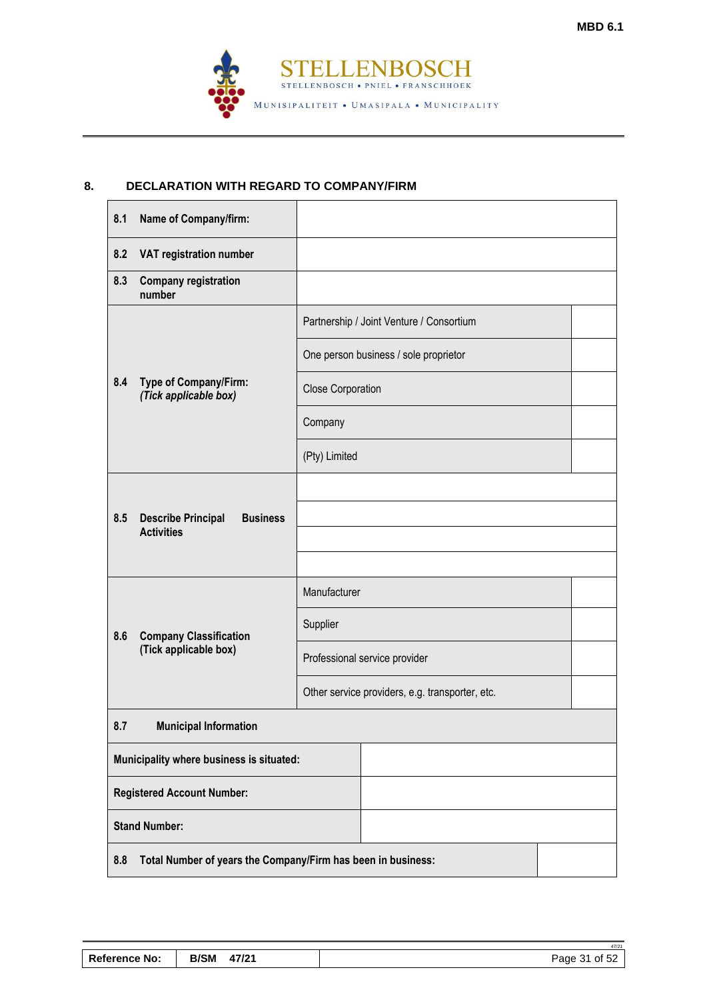۰

47/21



# **8. DECLARATION WITH REGARD TO COMPANY/FIRM**

 $\blacksquare$ 

| 8.1 | <b>Name of Company/firm:</b>                                      |                                                 |                                          |  |  |
|-----|-------------------------------------------------------------------|-------------------------------------------------|------------------------------------------|--|--|
| 8.2 | VAT registration number                                           |                                                 |                                          |  |  |
| 8.3 | <b>Company registration</b><br>number                             |                                                 |                                          |  |  |
|     |                                                                   |                                                 | Partnership / Joint Venture / Consortium |  |  |
|     |                                                                   |                                                 | One person business / sole proprietor    |  |  |
| 8.4 | Type of Company/Firm:<br>(Tick applicable box)                    | <b>Close Corporation</b>                        |                                          |  |  |
|     |                                                                   | Company                                         |                                          |  |  |
|     |                                                                   | (Pty) Limited                                   |                                          |  |  |
|     |                                                                   |                                                 |                                          |  |  |
| 8.5 | <b>Describe Principal</b><br><b>Business</b><br><b>Activities</b> |                                                 |                                          |  |  |
|     |                                                                   |                                                 |                                          |  |  |
|     |                                                                   | Manufacturer                                    |                                          |  |  |
| 8.6 | <b>Company Classification</b>                                     | Supplier                                        |                                          |  |  |
|     | (Tick applicable box)                                             | Professional service provider                   |                                          |  |  |
|     |                                                                   | Other service providers, e.g. transporter, etc. |                                          |  |  |
| 8.7 | <b>Municipal Information</b>                                      |                                                 |                                          |  |  |
|     | Municipality where business is situated:                          |                                                 |                                          |  |  |
|     | <b>Registered Account Number:</b>                                 |                                                 |                                          |  |  |
|     | <b>Stand Number:</b>                                              |                                                 |                                          |  |  |
| 8.8 | Total Number of years the Company/Firm has been in business:      |                                                 |                                          |  |  |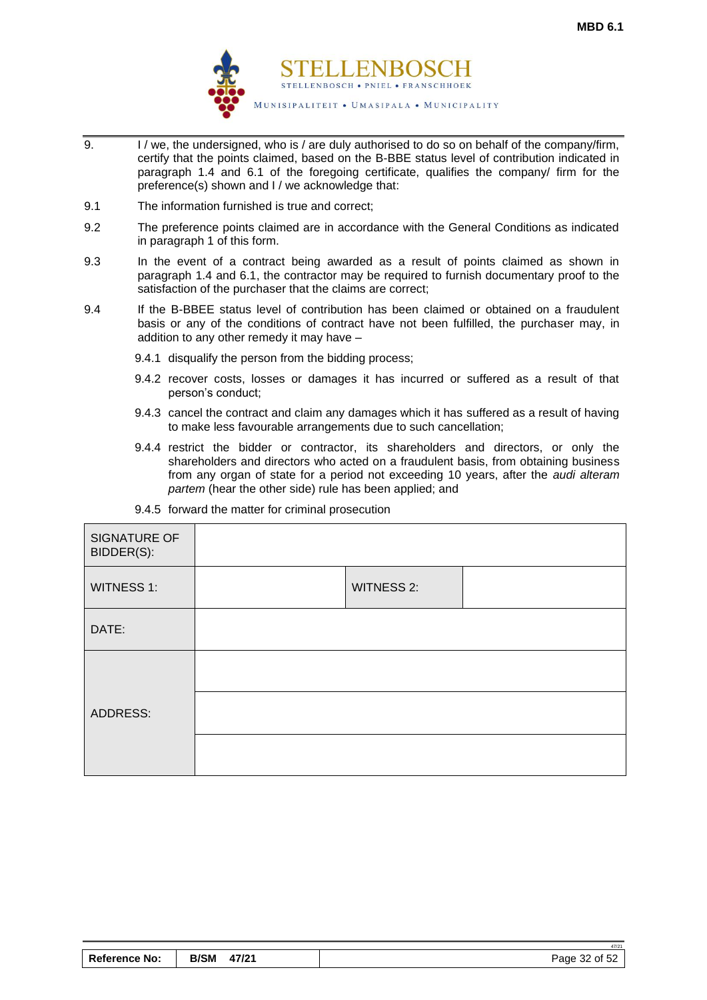

- 9. I / we, the undersigned, who is / are duly authorised to do so on behalf of the company/firm, certify that the points claimed, based on the B-BBE status level of contribution indicated in paragraph 1.4 and 6.1 of the foregoing certificate, qualifies the company/ firm for the preference(s) shown and I / we acknowledge that:
- 9.1 The information furnished is true and correct;
- 9.2 The preference points claimed are in accordance with the General Conditions as indicated in paragraph 1 of this form.
- 9.3 In the event of a contract being awarded as a result of points claimed as shown in paragraph 1.4 and 6.1, the contractor may be required to furnish documentary proof to the satisfaction of the purchaser that the claims are correct;
- 9.4 If the B-BBEE status level of contribution has been claimed or obtained on a fraudulent basis or any of the conditions of contract have not been fulfilled, the purchaser may, in addition to any other remedy it may have –
	- 9.4.1 disqualify the person from the bidding process;
	- 9.4.2 recover costs, losses or damages it has incurred or suffered as a result of that person's conduct;
	- 9.4.3 cancel the contract and claim any damages which it has suffered as a result of having to make less favourable arrangements due to such cancellation;
	- 9.4.4 restrict the bidder or contractor, its shareholders and directors, or only the shareholders and directors who acted on a fraudulent basis, from obtaining business from any organ of state for a period not exceeding 10 years, after the *audi alteram partem* (hear the other side) rule has been applied; and

<span id="page-33-0"></span>

| SIGNATURE OF<br>BIDDER(S): |                   |  |
|----------------------------|-------------------|--|
| <b>WITNESS 1:</b>          | <b>WITNESS 2:</b> |  |
| DATE:                      |                   |  |
|                            |                   |  |
| ADDRESS:                   |                   |  |
|                            |                   |  |

9.4.5 forward the matter for criminal prosecution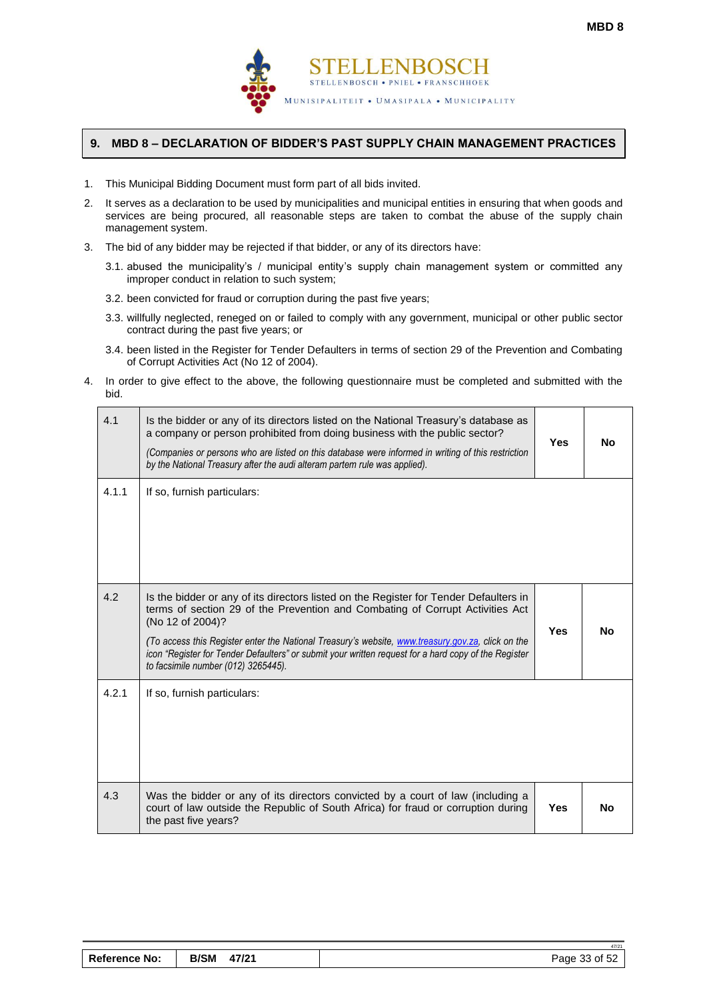

### <span id="page-34-0"></span>**9. MBD 8 – DECLARATION OF BIDDER'S PAST SUPPLY CHAIN MANAGEMENT PRACTICES**

- 1. This Municipal Bidding Document must form part of all bids invited.
- 2. It serves as a declaration to be used by municipalities and municipal entities in ensuring that when goods and services are being procured, all reasonable steps are taken to combat the abuse of the supply chain management system.
- 3. The bid of any bidder may be rejected if that bidder, or any of its directors have:
	- 3.1. abused the municipality's / municipal entity's supply chain management system or committed any improper conduct in relation to such system;
	- 3.2. been convicted for fraud or corruption during the past five years;
	- 3.3. willfully neglected, reneged on or failed to comply with any government, municipal or other public sector contract during the past five years; or
	- 3.4. been listed in the Register for Tender Defaulters in terms of section 29 of the Prevention and Combating of Corrupt Activities Act (No 12 of 2004).
- 4. In order to give effect to the above, the following questionnaire must be completed and submitted with the bid.

| 4.1   | Is the bidder or any of its directors listed on the National Treasury's database as<br>a company or person prohibited from doing business with the public sector?<br>(Companies or persons who are listed on this database were informed in writing of this restriction<br>by the National Treasury after the audi alteram partem rule was applied).                                                                                           | <b>Yes</b> | <b>No</b> |
|-------|------------------------------------------------------------------------------------------------------------------------------------------------------------------------------------------------------------------------------------------------------------------------------------------------------------------------------------------------------------------------------------------------------------------------------------------------|------------|-----------|
| 4.1.1 | If so, furnish particulars:                                                                                                                                                                                                                                                                                                                                                                                                                    |            |           |
| 4.2   | Is the bidder or any of its directors listed on the Register for Tender Defaulters in<br>terms of section 29 of the Prevention and Combating of Corrupt Activities Act<br>(No 12 of 2004)?<br>(To access this Register enter the National Treasury's website, www.treasury.gov.za, click on the<br>icon "Register for Tender Defaulters" or submit your written request for a hard copy of the Register<br>to facsimile number (012) 3265445). | <b>Yes</b> | <b>No</b> |
| 4.2.1 | If so, furnish particulars:                                                                                                                                                                                                                                                                                                                                                                                                                    |            |           |
| 4.3   | Was the bidder or any of its directors convicted by a court of law (including a<br>court of law outside the Republic of South Africa) for fraud or corruption during<br>the past five years?                                                                                                                                                                                                                                                   | <b>Yes</b> | <b>No</b> |

| <b>Reference No:</b> | <b>B/SM</b><br>47/21 | Page 33 of 52 |
|----------------------|----------------------|---------------|
|----------------------|----------------------|---------------|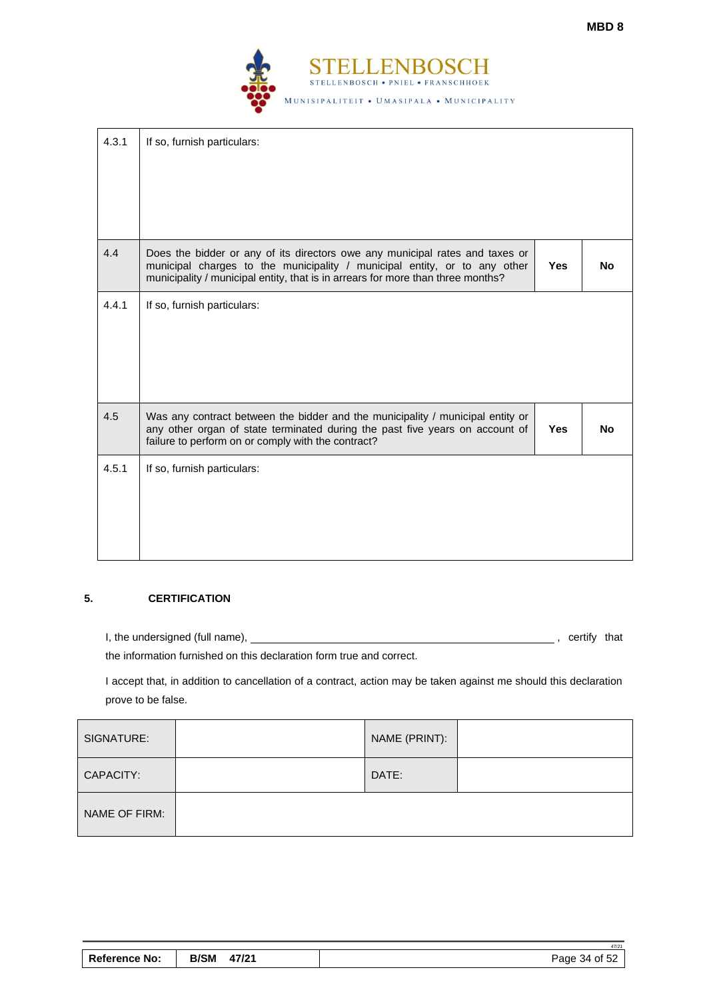

| 4.3.1 | If so, furnish particulars:                                                                                                                                                                                                                  |            |     |
|-------|----------------------------------------------------------------------------------------------------------------------------------------------------------------------------------------------------------------------------------------------|------------|-----|
| 4.4   | Does the bidder or any of its directors owe any municipal rates and taxes or<br>municipal charges to the municipality / municipal entity, or to any other<br>municipality / municipal entity, that is in arrears for more than three months? | <b>Yes</b> | No. |
| 4.4.1 | If so, furnish particulars:                                                                                                                                                                                                                  |            |     |
| 4.5   | Was any contract between the bidder and the municipality / municipal entity or<br>any other organ of state terminated during the past five years on account of<br>failure to perform on or comply with the contract?                         | <b>Yes</b> | No. |
| 4.5.1 | If so, furnish particulars:                                                                                                                                                                                                                  |            |     |

# **5. CERTIFICATION**

I, the undersigned (full name),  $\qquad \qquad \qquad \qquad$  , certify that

the information furnished on this declaration form true and correct.

I accept that, in addition to cancellation of a contract, action may be taken against me should this declaration prove to be false.

| SIGNATURE:    | NAME (PRINT): |  |
|---------------|---------------|--|
| CAPACITY:     | DATE:         |  |
| NAME OF FIRM: |               |  |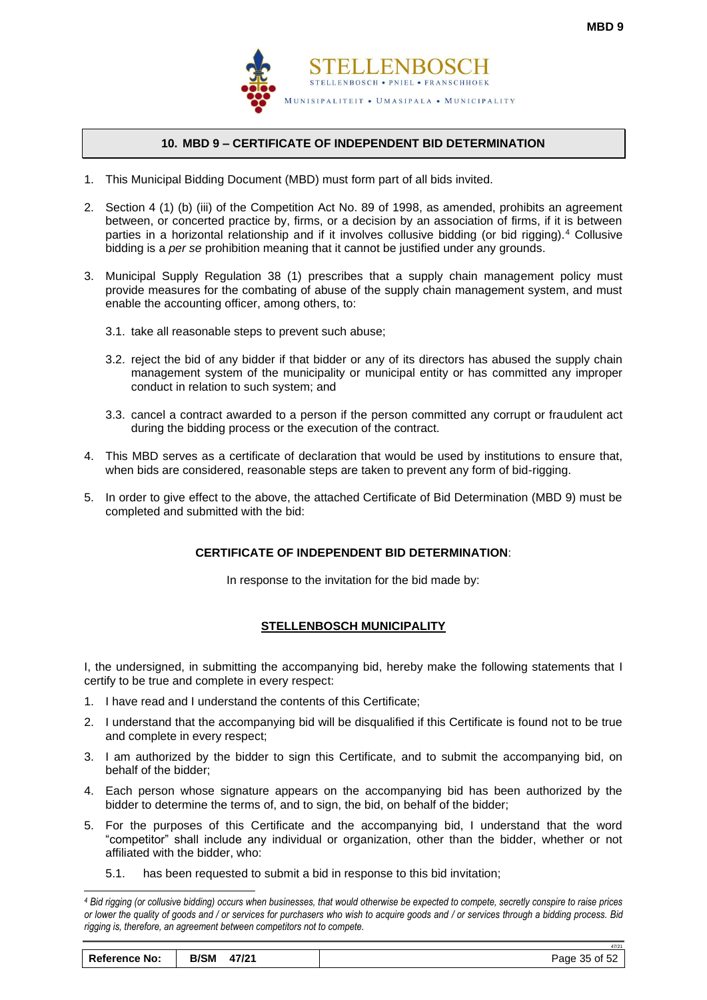

# **10. MBD 9 – CERTIFICATE OF INDEPENDENT BID DETERMINATION**

- <span id="page-36-0"></span>1. This Municipal Bidding Document (MBD) must form part of all bids invited.
- 2. Section 4 (1) (b) (iii) of the Competition Act No. 89 of 1998, as amended, prohibits an agreement between, or concerted practice by, firms, or a decision by an association of firms, if it is between parties in a horizontal relationship and if it involves collusive bidding (or bid rigging).<sup>4</sup> Collusive bidding is a *per se* prohibition meaning that it cannot be justified under any grounds.
- 3. Municipal Supply Regulation 38 (1) prescribes that a supply chain management policy must provide measures for the combating of abuse of the supply chain management system, and must enable the accounting officer, among others, to:
	- 3.1. take all reasonable steps to prevent such abuse;
	- 3.2. reject the bid of any bidder if that bidder or any of its directors has abused the supply chain management system of the municipality or municipal entity or has committed any improper conduct in relation to such system; and
	- 3.3. cancel a contract awarded to a person if the person committed any corrupt or fraudulent act during the bidding process or the execution of the contract.
- 4. This MBD serves as a certificate of declaration that would be used by institutions to ensure that, when bids are considered, reasonable steps are taken to prevent any form of bid-rigging.
- 5. In order to give effect to the above, the attached Certificate of Bid Determination (MBD 9) must be completed and submitted with the bid:

# **CERTIFICATE OF INDEPENDENT BID DETERMINATION**:

In response to the invitation for the bid made by:

# **STELLENBOSCH MUNICIPALITY**

I, the undersigned, in submitting the accompanying bid, hereby make the following statements that I certify to be true and complete in every respect:

- 1. I have read and I understand the contents of this Certificate;
- 2. I understand that the accompanying bid will be disqualified if this Certificate is found not to be true and complete in every respect;
- 3. I am authorized by the bidder to sign this Certificate, and to submit the accompanying bid, on behalf of the bidder;
- 4. Each person whose signature appears on the accompanying bid has been authorized by the bidder to determine the terms of, and to sign, the bid, on behalf of the bidder;
- 5. For the purposes of this Certificate and the accompanying bid, I understand that the word "competitor" shall include any individual or organization, other than the bidder, whether or not affiliated with the bidder, who:
	- 5.1. has been requested to submit a bid in response to this bid invitation;

*<sup>4</sup> Bid rigging (or collusive bidding) occurs when businesses, that would otherwise be expected to compete, secretly conspire to raise prices or lower the quality of goods and / or services for purchasers who wish to acquire goods and / or services through a bidding process. Bid rigging is, therefore, an agreement between competitors not to compete.*

| <b>Reference No:</b> | B/SM 47/21 | Page 35 of 52 |
|----------------------|------------|---------------|
|----------------------|------------|---------------|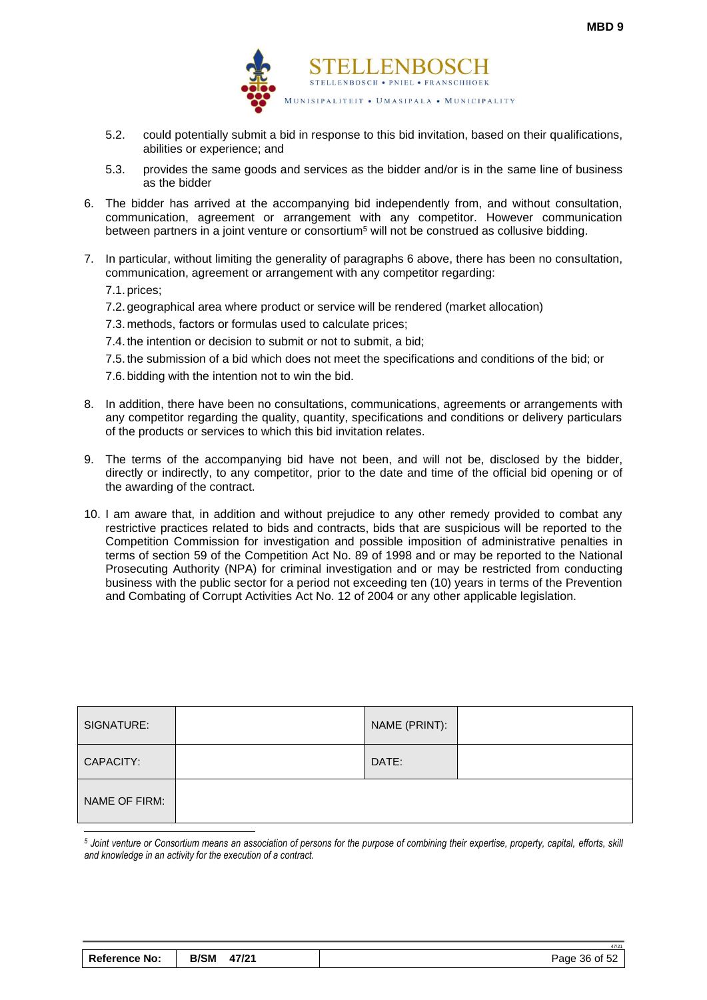

- 5.2. could potentially submit a bid in response to this bid invitation, based on their qualifications, abilities or experience; and
- 5.3. provides the same goods and services as the bidder and/or is in the same line of business as the bidder
- 6. The bidder has arrived at the accompanying bid independently from, and without consultation, communication, agreement or arrangement with any competitor. However communication between partners in a joint venture or consortium<sup>5</sup> will not be construed as collusive bidding.
- 7. In particular, without limiting the generality of paragraphs 6 above, there has been no consultation, communication, agreement or arrangement with any competitor regarding:

7.1. prices;

- 7.2. geographical area where product or service will be rendered (market allocation)
- 7.3. methods, factors or formulas used to calculate prices;
- 7.4. the intention or decision to submit or not to submit, a bid;
- 7.5. the submission of a bid which does not meet the specifications and conditions of the bid; or
- 7.6. bidding with the intention not to win the bid.
- 8. In addition, there have been no consultations, communications, agreements or arrangements with any competitor regarding the quality, quantity, specifications and conditions or delivery particulars of the products or services to which this bid invitation relates.
- 9. The terms of the accompanying bid have not been, and will not be, disclosed by the bidder, directly or indirectly, to any competitor, prior to the date and time of the official bid opening or of the awarding of the contract.
- 10. I am aware that, in addition and without prejudice to any other remedy provided to combat any restrictive practices related to bids and contracts, bids that are suspicious will be reported to the Competition Commission for investigation and possible imposition of administrative penalties in terms of section 59 of the Competition Act No. 89 of 1998 and or may be reported to the National Prosecuting Authority (NPA) for criminal investigation and or may be restricted from conducting business with the public sector for a period not exceeding ten (10) years in terms of the Prevention and Combating of Corrupt Activities Act No. 12 of 2004 or any other applicable legislation.

| SIGNATURE:    | NAME (PRINT): |  |
|---------------|---------------|--|
| CAPACITY:     | DATE:         |  |
| NAME OF FIRM: |               |  |

*<sup>5</sup> Joint venture or Consortium means an association of persons for the purpose of combining their expertise, property, capital, efforts, skill and knowledge in an activity for the execution of a contract.*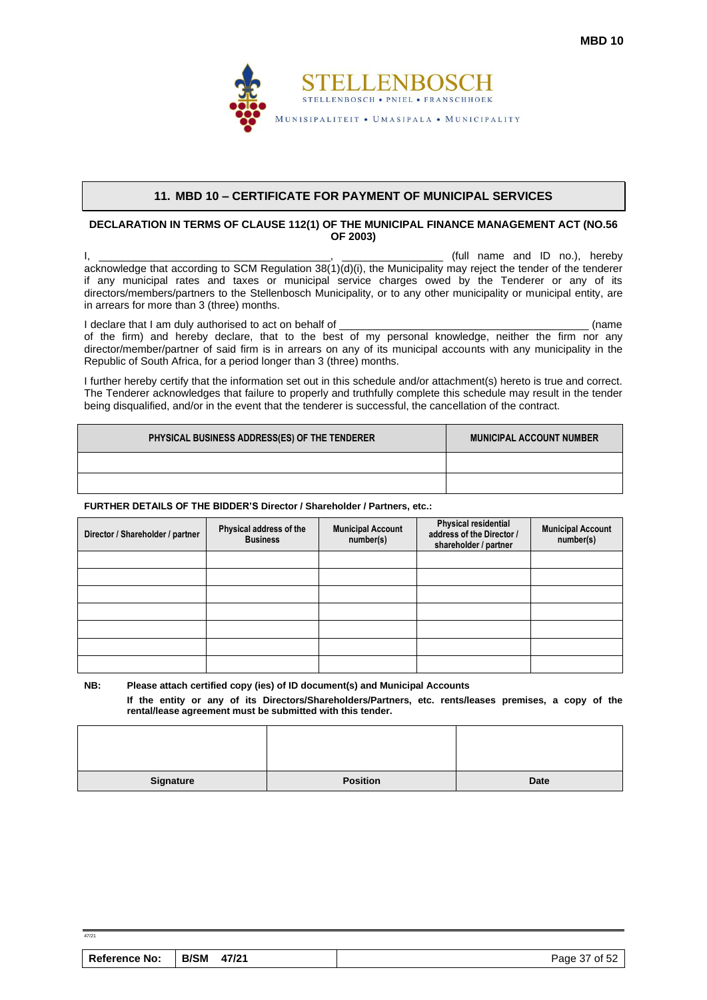

#### **11. MBD 10 – CERTIFICATE FOR PAYMENT OF MUNICIPAL SERVICES**

#### <span id="page-38-0"></span>**DECLARATION IN TERMS OF CLAUSE 112(1) OF THE MUNICIPAL FINANCE MANAGEMENT ACT (NO.56 OF 2003)**

 $\mathsf{I}, \mathsf{I}, \mathsf{I}$ acknowledge that according to SCM Regulation  $38(1)(d)(i)$ , the Municipality may reject the tender of the tenderer if any municipal rates and taxes or municipal service charges owed by the Tenderer or any of its directors/members/partners to the Stellenbosch Municipality, or to any other municipality or municipal entity, are in arrears for more than 3 (three) months.

I declare that I am duly authorised to act on behalf of \_\_\_\_\_\_\_\_\_\_\_\_\_\_\_\_\_\_\_\_\_\_\_\_\_\_\_\_\_\_\_\_\_\_\_\_\_\_\_\_\_\_ (name of the firm) and hereby declare, that to the best of my personal knowledge, neither the firm nor any director/member/partner of said firm is in arrears on any of its municipal accounts with any municipality in the Republic of South Africa, for a period longer than 3 (three) months.

I further hereby certify that the information set out in this schedule and/or attachment(s) hereto is true and correct. The Tenderer acknowledges that failure to properly and truthfully complete this schedule may result in the tender being disqualified, and/or in the event that the tenderer is successful, the cancellation of the contract.

| PHYSICAL BUSINESS ADDRESS(ES) OF THE TENDERER | <b>MUNICIPAL ACCOUNT NUMBER</b> |
|-----------------------------------------------|---------------------------------|
|                                               |                                 |
|                                               |                                 |

#### **FURTHER DETAILS OF THE BIDDER'S Director / Shareholder / Partners, etc.:**

 $47/21$ 

| Director / Shareholder / partner | Physical address of the<br><b>Business</b> | <b>Municipal Account</b><br>number(s) | <b>Physical residential</b><br>address of the Director /<br>shareholder / partner | <b>Municipal Account</b><br>number(s) |
|----------------------------------|--------------------------------------------|---------------------------------------|-----------------------------------------------------------------------------------|---------------------------------------|
|                                  |                                            |                                       |                                                                                   |                                       |
|                                  |                                            |                                       |                                                                                   |                                       |
|                                  |                                            |                                       |                                                                                   |                                       |
|                                  |                                            |                                       |                                                                                   |                                       |
|                                  |                                            |                                       |                                                                                   |                                       |
|                                  |                                            |                                       |                                                                                   |                                       |
|                                  |                                            |                                       |                                                                                   |                                       |

**NB: Please attach certified copy (ies) of ID document(s) and Municipal Accounts If the entity or any of its Directors/Shareholders/Partners, etc. rents/leases premises, a copy of the rental/lease agreement must be submitted with this tender.**

| <b>Reference No:</b> | <b>B/SM</b> | 47/21 | Page 37 of 52 |
|----------------------|-------------|-------|---------------|
|                      |             |       |               |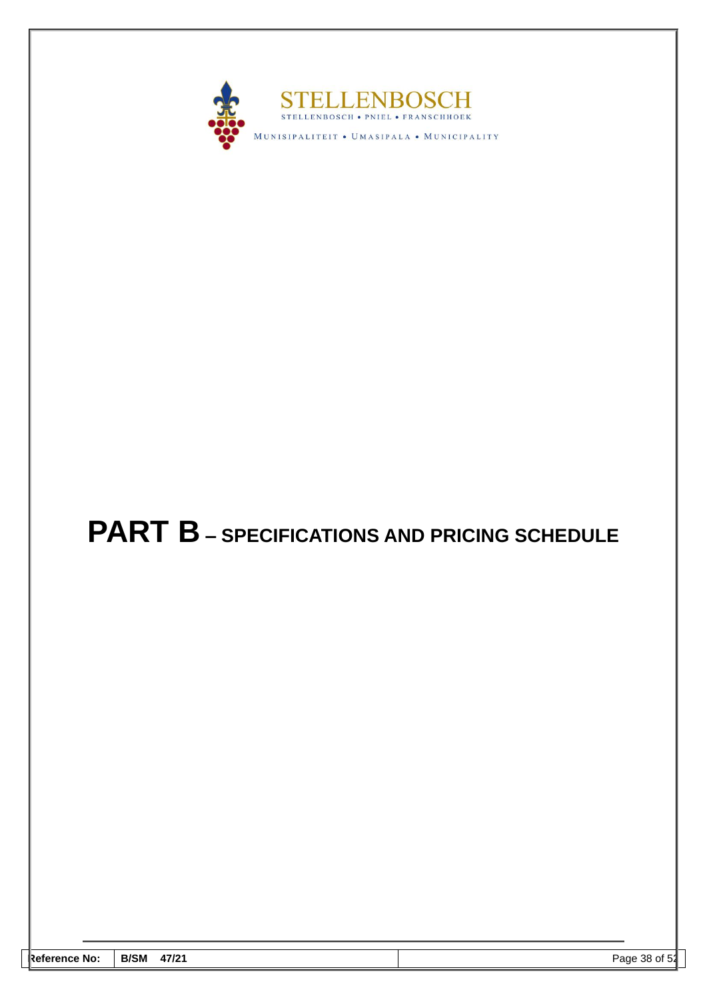

# <span id="page-39-0"></span>**PART B – SPECIFICATIONS AND PRICING SCHEDULE**

| <b>Reference No:</b> | <b>B/SM</b><br>47/21 | -4<br>38 of<br>Page<br>D4 |
|----------------------|----------------------|---------------------------|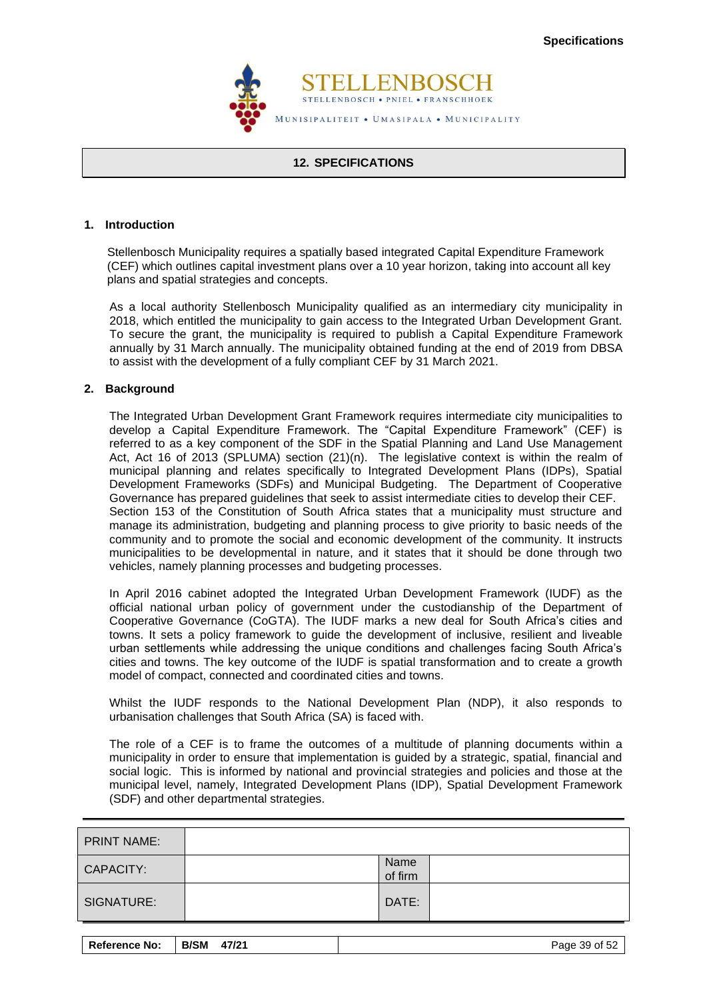

#### **12. SPECIFICATIONS**

#### <span id="page-40-0"></span>**1. Introduction**

 Stellenbosch Municipality requires a spatially based integrated Capital Expenditure Framework (CEF) which outlines capital investment plans over a 10 year horizon, taking into account all key plans and spatial strategies and concepts.

As a local authority Stellenbosch Municipality qualified as an intermediary city municipality in 2018, which entitled the municipality to gain access to the Integrated Urban Development Grant. To secure the grant, the municipality is required to publish a Capital Expenditure Framework annually by 31 March annually. The municipality obtained funding at the end of 2019 from DBSA to assist with the development of a fully compliant CEF by 31 March 2021.

#### **2. Background**

The Integrated Urban Development Grant Framework requires intermediate city municipalities to develop a Capital Expenditure Framework. The "Capital Expenditure Framework" (CEF) is referred to as a key component of the SDF in the Spatial Planning and Land Use Management Act, Act 16 of 2013 (SPLUMA) section (21)(n). The legislative context is within the realm of municipal planning and relates specifically to Integrated Development Plans (IDPs), Spatial Development Frameworks (SDFs) and Municipal Budgeting. The Department of Cooperative Governance has prepared guidelines that seek to assist intermediate cities to develop their CEF. Section 153 of the Constitution of South Africa states that a municipality must structure and manage its administration, budgeting and planning process to give priority to basic needs of the community and to promote the social and economic development of the community. It instructs municipalities to be developmental in nature, and it states that it should be done through two vehicles, namely planning processes and budgeting processes.

In April 2016 cabinet adopted the Integrated Urban Development Framework (IUDF) as the official national urban policy of government under the custodianship of the Department of Cooperative Governance (CoGTA). The IUDF marks a new deal for South Africa's cities and towns. It sets a policy framework to guide the development of inclusive, resilient and liveable urban settlements while addressing the unique conditions and challenges facing South Africa's cities and towns. The key outcome of the IUDF is spatial transformation and to create a growth model of compact, connected and coordinated cities and towns.

Whilst the IUDF responds to the National Development Plan (NDP), it also responds to urbanisation challenges that South Africa (SA) is faced with.

The role of a CEF is to frame the outcomes of a multitude of planning documents within a municipality in order to ensure that implementation is guided by a strategic, spatial, financial and social logic. This is informed by national and provincial strategies and policies and those at the municipal level, namely, Integrated Development Plans (IDP), Spatial Development Framework (SDF) and other departmental strategies.

| <b>PRINT NAME:</b> |                 |  |
|--------------------|-----------------|--|
| CAPACITY:          | Name<br>of firm |  |
| SIGNATURE:         | DATE:           |  |

| <b>Reference No:</b> | <b>B/SM</b><br>47/21 | Page 39 of 52 |
|----------------------|----------------------|---------------|
|----------------------|----------------------|---------------|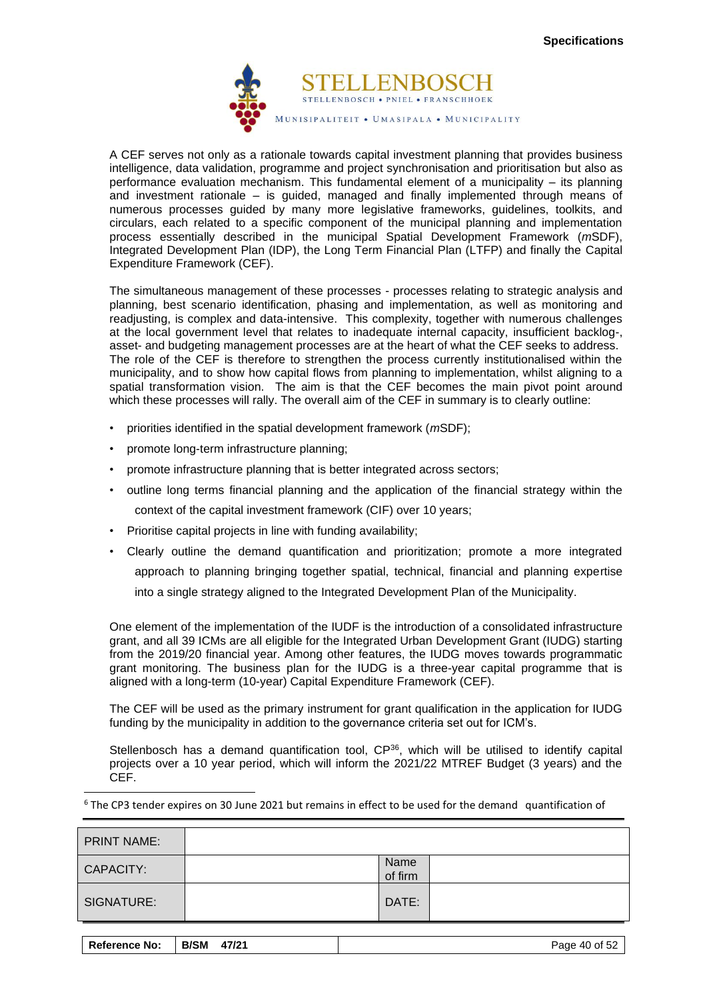

A CEF serves not only as a rationale towards capital investment planning that provides business intelligence, data validation, programme and project synchronisation and prioritisation but also as performance evaluation mechanism. This fundamental element of a municipality – its planning and investment rationale – is guided, managed and finally implemented through means of numerous processes guided by many more legislative frameworks, guidelines, toolkits, and circulars, each related to a specific component of the municipal planning and implementation process essentially described in the municipal Spatial Development Framework (*m*SDF), Integrated Development Plan (IDP), the Long Term Financial Plan (LTFP) and finally the Capital Expenditure Framework (CEF).

The simultaneous management of these processes - processes relating to strategic analysis and planning, best scenario identification, phasing and implementation, as well as monitoring and readjusting, is complex and data-intensive. This complexity, together with numerous challenges at the local government level that relates to inadequate internal capacity, insufficient backlog-, asset- and budgeting management processes are at the heart of what the CEF seeks to address. The role of the CEF is therefore to strengthen the process currently institutionalised within the municipality, and to show how capital flows from planning to implementation, whilst aligning to a spatial transformation vision. The aim is that the CEF becomes the main pivot point around which these processes will rally. The overall aim of the CEF in summary is to clearly outline:

- priorities identified in the spatial development framework (*m*SDF);
- promote long-term infrastructure planning;
- promote infrastructure planning that is better integrated across sectors;
- outline long terms financial planning and the application of the financial strategy within the context of the capital investment framework (CIF) over 10 years;
- Prioritise capital projects in line with funding availability;
- Clearly outline the demand quantification and prioritization; promote a more integrated approach to planning bringing together spatial, technical, financial and planning expertise into a single strategy aligned to the Integrated Development Plan of the Municipality.

One element of the implementation of the IUDF is the introduction of a consolidated infrastructure grant, and all 39 ICMs are all eligible for the Integrated Urban Development Grant (IUDG) starting from the 2019/20 financial year. Among other features, the IUDG moves towards programmatic grant monitoring. The business plan for the IUDG is a three-year capital programme that is aligned with a long-term (10-year) Capital Expenditure Framework (CEF).

The CEF will be used as the primary instrument for grant qualification in the application for IUDG funding by the municipality in addition to the governance criteria set out for ICM's.

Stellenbosch has a demand quantification tool, CP<sup>36</sup>, which will be utilised to identify capital projects over a 10 year period, which will inform the 2021/22 MTREF Budget (3 years) and the CEF.

|  | <sup>6</sup> The CP3 tender expires on 30 June 2021 but remains in effect to be used for the demand quantification of |  |
|--|-----------------------------------------------------------------------------------------------------------------------|--|
|--|-----------------------------------------------------------------------------------------------------------------------|--|

| <b>PRINT NAME:</b> |                 |  |
|--------------------|-----------------|--|
| CAPACITY:          | Name<br>of firm |  |
| SIGNATURE:         | DATE:           |  |

| <b>Reference No:</b> | B/SM 47/21 | Page 40 of 52 |
|----------------------|------------|---------------|
|----------------------|------------|---------------|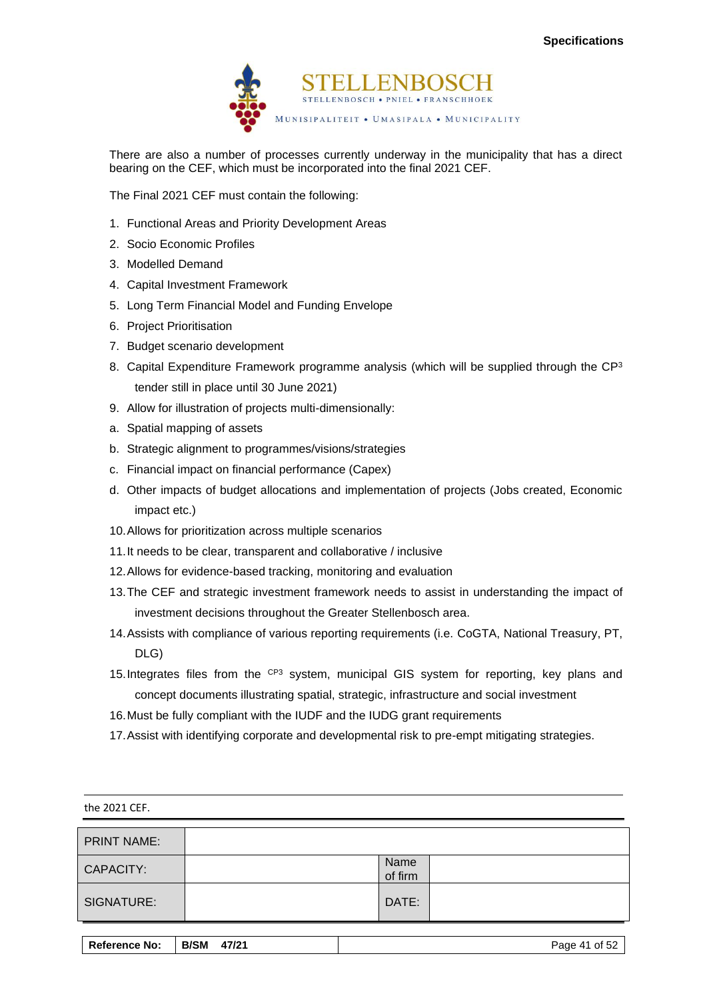

There are also a number of processes currently underway in the municipality that has a direct bearing on the CEF, which must be incorporated into the final 2021 CEF.

The Final 2021 CEF must contain the following:

- 1. Functional Areas and Priority Development Areas
- 2. Socio Economic Profiles
- 3. Modelled Demand
- 4. Capital Investment Framework
- 5. Long Term Financial Model and Funding Envelope
- 6. Project Prioritisation
- 7. Budget scenario development
- 8. Capital Expenditure Framework programme analysis (which will be supplied through the  $\mathbb{CP}^3$ tender still in place until 30 June 2021)
- 9. Allow for illustration of projects multi-dimensionally:
- a. Spatial mapping of assets
- b. Strategic alignment to programmes/visions/strategies
- c. Financial impact on financial performance (Capex)
- d. Other impacts of budget allocations and implementation of projects (Jobs created, Economic impact etc.)
- 10.Allows for prioritization across multiple scenarios
- 11.It needs to be clear, transparent and collaborative / inclusive
- 12.Allows for evidence-based tracking, monitoring and evaluation
- 13.The CEF and strategic investment framework needs to assist in understanding the impact of investment decisions throughout the Greater Stellenbosch area.
- 14.Assists with compliance of various reporting requirements (i.e. CoGTA, National Treasury, PT, DLG)
- 15. Integrates files from the CP3 system, municipal GIS system for reporting, key plans and concept documents illustrating spatial, strategic, infrastructure and social investment
- 16.Must be fully compliant with the IUDF and the IUDG grant requirements
- 17.Assist with identifying corporate and developmental risk to pre-empt mitigating strategies.

| the 2021 CEF.      |                 |  |
|--------------------|-----------------|--|
| <b>PRINT NAME:</b> |                 |  |
| CAPACITY:          | Name<br>of firm |  |
| SIGNATURE:         | DATE:           |  |

| Reference No: | B/SM<br>47/21 | Page 41 of 52 |
|---------------|---------------|---------------|
|               |               |               |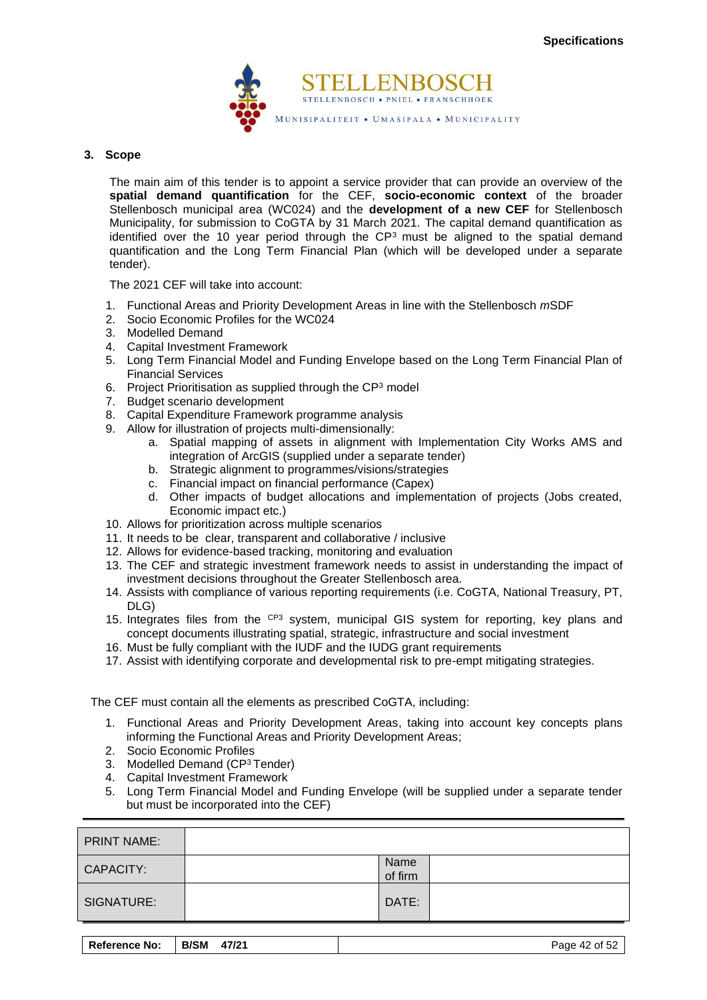

#### **3. Scope**

The main aim of this tender is to appoint a service provider that can provide an overview of the **spatial demand quantification** for the CEF, **socio-economic context** of the broader Stellenbosch municipal area (WC024) and the **development of a new CEF** for Stellenbosch Municipality, for submission to CoGTA by 31 March 2021. The capital demand quantification as identified over the 10 year period through the  $CP<sup>3</sup>$  must be aligned to the spatial demand quantification and the Long Term Financial Plan (which will be developed under a separate tender).

The 2021 CEF will take into account:

- 1. Functional Areas and Priority Development Areas in line with the Stellenbosch *m*SDF
- 2. Socio Economic Profiles for the WC024
- 3. Modelled Demand
- 4. Capital Investment Framework
- 5. Long Term Financial Model and Funding Envelope based on the Long Term Financial Plan of Financial Services
- 6. Project Prioritisation as supplied through the  $\mathsf{CP}^3$  model
- 7. Budget scenario development
- 8. Capital Expenditure Framework programme analysis
- 9. Allow for illustration of projects multi-dimensionally:
	- a. Spatial mapping of assets in alignment with Implementation City Works AMS and integration of ArcGIS (supplied under a separate tender)
	- b. Strategic alignment to programmes/visions/strategies
	- c. Financial impact on financial performance (Capex)
	- d. Other impacts of budget allocations and implementation of projects (Jobs created, Economic impact etc.)
- 10. Allows for prioritization across multiple scenarios
- 11. It needs to be clear, transparent and collaborative / inclusive
- 12. Allows for evidence-based tracking, monitoring and evaluation
- 13. The CEF and strategic investment framework needs to assist in understanding the impact of investment decisions throughout the Greater Stellenbosch area.
- 14. Assists with compliance of various reporting requirements (i.e. CoGTA, National Treasury, PT, DLG)
- 15. Integrates files from the CP3 system, municipal GIS system for reporting, key plans and concept documents illustrating spatial, strategic, infrastructure and social investment
- 16. Must be fully compliant with the IUDF and the IUDG grant requirements
- 17. Assist with identifying corporate and developmental risk to pre-empt mitigating strategies.

The CEF must contain all the elements as prescribed CoGTA, including:

- 1. Functional Areas and Priority Development Areas, taking into account key concepts plans informing the Functional Areas and Priority Development Areas;
- 2. Socio Economic Profiles
- 3. Modelled Demand (CP<sup>3</sup>Tender)
- 4. Capital Investment Framework
- 5. Long Term Financial Model and Funding Envelope (will be supplied under a separate tender but must be incorporated into the CEF)

| <b>PRINT NAME:</b> |                 |  |
|--------------------|-----------------|--|
| CAPACITY:          | Name<br>of firm |  |
| SIGNATURE:         | DATE:           |  |

| <b>Reference No:</b><br><b>B/SM</b> | 47/21 | Page 42 of 52 |
|-------------------------------------|-------|---------------|
|-------------------------------------|-------|---------------|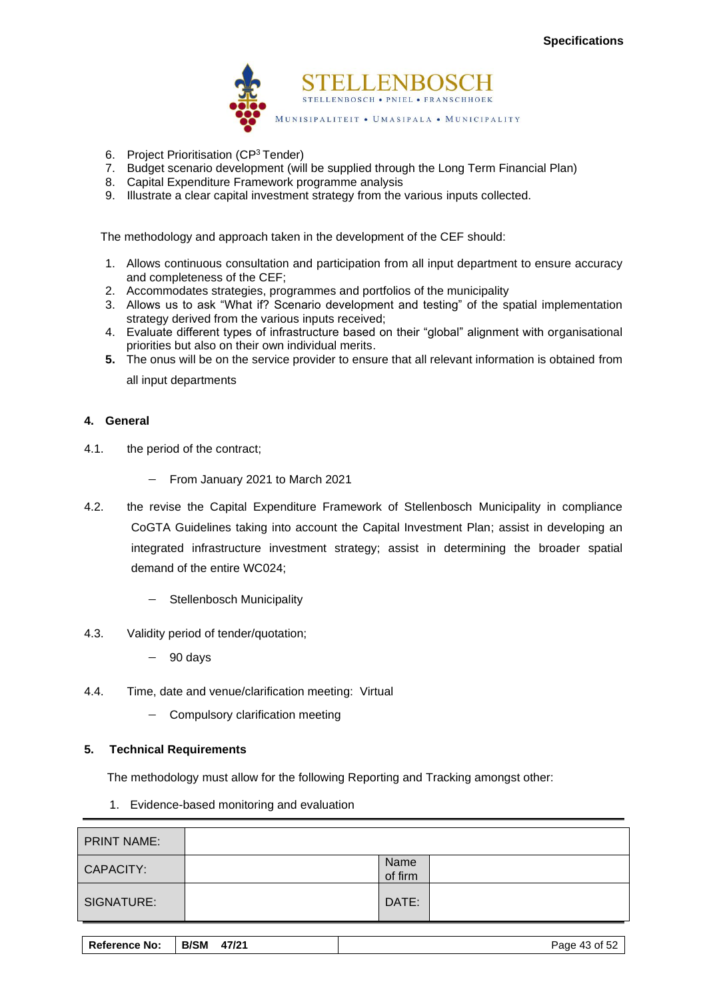

- 6. Project Prioritisation (CP<sup>3</sup>Tender)
- 7. Budget scenario development (will be supplied through the Long Term Financial Plan)
- 8. Capital Expenditure Framework programme analysis
- 9. Illustrate a clear capital investment strategy from the various inputs collected.

The methodology and approach taken in the development of the CEF should:

- 1. Allows continuous consultation and participation from all input department to ensure accuracy and completeness of the CEF;
- 2. Accommodates strategies, programmes and portfolios of the municipality
- 3. Allows us to ask "What if? Scenario development and testing" of the spatial implementation strategy derived from the various inputs received;
- 4. Evaluate different types of infrastructure based on their "global" alignment with organisational priorities but also on their own individual merits.
- **5.** The onus will be on the service provider to ensure that all relevant information is obtained from all input departments

**4. General**

- 4.1. the period of the contract;
	- − From January 2021 to March 2021
- 4.2. the revise the Capital Expenditure Framework of Stellenbosch Municipality in compliance CoGTA Guidelines taking into account the Capital Investment Plan; assist in developing an integrated infrastructure investment strategy; assist in determining the broader spatial demand of the entire WC024;
	- − Stellenbosch Municipality
- 4.3. Validity period of tender/quotation;
	- − 90 days
- 4.4. Time, date and venue/clarification meeting: Virtual
	- − Compulsory clarification meeting

#### **5. Technical Requirements**

The methodology must allow for the following Reporting and Tracking amongst other:

1. Evidence-based monitoring and evaluation

| <b>PRINT NAME:</b> |                 |  |
|--------------------|-----------------|--|
| CAPACITY:          | Name<br>of firm |  |
| SIGNATURE:         | DATE:           |  |

| <b>Reference No:</b> | <b>B/SM</b><br>47/21 | Page 43 of 52 |
|----------------------|----------------------|---------------|
|                      |                      |               |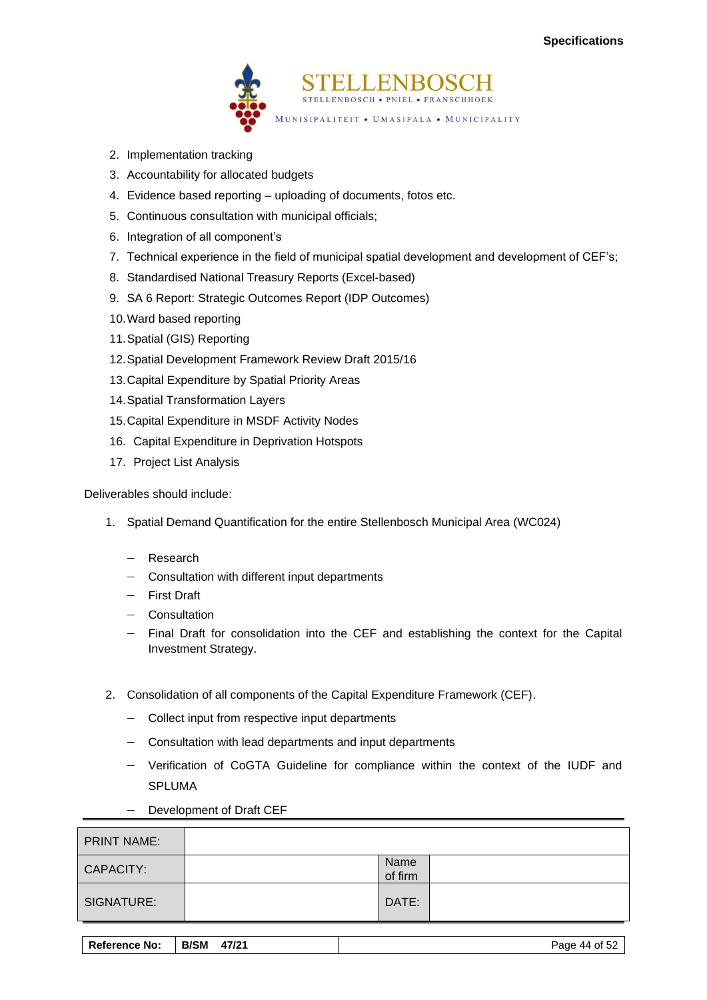

- 2. Implementation tracking
- 3. Accountability for allocated budgets
- 4. Evidence based reporting uploading of documents, fotos etc.
- 5. Continuous consultation with municipal officials;
- 6. Integration of all component's
- 7. Technical experience in the field of municipal spatial development and development of CEF's;
- 8. Standardised National Treasury Reports (Excel-based)
- 9. SA 6 Report: Strategic Outcomes Report (IDP Outcomes)
- 10.Ward based reporting
- 11.Spatial (GIS) Reporting
- 12.Spatial Development Framework Review Draft 2015/16
- 13.Capital Expenditure by Spatial Priority Areas
- 14.Spatial Transformation Layers
- 15.Capital Expenditure in MSDF Activity Nodes
- 16. Capital Expenditure in Deprivation Hotspots
- 17. Project List Analysis

Deliverables should include:

- 1. Spatial Demand Quantification for the entire Stellenbosch Municipal Area (WC024)
	- − Research
	- − Consultation with different input departments
	- − First Draft
	- − Consultation
	- − Final Draft for consolidation into the CEF and establishing the context for the Capital Investment Strategy.
- 2. Consolidation of all components of the Capital Expenditure Framework (CEF).
	- − Collect input from respective input departments
	- − Consultation with lead departments and input departments
	- − Verification of CoGTA Guideline for compliance within the context of the IUDF and SPLUMA
		- Development of Draft CEF

| <b>PRINT NAME:</b> |                 |  |
|--------------------|-----------------|--|
| CAPACITY:          | Name<br>of firm |  |
| SIGNATURE:         | DATE:           |  |

| <b>Reference No:</b> | <b>B/SM</b><br>47/21 | Page 44<br>of $52$ |
|----------------------|----------------------|--------------------|
|----------------------|----------------------|--------------------|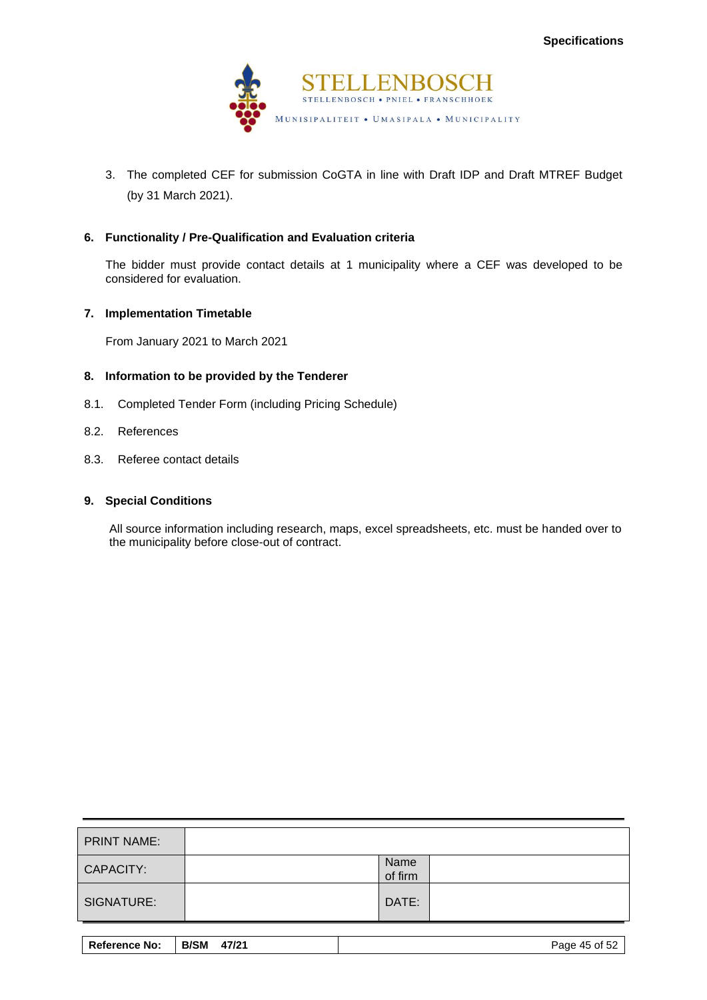

3. The completed CEF for submission CoGTA in line with Draft IDP and Draft MTREF Budget (by 31 March 2021).

#### **6. Functionality / Pre-Qualification and Evaluation criteria**

The bidder must provide contact details at 1 municipality where a CEF was developed to be considered for evaluation.

#### **7. Implementation Timetable**

From January 2021 to March 2021

#### **8. Information to be provided by the Tenderer**

- 8.1. Completed Tender Form (including Pricing Schedule)
- 8.2. References
- 8.3. Referee contact details

#### **9. Special Conditions**

All source information including research, maps, excel spreadsheets, etc. must be handed over to the municipality before close-out of contract.

| <b>PRINT NAME:</b> |                 |  |
|--------------------|-----------------|--|
| CAPACITY:          | Name<br>of firm |  |
| SIGNATURE:         | DATE:           |  |

| Reference No: | <b>B/SM</b><br>47/21 | Page 45 of 52 |
|---------------|----------------------|---------------|
|---------------|----------------------|---------------|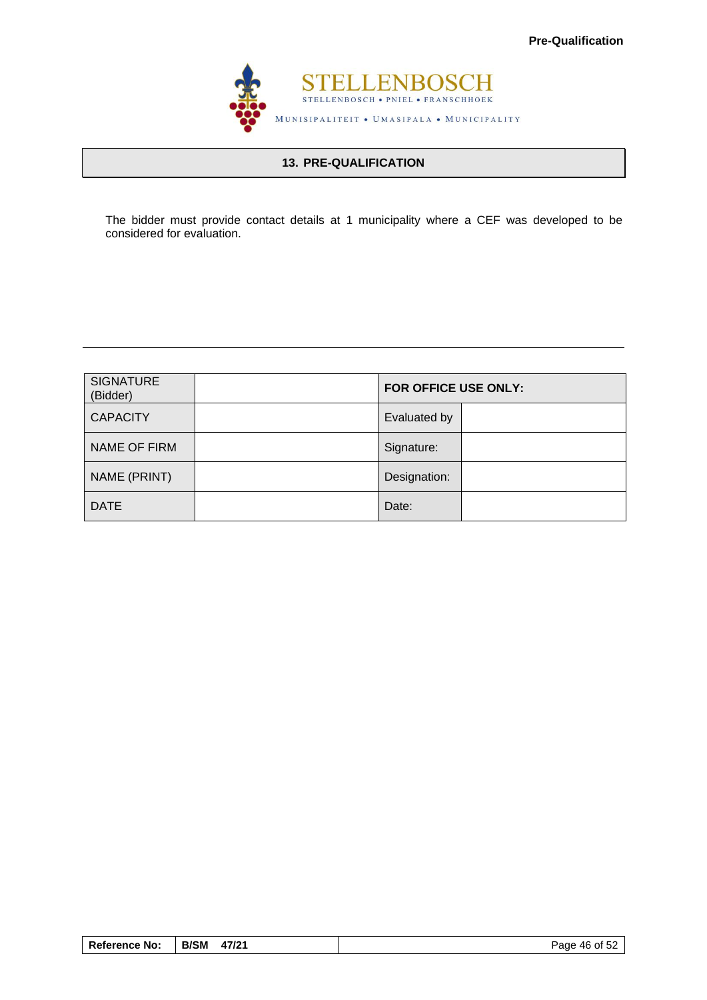

# **13. PRE-QUALIFICATION**

The bidder must provide contact details at 1 municipality where a CEF was developed to be considered for evaluation.

| <b>SIGNATURE</b><br>(Bidder) | FOR OFFICE USE ONLY: |  |
|------------------------------|----------------------|--|
| <b>CAPACITY</b>              | Evaluated by         |  |
| NAME OF FIRM                 | Signature:           |  |
| NAME (PRINT)                 | Designation:         |  |
| <b>DATE</b>                  | Date:                |  |

| <b>Reference No:</b> | <b>B/SM</b><br>47/21 | Page 46 of 52 |
|----------------------|----------------------|---------------|
|----------------------|----------------------|---------------|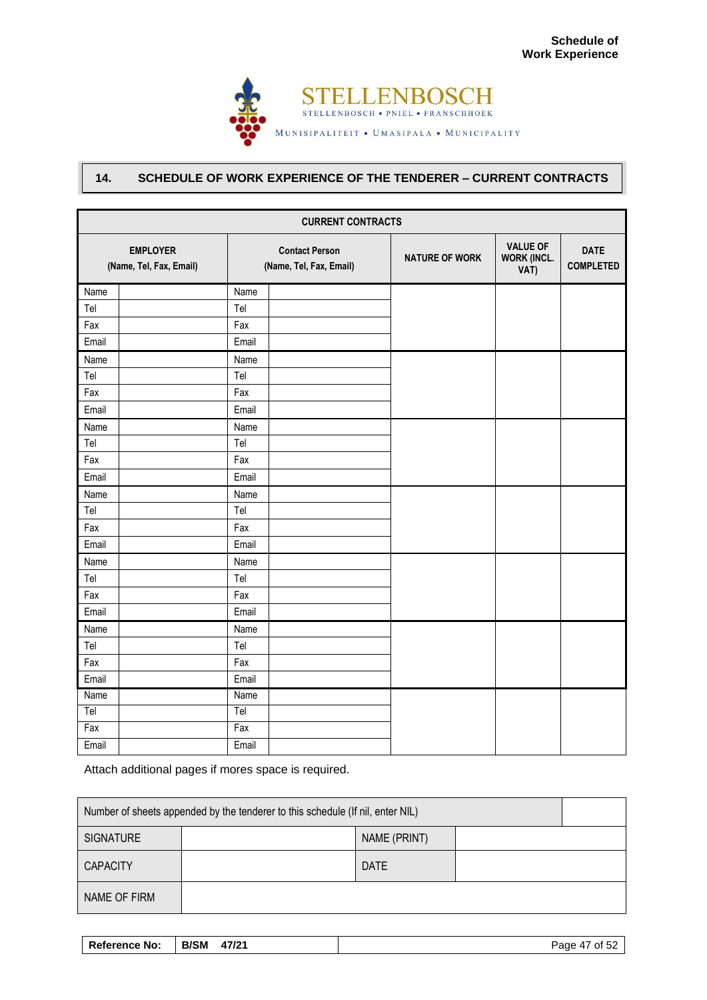

# **14. SCHEDULE OF WORK EXPERIENCE OF THE TENDERER – CURRENT CONTRACTS**

| <b>CURRENT CONTRACTS</b>                   |       |                                                  |                       |                                               |                                 |
|--------------------------------------------|-------|--------------------------------------------------|-----------------------|-----------------------------------------------|---------------------------------|
| <b>EMPLOYER</b><br>(Name, Tel, Fax, Email) |       | <b>Contact Person</b><br>(Name, Tel, Fax, Email) | <b>NATURE OF WORK</b> | <b>VALUE OF</b><br><b>WORK (INCL.</b><br>VAT) | <b>DATE</b><br><b>COMPLETED</b> |
| Name                                       | Name  |                                                  |                       |                                               |                                 |
| Tel                                        | Tel   |                                                  |                       |                                               |                                 |
| Fax                                        | Fax   |                                                  |                       |                                               |                                 |
| Email                                      | Email |                                                  |                       |                                               |                                 |
| Name                                       | Name  |                                                  |                       |                                               |                                 |
| Tel                                        | Tel   |                                                  |                       |                                               |                                 |
| Fax                                        | Fax   |                                                  |                       |                                               |                                 |
| Email                                      | Email |                                                  |                       |                                               |                                 |
| Name                                       | Name  |                                                  |                       |                                               |                                 |
| Tel                                        | Tel   |                                                  |                       |                                               |                                 |
| Fax                                        | Fax   |                                                  |                       |                                               |                                 |
| Email                                      | Email |                                                  |                       |                                               |                                 |
| Name                                       | Name  |                                                  |                       |                                               |                                 |
| Tel                                        | Tel   |                                                  |                       |                                               |                                 |
| Fax                                        | Fax   |                                                  |                       |                                               |                                 |
| Email                                      | Email |                                                  |                       |                                               |                                 |
| Name                                       | Name  |                                                  |                       |                                               |                                 |
| Tel                                        | Tel   |                                                  |                       |                                               |                                 |
| Fax                                        | Fax   |                                                  |                       |                                               |                                 |
| Email                                      | Email |                                                  |                       |                                               |                                 |
| Name                                       | Name  |                                                  |                       |                                               |                                 |
| Tel                                        | Tel   |                                                  |                       |                                               |                                 |
| Fax                                        | Fax   |                                                  |                       |                                               |                                 |
| Email                                      | Email |                                                  |                       |                                               |                                 |
| Name                                       | Name  |                                                  |                       |                                               |                                 |
| Tel                                        | Tel   |                                                  |                       |                                               |                                 |
| Fax                                        | Fax   |                                                  |                       |                                               |                                 |
| Email                                      | Email |                                                  |                       |                                               |                                 |

Attach additional pages if mores space is required.

| Number of sheets appended by the tenderer to this schedule (If nil, enter NIL) |              |             |  |  |
|--------------------------------------------------------------------------------|--------------|-------------|--|--|
| <b>SIGNATURE</b>                                                               | NAME (PRINT) |             |  |  |
| <b>CAPACITY</b>                                                                |              | <b>DATE</b> |  |  |
| NAME OF FIRM                                                                   |              |             |  |  |

| Reference No: | B/SM 47/21 | Page 47 of 52 |
|---------------|------------|---------------|
|---------------|------------|---------------|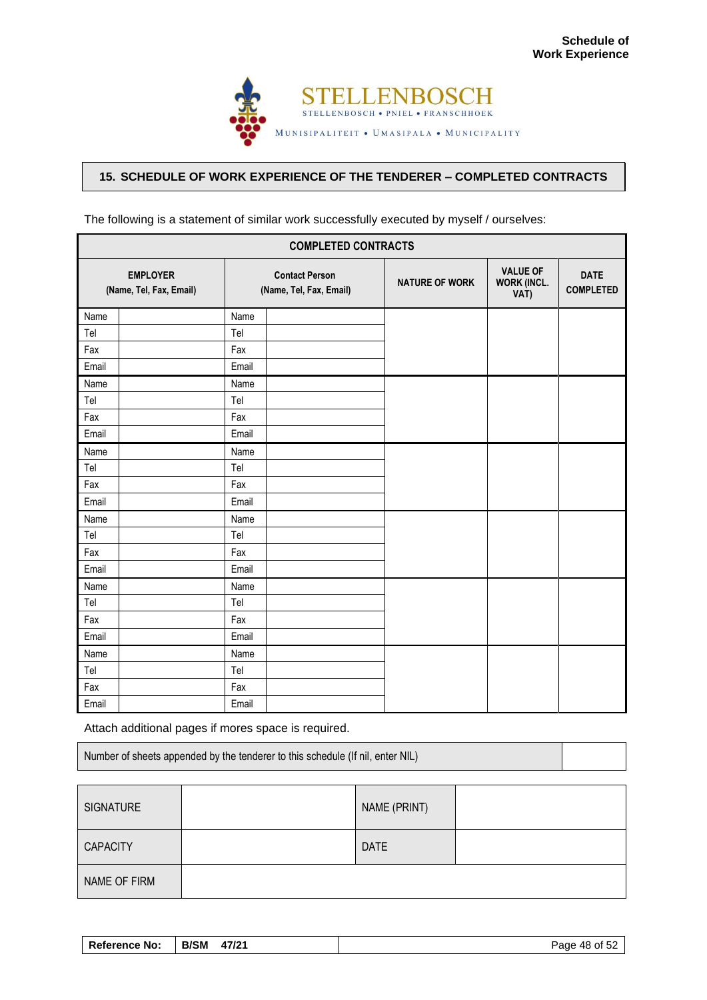

# **15. SCHEDULE OF WORK EXPERIENCE OF THE TENDERER – COMPLETED CONTRACTS**

| <b>COMPLETED CONTRACTS</b>                 |       |                                                  |                       |                                               |                                 |
|--------------------------------------------|-------|--------------------------------------------------|-----------------------|-----------------------------------------------|---------------------------------|
| <b>EMPLOYER</b><br>(Name, Tel, Fax, Email) |       | <b>Contact Person</b><br>(Name, Tel, Fax, Email) | <b>NATURE OF WORK</b> | <b>VALUE OF</b><br><b>WORK (INCL.</b><br>VAT) | <b>DATE</b><br><b>COMPLETED</b> |
| Name                                       | Name  |                                                  |                       |                                               |                                 |
| Tel                                        | Tel   |                                                  |                       |                                               |                                 |
| Fax                                        | Fax   |                                                  |                       |                                               |                                 |
| Email                                      | Email |                                                  |                       |                                               |                                 |
| Name                                       | Name  |                                                  |                       |                                               |                                 |
| Tel                                        | Tel   |                                                  |                       |                                               |                                 |
| Fax                                        | Fax   |                                                  |                       |                                               |                                 |
| Email                                      | Email |                                                  |                       |                                               |                                 |
| Name                                       | Name  |                                                  |                       |                                               |                                 |
| Tel                                        | Tel   |                                                  |                       |                                               |                                 |
| Fax                                        | Fax   |                                                  |                       |                                               |                                 |
| Email                                      | Email |                                                  |                       |                                               |                                 |
| Name                                       | Name  |                                                  |                       |                                               |                                 |
| Tel                                        | Tel   |                                                  |                       |                                               |                                 |
| Fax                                        | Fax   |                                                  |                       |                                               |                                 |
| Email                                      | Email |                                                  |                       |                                               |                                 |
| Name                                       | Name  |                                                  |                       |                                               |                                 |
| Tel                                        | Tel   |                                                  |                       |                                               |                                 |
| Fax                                        | Fax   |                                                  |                       |                                               |                                 |
| Email                                      | Email |                                                  |                       |                                               |                                 |
| Name                                       | Name  |                                                  |                       |                                               |                                 |
| Tel                                        | Tel   |                                                  |                       |                                               |                                 |
| Fax                                        | Fax   |                                                  |                       |                                               |                                 |
| Email                                      | Email |                                                  |                       |                                               |                                 |

The following is a statement of similar work successfully executed by myself / ourselves:

Attach additional pages if mores space is required.

| Number of sheets appended by the tenderer to this schedule (If nil, enter NIL) |  |
|--------------------------------------------------------------------------------|--|
|--------------------------------------------------------------------------------|--|

| SIGNATURE       | NAME (PRINT) |  |
|-----------------|--------------|--|
| <b>CAPACITY</b> | <b>DATE</b>  |  |
| NAME OF FIRM    |              |  |

| <b>Reference No:</b> | <b>B/SM</b><br>47/21 | Page 48 of 52 |
|----------------------|----------------------|---------------|
|                      |                      |               |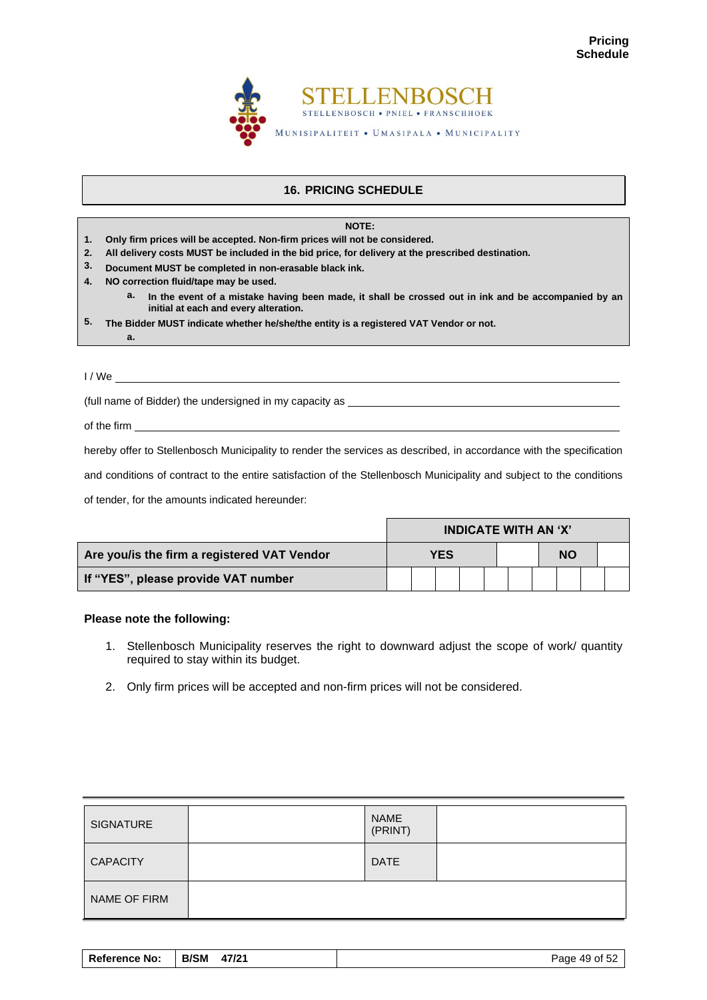

# **16. PRICING SCHEDULE**

#### **NOTE:**

- **1. Only firm prices will be accepted. Non-firm prices will not be considered.**
- **2. All delivery costs MUST be included in the bid price, for delivery at the prescribed destination.**
- **3. Document MUST be completed in non-erasable black ink.**
- **4. NO correction fluid/tape may be used.**
	- **a. In the event of a mistake having been made, it shall be crossed out in ink and be accompanied by an initial at each and every alteration.**
- **5. The Bidder MUST indicate whether he/she/the entity is a registered VAT Vendor or not.**

I / We

**a.**

(full name of Bidder) the undersigned in my capacity as

of the firm

hereby offer to Stellenbosch Municipality to render the services as described, in accordance with the specification

and conditions of contract to the entire satisfaction of the Stellenbosch Municipality and subject to the conditions

of tender, for the amounts indicated hereunder:

|                                             | <b>INDICATE WITH AN 'X'</b> |  |     |  |  |  |  |           |  |
|---------------------------------------------|-----------------------------|--|-----|--|--|--|--|-----------|--|
| Are you/is the firm a registered VAT Vendor |                             |  | YES |  |  |  |  | <b>NO</b> |  |
| If "YES", please provide VAT number         |                             |  |     |  |  |  |  |           |  |

#### **Please note the following:**

- 1. Stellenbosch Municipality reserves the right to downward adjust the scope of work/ quantity required to stay within its budget.
- 2. Only firm prices will be accepted and non-firm prices will not be considered.

| <b>SIGNATURE</b> | <b>NAME</b><br>(PRINT) |  |
|------------------|------------------------|--|
| <b>CAPACITY</b>  | <b>DATE</b>            |  |
| NAME OF FIRM     |                        |  |

| Reference No:<br><b>B/SM</b><br>47/21 | Page 49 of 52 |
|---------------------------------------|---------------|
|---------------------------------------|---------------|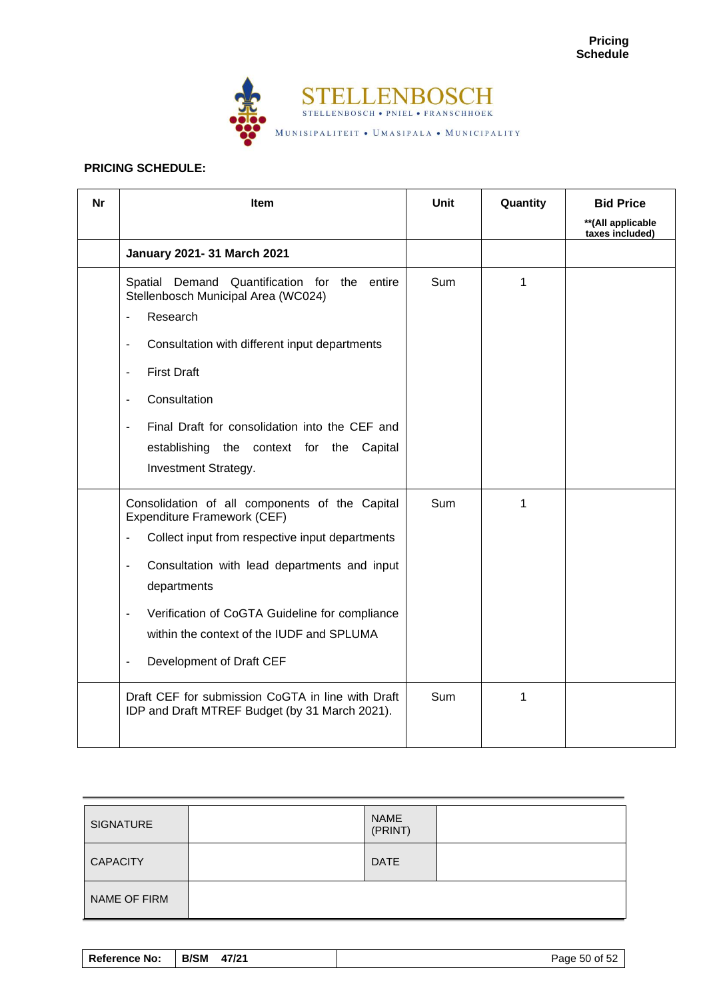

# **PRICING SCHEDULE:**

| <b>Nr</b> | Item                                                                                                                                                                                                                                                                                                                                                                                                         | Unit       | Quantity | <b>Bid Price</b>                      |
|-----------|--------------------------------------------------------------------------------------------------------------------------------------------------------------------------------------------------------------------------------------------------------------------------------------------------------------------------------------------------------------------------------------------------------------|------------|----------|---------------------------------------|
|           |                                                                                                                                                                                                                                                                                                                                                                                                              |            |          | ** (All applicable<br>taxes included) |
|           | January 2021- 31 March 2021                                                                                                                                                                                                                                                                                                                                                                                  |            |          |                                       |
|           | Quantification for the entire<br>Spatial Demand<br>Stellenbosch Municipal Area (WC024)<br>Research<br>ä,<br>Consultation with different input departments<br>$\overline{\phantom{a}}$<br><b>First Draft</b><br>$\overline{\phantom{a}}$<br>Consultation<br>$\blacksquare$<br>Final Draft for consolidation into the CEF and<br>÷,<br>establishing the context for the Capital<br>Investment Strategy.        | Sum        | 1        |                                       |
|           | Consolidation of all components of the Capital<br>Expenditure Framework (CEF)<br>Collect input from respective input departments<br>$\overline{\phantom{a}}$<br>Consultation with lead departments and input<br>$\blacksquare$<br>departments<br>Verification of CoGTA Guideline for compliance<br>$\blacksquare$<br>within the context of the IUDF and SPLUMA<br>Development of Draft CEF<br>$\blacksquare$ | <b>Sum</b> | 1        |                                       |
|           | Draft CEF for submission CoGTA in line with Draft<br>IDP and Draft MTREF Budget (by 31 March 2021).                                                                                                                                                                                                                                                                                                          | Sum        | 1        |                                       |

| <b>SIGNATURE</b> | <b>NAME</b><br>(PRINT) |  |
|------------------|------------------------|--|
| <b>CAPACITY</b>  | <b>DATE</b>            |  |
| NAME OF FIRM     |                        |  |

| <b>B/SM</b><br>47/21<br><b>Reference No:</b> | Page 50 of 52 |
|----------------------------------------------|---------------|
|----------------------------------------------|---------------|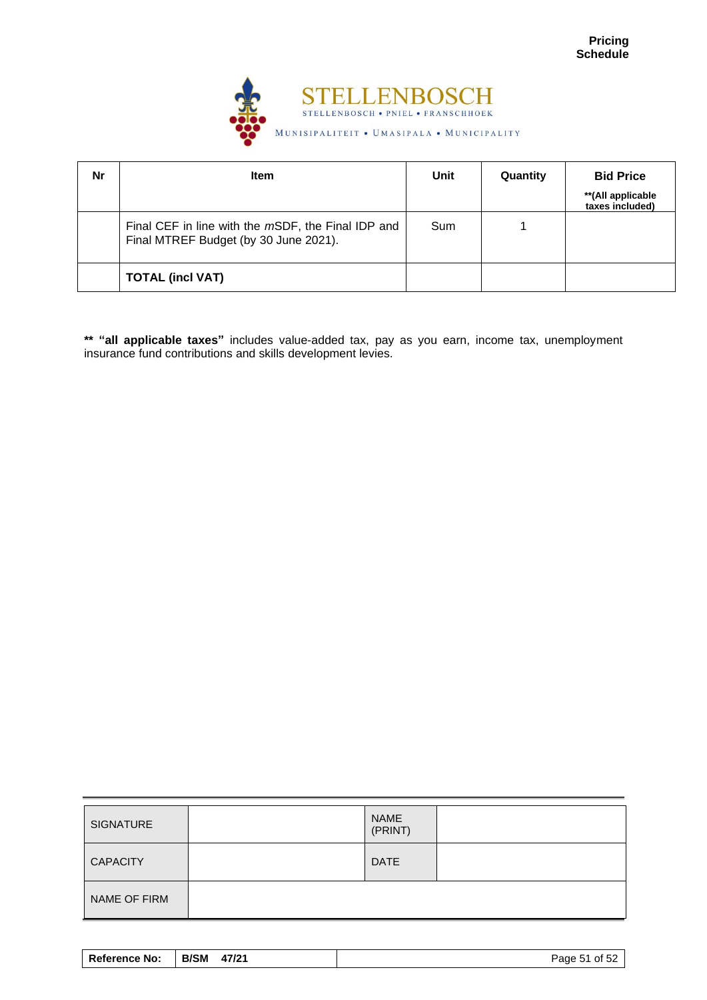

| Nr | <b>Item</b>                                                                                 | Unit | Quantity | <b>Bid Price</b>                     |
|----|---------------------------------------------------------------------------------------------|------|----------|--------------------------------------|
|    |                                                                                             |      |          | **(All applicable<br>taxes included) |
|    | Final CEF in line with the mSDF, the Final IDP and<br>Final MTREF Budget (by 30 June 2021). | Sum  |          |                                      |
|    | <b>TOTAL (incl VAT)</b>                                                                     |      |          |                                      |

**\*\* "all applicable taxes"** includes value-added tax, pay as you earn, income tax, unemployment insurance fund contributions and skills development levies.

| <b>SIGNATURE</b> | <b>NAME</b><br>(PRINT) |  |
|------------------|------------------------|--|
| <b>CAPACITY</b>  | <b>DATE</b>            |  |
| NAME OF FIRM     |                        |  |

| <b>Reference No:</b> | <b>B/SM</b><br>47/21 | Page 51 of 52 |
|----------------------|----------------------|---------------|
|----------------------|----------------------|---------------|